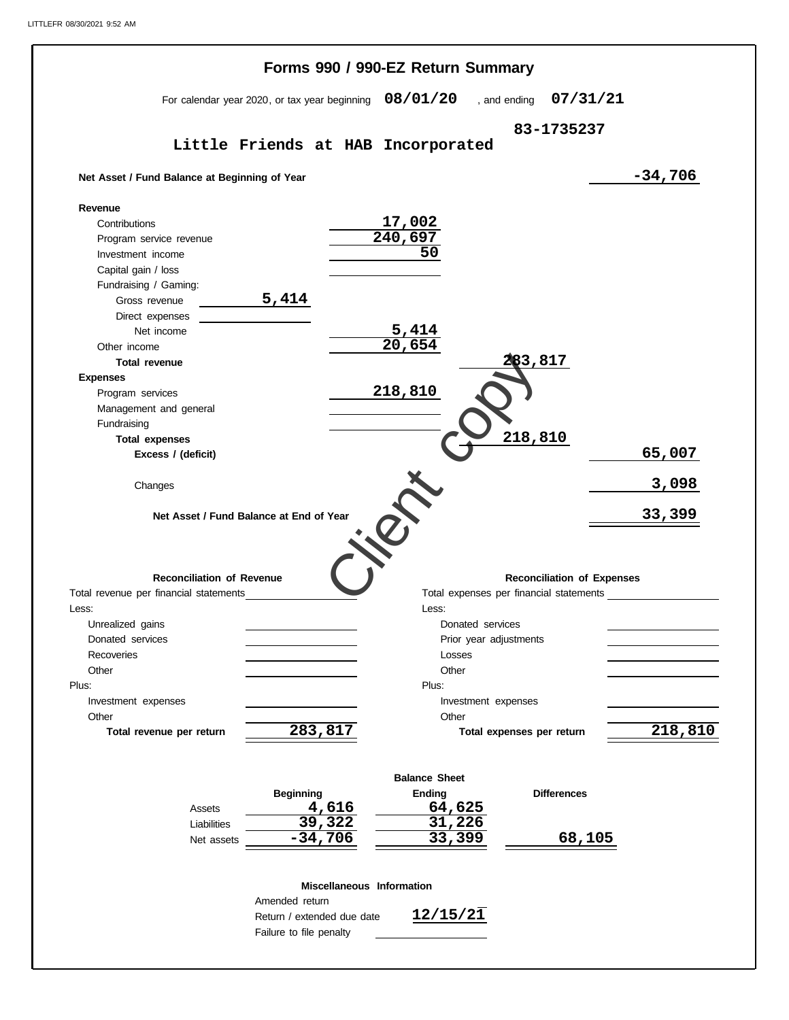|                                                          | Forms 990 / 990-EZ Return Summary                        |                                         |                           |                                   |               |
|----------------------------------------------------------|----------------------------------------------------------|-----------------------------------------|---------------------------|-----------------------------------|---------------|
|                                                          | For calendar year 2020, or tax year beginning $08/01/20$ |                                         | , and ending              | 07/31/21                          |               |
|                                                          |                                                          |                                         |                           | 83-1735237                        |               |
|                                                          | Little Friends at HAB Incorporated                       |                                         |                           |                                   |               |
| Net Asset / Fund Balance at Beginning of Year            |                                                          |                                         |                           |                                   | $-34,706$     |
| Revenue                                                  |                                                          |                                         |                           |                                   |               |
| Contributions                                            |                                                          | 17,002                                  |                           |                                   |               |
| Program service revenue                                  |                                                          | 240,697                                 |                           |                                   |               |
| Investment income                                        |                                                          | 50                                      |                           |                                   |               |
| Capital gain / loss                                      |                                                          |                                         |                           |                                   |               |
| Fundraising / Gaming:                                    |                                                          |                                         |                           |                                   |               |
| Gross revenue                                            | 5,414                                                    |                                         |                           |                                   |               |
| Direct expenses                                          |                                                          |                                         |                           |                                   |               |
| Net income                                               |                                                          | 5,414                                   |                           |                                   |               |
| Other income                                             |                                                          | $\overline{20,654}$                     |                           |                                   |               |
|                                                          |                                                          |                                         | 83,817                    |                                   |               |
| <b>Total revenue</b>                                     |                                                          |                                         |                           |                                   |               |
| <b>Expenses</b>                                          |                                                          |                                         |                           |                                   |               |
| Program services                                         |                                                          | 218,810                                 |                           |                                   |               |
| Management and general                                   |                                                          |                                         |                           |                                   |               |
| Fundraising                                              |                                                          |                                         |                           |                                   |               |
| <b>Total expenses</b>                                    |                                                          |                                         | 218,810                   |                                   |               |
| Excess / (deficit)                                       |                                                          |                                         |                           |                                   | 65,007        |
|                                                          |                                                          |                                         |                           |                                   |               |
| Changes                                                  |                                                          |                                         |                           |                                   | 3,098         |
|                                                          |                                                          |                                         |                           |                                   |               |
|                                                          |                                                          |                                         |                           |                                   |               |
|                                                          | Net Asset / Fund Balance at End of Year                  |                                         |                           |                                   | <u>33,399</u> |
|                                                          |                                                          |                                         |                           |                                   |               |
|                                                          |                                                          |                                         |                           |                                   |               |
|                                                          |                                                          |                                         |                           |                                   |               |
| <b>Reconciliation of Revenue</b>                         |                                                          |                                         |                           | <b>Reconciliation of Expenses</b> |               |
|                                                          |                                                          |                                         |                           |                                   |               |
|                                                          |                                                          | Total expenses per financial statements |                           |                                   |               |
|                                                          |                                                          | Less:                                   |                           |                                   |               |
| Unrealized gains                                         |                                                          | Donated services                        |                           |                                   |               |
| Donated services                                         |                                                          |                                         | Prior year adjustments    |                                   |               |
| Recoveries                                               |                                                          | Losses                                  |                           |                                   |               |
| Other                                                    |                                                          | Other                                   |                           |                                   |               |
|                                                          |                                                          | Plus:                                   |                           |                                   |               |
| Investment expenses                                      |                                                          |                                         | Investment expenses       |                                   |               |
| Other                                                    |                                                          | Other                                   |                           |                                   |               |
| Total revenue per return                                 | 283,817                                                  |                                         | Total expenses per return |                                   |               |
|                                                          |                                                          |                                         |                           |                                   |               |
|                                                          |                                                          | <b>Balance Sheet</b>                    |                           |                                   |               |
|                                                          | <b>Beginning</b>                                         | Ending                                  |                           | <b>Differences</b>                |               |
| Assets                                                   | 4,616                                                    | 64,625                                  |                           |                                   |               |
| Liabilities                                              | 39,322                                                   | 31,226                                  |                           |                                   |               |
| Net assets                                               | $-34,706$                                                | 33,399                                  |                           | 68,105                            |               |
|                                                          |                                                          |                                         |                           |                                   |               |
|                                                          | Miscellaneous Information                                |                                         |                           |                                   |               |
|                                                          | Amended return                                           |                                         |                           |                                   |               |
| Total revenue per financial statements<br>Less:<br>Plus: | Return / extended due date                               | 12/15/21                                |                           |                                   |               |
|                                                          | Failure to file penalty                                  |                                         |                           |                                   | 218,810       |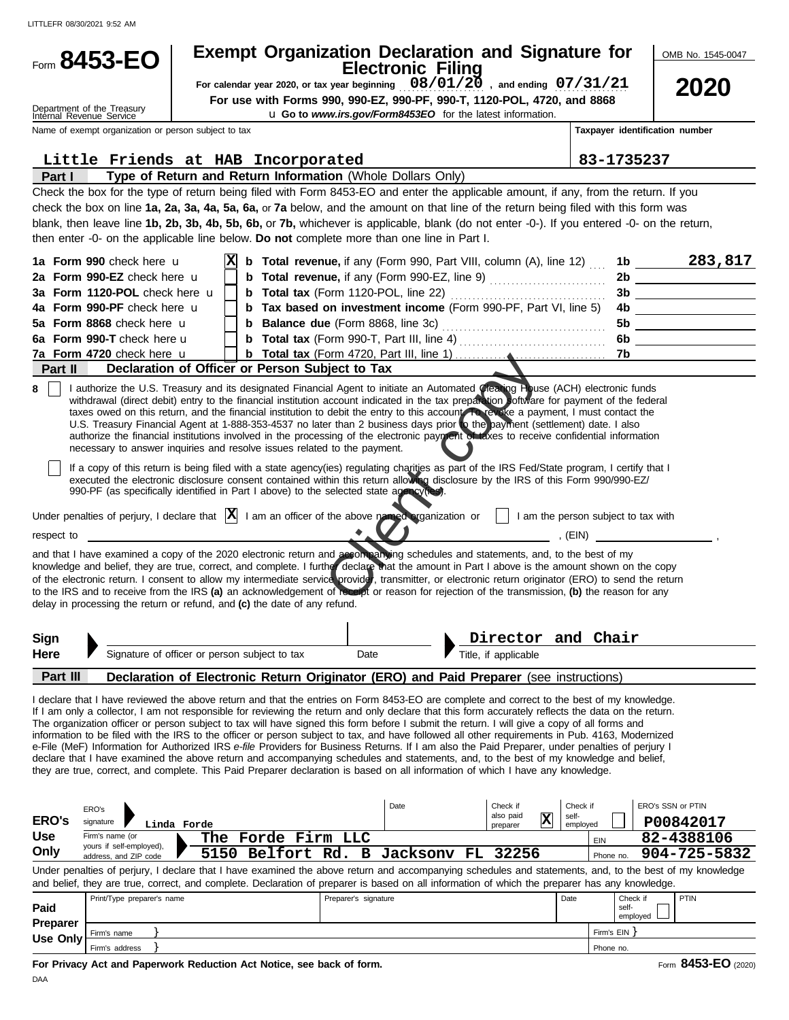LITTLEFR 08/30/2021 9:52 AM

|                         | Form 8453-EO                                             |                                                                                                                                                                    |                    |                      | <b>Exempt Organization Declaration and Signature for</b>                                                                                                                                                                                                                                                                                                                                                                                                                                                                                                                                                                                                                                                                                                                                                                                                                                                                                                                                                                                                                                   |                                                              |                               |                |                                                                                                                       | OMB No. 1545-0047      |
|-------------------------|----------------------------------------------------------|--------------------------------------------------------------------------------------------------------------------------------------------------------------------|--------------------|----------------------|--------------------------------------------------------------------------------------------------------------------------------------------------------------------------------------------------------------------------------------------------------------------------------------------------------------------------------------------------------------------------------------------------------------------------------------------------------------------------------------------------------------------------------------------------------------------------------------------------------------------------------------------------------------------------------------------------------------------------------------------------------------------------------------------------------------------------------------------------------------------------------------------------------------------------------------------------------------------------------------------------------------------------------------------------------------------------------------------|--------------------------------------------------------------|-------------------------------|----------------|-----------------------------------------------------------------------------------------------------------------------|------------------------|
|                         |                                                          |                                                                                                                                                                    |                    |                      | <b>Electronic Filing</b><br>For calendar year 2020, or tax year beginning $08/01/20$ , and ending $07/31/21$                                                                                                                                                                                                                                                                                                                                                                                                                                                                                                                                                                                                                                                                                                                                                                                                                                                                                                                                                                               |                                                              |                               |                |                                                                                                                       |                        |
|                         |                                                          |                                                                                                                                                                    |                    |                      | For use with Forms 990, 990-EZ, 990-PF, 990-T, 1120-POL, 4720, and 8868                                                                                                                                                                                                                                                                                                                                                                                                                                                                                                                                                                                                                                                                                                                                                                                                                                                                                                                                                                                                                    |                                                              |                               |                |                                                                                                                       | <b>2020</b>            |
|                         | Department of the Treasury<br>Internal Revenue Service   |                                                                                                                                                                    |                    |                      | <b>u Go to</b> www.irs.gov/Form8453EO for the latest information.                                                                                                                                                                                                                                                                                                                                                                                                                                                                                                                                                                                                                                                                                                                                                                                                                                                                                                                                                                                                                          |                                                              |                               |                |                                                                                                                       |                        |
|                         |                                                          | Name of exempt organization or person subject to tax                                                                                                               |                    |                      |                                                                                                                                                                                                                                                                                                                                                                                                                                                                                                                                                                                                                                                                                                                                                                                                                                                                                                                                                                                                                                                                                            |                                                              |                               |                | Taxpayer identification number                                                                                        |                        |
|                         |                                                          | Little Friends at HAB Incorporated                                                                                                                                 |                    |                      |                                                                                                                                                                                                                                                                                                                                                                                                                                                                                                                                                                                                                                                                                                                                                                                                                                                                                                                                                                                                                                                                                            |                                                              |                               | 83-1735237     |                                                                                                                       |                        |
| Part I                  |                                                          | Type of Return and Return Information (Whole Dollars Only)                                                                                                         |                    |                      |                                                                                                                                                                                                                                                                                                                                                                                                                                                                                                                                                                                                                                                                                                                                                                                                                                                                                                                                                                                                                                                                                            |                                                              |                               |                |                                                                                                                       |                        |
|                         |                                                          |                                                                                                                                                                    |                    |                      | Check the box for the type of return being filed with Form 8453-EO and enter the applicable amount, if any, from the return. If you<br>check the box on line 1a, 2a, 3a, 4a, 5a, 6a, or 7a below, and the amount on that line of the return being filed with this form was<br>blank, then leave line 1b, 2b, 3b, 4b, 5b, 6b, or 7b, whichever is applicable, blank (do not enter -0-). If you entered -0- on the return,<br>then enter -0- on the applicable line below. Do not complete more than one line in Part I.                                                                                                                                                                                                                                                                                                                                                                                                                                                                                                                                                                     |                                                              |                               |                |                                                                                                                       |                        |
|                         | 1a Form 990 check here u                                 | IХ                                                                                                                                                                 |                    |                      | <b>b</b> Total revenue, if any (Form 990, Part VIII, column (A), line 12)                                                                                                                                                                                                                                                                                                                                                                                                                                                                                                                                                                                                                                                                                                                                                                                                                                                                                                                                                                                                                  |                                                              |                               |                |                                                                                                                       | 1b $\frac{283,817}{ }$ |
|                         | 2a Form 990-EZ check here u                              |                                                                                                                                                                    |                    |                      | <b>b</b> Total revenue, if any (Form 990-EZ, line 9) <b>Constant Container</b>                                                                                                                                                                                                                                                                                                                                                                                                                                                                                                                                                                                                                                                                                                                                                                                                                                                                                                                                                                                                             |                                                              |                               |                |                                                                                                                       |                        |
|                         | 3a Form 1120-POL check here u                            |                                                                                                                                                                    |                    |                      |                                                                                                                                                                                                                                                                                                                                                                                                                                                                                                                                                                                                                                                                                                                                                                                                                                                                                                                                                                                                                                                                                            |                                                              |                               |                |                                                                                                                       |                        |
|                         | 4a Form 990-PF check here u<br>5a Form 8868 check here u |                                                                                                                                                                    |                    |                      | b Tax based on investment income (Form 990-PF, Part VI, line 5)                                                                                                                                                                                                                                                                                                                                                                                                                                                                                                                                                                                                                                                                                                                                                                                                                                                                                                                                                                                                                            |                                                              |                               |                |                                                                                                                       |                        |
|                         | 6a Form 990-T check here u                               |                                                                                                                                                                    |                    |                      |                                                                                                                                                                                                                                                                                                                                                                                                                                                                                                                                                                                                                                                                                                                                                                                                                                                                                                                                                                                                                                                                                            |                                                              |                               |                |                                                                                                                       | 5b __________________  |
|                         | 7a Form 4720 check here u                                |                                                                                                                                                                    |                    |                      |                                                                                                                                                                                                                                                                                                                                                                                                                                                                                                                                                                                                                                                                                                                                                                                                                                                                                                                                                                                                                                                                                            |                                                              |                               | 7b l           |                                                                                                                       |                        |
| Part II                 |                                                          | Declaration of Officer or Person Subject to Tax                                                                                                                    |                    |                      |                                                                                                                                                                                                                                                                                                                                                                                                                                                                                                                                                                                                                                                                                                                                                                                                                                                                                                                                                                                                                                                                                            |                                                              |                               |                |                                                                                                                       |                        |
| respect to              |                                                          | necessary to answer inquiries and resolve issues related to the payment.<br>990-PF (as specifically identified in Part I above) to the selected state agency(res). |                    |                      | withdrawal (direct debit) entry to the financial institution account indicated in the tax preparation software for payment of the federal<br>taxes owed on this return, and the financial institution to debit the entry to this account. To revoke a payment, I must contact the<br>U.S. Treasury Financial Agent at 1-888-353-4537 no later than 2 business days prior to the payment (settlement) date. I also<br>authorize the financial institutions involved in the processing of the electronic payment of taxes to receive confidential information<br>If a copy of this return is being filed with a state agency(ies) regulating charities as part of the IRS Fed/State program, I certify that I<br>executed the electronic disclosure consent contained within this return allowing disclosure by the IRS of this Form 990/990-EZ/<br>Under penalties of perjury, I declare that $\ X\ $ I am an officer of the above named organization or<br>and that I have examined a copy of the 2020 electronic return and accompanying schedules and statements, and, to the best of my | am the person subject to tax with                            | (EIN)                         |                | <u> and a strong and a strong strong strong strong strong strong strong strong strong strong strong strong strong</u> |                        |
|                         |                                                          | delay in processing the return or refund, and (c) the date of any refund.                                                                                          |                    |                      | knowledge and belief, they are true, correct, and complete. I further declare that the amount in Part I above is the amount shown on the copy<br>of the electronic return. I consent to allow my intermediate service provider, transmitter, or electronic return originator (ERO) to send the return<br>to the IRS and to receive from the IRS (a) an acknowledgement of receipt or reason for rejection of the transmission, (b) the reason for any                                                                                                                                                                                                                                                                                                                                                                                                                                                                                                                                                                                                                                      |                                                              |                               |                |                                                                                                                       |                        |
| Sign                    |                                                          |                                                                                                                                                                    |                    |                      |                                                                                                                                                                                                                                                                                                                                                                                                                                                                                                                                                                                                                                                                                                                                                                                                                                                                                                                                                                                                                                                                                            | Director and Chair                                           |                               |                |                                                                                                                       |                        |
| Here                    |                                                          | Signature of officer or person subject to tax                                                                                                                      |                    | Date                 |                                                                                                                                                                                                                                                                                                                                                                                                                                                                                                                                                                                                                                                                                                                                                                                                                                                                                                                                                                                                                                                                                            | Title, if applicable                                         |                               |                |                                                                                                                       |                        |
| Part III                |                                                          |                                                                                                                                                                    |                    |                      | Declaration of Electronic Return Originator (ERO) and Paid Preparer (see instructions)                                                                                                                                                                                                                                                                                                                                                                                                                                                                                                                                                                                                                                                                                                                                                                                                                                                                                                                                                                                                     |                                                              |                               |                |                                                                                                                       |                        |
|                         |                                                          |                                                                                                                                                                    |                    |                      | I declare that I have reviewed the above return and that the entries on Form 8453-EO are complete and correct to the best of my knowledge.<br>If I am only a collector, I am not responsible for reviewing the return and only declare that this form accurately reflects the data on the return.<br>The organization officer or person subject to tax will have signed this form before I submit the return. I will give a copy of all forms and<br>information to be filed with the IRS to the officer or person subject to tax, and have followed all other requirements in Pub. 4163, Modernized<br>e-File (MeF) Information for Authorized IRS e-file Providers for Business Returns. If I am also the Paid Preparer, under penalties of perjury I<br>declare that I have examined the above return and accompanying schedules and statements, and, to the best of my knowledge and belief,<br>they are true, correct, and complete. This Paid Preparer declaration is based on all information of which I have any knowledge.                                                        |                                                              |                               |                |                                                                                                                       |                        |
| <b>ERO's</b>            | ERO's<br>signature                                       | Linda Forde                                                                                                                                                        |                    |                      | Date                                                                                                                                                                                                                                                                                                                                                                                                                                                                                                                                                                                                                                                                                                                                                                                                                                                                                                                                                                                                                                                                                       | Check if<br>also paid<br>$\overline{\mathbf{x}}$<br>preparer | Check if<br>self-<br>employed |                | ERO's SSN or PTIN                                                                                                     | P00842017              |
| <b>Use</b>              | Firm's name (or                                          |                                                                                                                                                                    | The Forde Firm LLC |                      |                                                                                                                                                                                                                                                                                                                                                                                                                                                                                                                                                                                                                                                                                                                                                                                                                                                                                                                                                                                                                                                                                            |                                                              |                               | EIN            |                                                                                                                       | 82-4388106             |
| Only                    | yours if self-employed),<br>address, and ZIP code        | 5150                                                                                                                                                               | Belfort Rd.        |                      | <b>B</b> Jacksonv<br>FL.                                                                                                                                                                                                                                                                                                                                                                                                                                                                                                                                                                                                                                                                                                                                                                                                                                                                                                                                                                                                                                                                   | 32256                                                        |                               | Phone no.      |                                                                                                                       | $904 - 725 - 5832$     |
|                         |                                                          |                                                                                                                                                                    |                    |                      | Under penalties of perjury, I declare that I have examined the above return and accompanying schedules and statements, and, to the best of my knowledge<br>and belief, they are true, correct, and complete. Declaration of preparer is based on all information of which the preparer has any knowledge.                                                                                                                                                                                                                                                                                                                                                                                                                                                                                                                                                                                                                                                                                                                                                                                  |                                                              |                               |                |                                                                                                                       |                        |
|                         | Print/Type preparer's name                               |                                                                                                                                                                    |                    | Preparer's signature |                                                                                                                                                                                                                                                                                                                                                                                                                                                                                                                                                                                                                                                                                                                                                                                                                                                                                                                                                                                                                                                                                            |                                                              | Date                          | self-          | Check if                                                                                                              | PTIN                   |
| Paid<br><b>Preparer</b> |                                                          |                                                                                                                                                                    |                    |                      |                                                                                                                                                                                                                                                                                                                                                                                                                                                                                                                                                                                                                                                                                                                                                                                                                                                                                                                                                                                                                                                                                            |                                                              |                               |                | employed                                                                                                              |                        |
| <b>Use Only</b>         | Firm's name                                              |                                                                                                                                                                    |                    |                      |                                                                                                                                                                                                                                                                                                                                                                                                                                                                                                                                                                                                                                                                                                                                                                                                                                                                                                                                                                                                                                                                                            |                                                              |                               | Firm's $EIN$ } |                                                                                                                       |                        |
|                         | Firm's address                                           |                                                                                                                                                                    |                    |                      |                                                                                                                                                                                                                                                                                                                                                                                                                                                                                                                                                                                                                                                                                                                                                                                                                                                                                                                                                                                                                                                                                            |                                                              |                               | Phone no.      |                                                                                                                       |                        |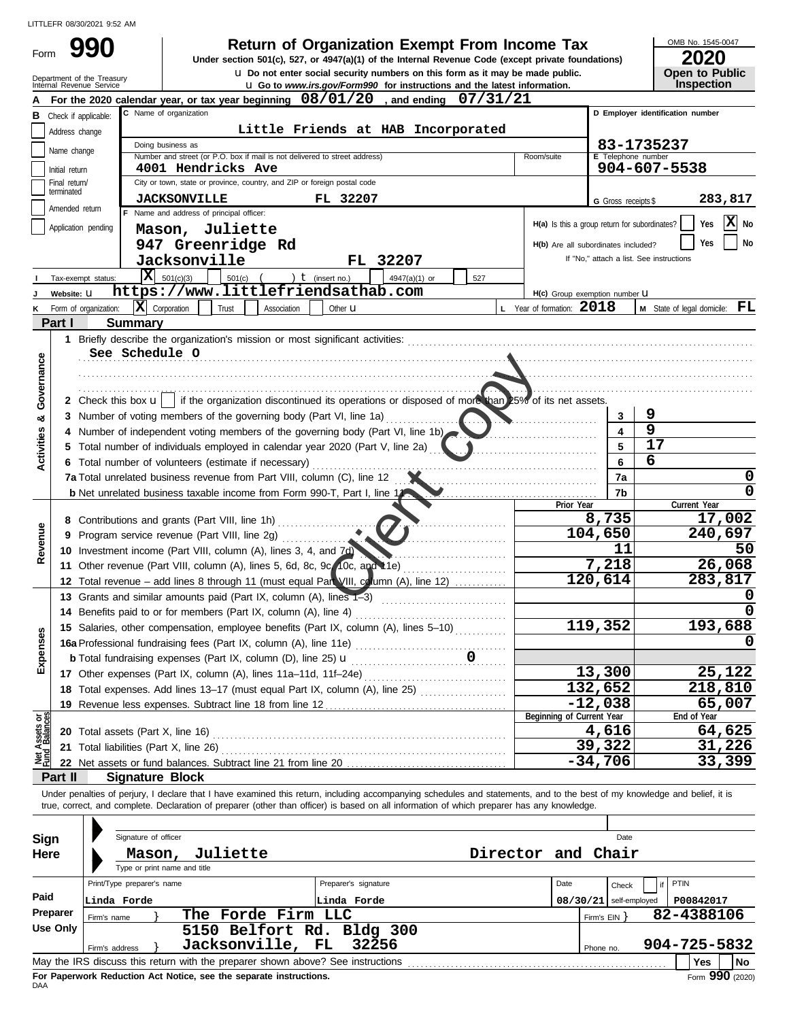u **Do not enter social security numbers on this form as it may be made public. Open to Public 990 200 2010 2020 2020 2020 Depend From Income Tax 2020 2020 2020** 

OMB No. 1545-0047

|  | LVLV                  |
|--|-----------------------|
|  | <b>Open to Public</b> |
|  | <b>Inspection</b>     |

|                                | Department of the Treasury<br>Internal Revenue Service |                               |                                                                                                                                                                                                                                | U Do not enter social security numbers on this form as it may be made public.<br><b>u</b> Go to www.irs.gov/Form990 for instructions and the latest information. |             |                                               |                          | <b>Open to Public</b><br><b>Inspection</b> |
|--------------------------------|--------------------------------------------------------|-------------------------------|--------------------------------------------------------------------------------------------------------------------------------------------------------------------------------------------------------------------------------|------------------------------------------------------------------------------------------------------------------------------------------------------------------|-------------|-----------------------------------------------|--------------------------|--------------------------------------------|
|                                |                                                        |                               | For the 2020 calendar year, or tax year beginning $08/01/20$ , and ending                                                                                                                                                      |                                                                                                                                                                  | 07/31/21    |                                               |                          |                                            |
|                                | Check if applicable:                                   |                               | C Name of organization                                                                                                                                                                                                         |                                                                                                                                                                  |             |                                               |                          | D Employer identification number           |
|                                | Address change                                         |                               |                                                                                                                                                                                                                                | Little Friends at HAB Incorporated                                                                                                                               |             |                                               |                          |                                            |
|                                | Name change                                            |                               | Doing business as                                                                                                                                                                                                              |                                                                                                                                                                  |             |                                               |                          | 83-1735237                                 |
|                                |                                                        |                               | Number and street (or P.O. box if mail is not delivered to street address)                                                                                                                                                     |                                                                                                                                                                  |             | Room/suite                                    | E Telephone number       |                                            |
|                                | Initial return<br>Final return/                        |                               | 4001 Hendricks Ave<br>City or town, state or province, country, and ZIP or foreign postal code                                                                                                                                 |                                                                                                                                                                  |             |                                               |                          | 904-607-5538                               |
|                                | terminated                                             |                               |                                                                                                                                                                                                                                |                                                                                                                                                                  |             |                                               |                          |                                            |
|                                | Amended return                                         |                               | <b>JACKSONVILLE</b>                                                                                                                                                                                                            | FL 32207                                                                                                                                                         |             |                                               | G Gross receipts \$      | 283,817                                    |
|                                | Application pending                                    |                               | F Name and address of principal officer:                                                                                                                                                                                       |                                                                                                                                                                  |             | H(a) Is this a group return for subordinates? |                          | X No<br>Yes                                |
|                                |                                                        |                               | Mason, Juliette                                                                                                                                                                                                                |                                                                                                                                                                  |             |                                               |                          | No<br>Yes                                  |
|                                |                                                        |                               | 947 Greenridge Rd                                                                                                                                                                                                              |                                                                                                                                                                  |             | H(b) Are all subordinates included?           |                          | If "No," attach a list. See instructions   |
|                                |                                                        |                               | Jacksonville                                                                                                                                                                                                                   | FL 32207                                                                                                                                                         |             |                                               |                          |                                            |
|                                | Tax-exempt status:                                     | X                             | 501(c)(3)<br>501(c)                                                                                                                                                                                                            | ) $t$ (insert no.)<br>4947(a)(1) or                                                                                                                              | 527         |                                               |                          |                                            |
|                                | Website: U                                             |                               | https://www.littlefriendsathab.com                                                                                                                                                                                             |                                                                                                                                                                  |             | H(c) Group exemption number U                 |                          |                                            |
|                                | K Form of organization:                                |                               | $ \mathbf{X} $ Corporation<br>Trust<br>Association                                                                                                                                                                             | Other <b>u</b>                                                                                                                                                   |             | L Year of formation: 2018                     |                          | FL<br>M State of legal domicile:           |
|                                | Part I                                                 | <b>Summary</b>                |                                                                                                                                                                                                                                |                                                                                                                                                                  |             |                                               |                          |                                            |
|                                |                                                        |                               | 1 Briefly describe the organization's mission or most significant activities: [111] Briefly describe the organization's mission or most significant activities: [11] [12] Briefly assets the organization of the strain and th |                                                                                                                                                                  |             |                                               |                          |                                            |
| Governance                     |                                                        | See Schedule O                |                                                                                                                                                                                                                                |                                                                                                                                                                  |             |                                               |                          |                                            |
|                                |                                                        |                               |                                                                                                                                                                                                                                |                                                                                                                                                                  |             |                                               |                          |                                            |
|                                |                                                        |                               |                                                                                                                                                                                                                                |                                                                                                                                                                  |             |                                               |                          |                                            |
|                                |                                                        | 2 Check this box $\mathbf{u}$ | if the organization discontinued its operations or disposed of more than 25% of its net assets.                                                                                                                                |                                                                                                                                                                  |             |                                               |                          |                                            |
| œ                              |                                                        |                               | 3 Number of voting members of the governing body (Part VI, line 1a)                                                                                                                                                            |                                                                                                                                                                  |             |                                               | 3                        | 9                                          |
|                                |                                                        |                               | 4 Number of independent voting members of the governing body (Part VI, line 1b)                                                                                                                                                |                                                                                                                                                                  |             |                                               | 4                        | 9<br>17                                    |
| Activities                     |                                                        |                               | 5 Total number of individuals employed in calendar year 2020 (Part V, line 2a)                                                                                                                                                 |                                                                                                                                                                  |             |                                               |                          |                                            |
|                                |                                                        |                               | 6 Total number of volunteers (estimate if necessary)                                                                                                                                                                           |                                                                                                                                                                  |             |                                               | 6                        | 6                                          |
|                                |                                                        |                               | 7a Total unrelated business revenue from Part VIII, column (C), line 12                                                                                                                                                        |                                                                                                                                                                  |             |                                               | 7a                       |                                            |
|                                |                                                        |                               | <b>b</b> Net unrelated business taxable income from Form 990-T, Part I, line 11                                                                                                                                                |                                                                                                                                                                  |             | Prior Year                                    | 7b                       | Current Year                               |
|                                |                                                        |                               | 8 Contributions and grants (Part VIII, line 1h)                                                                                                                                                                                |                                                                                                                                                                  |             |                                               | 8,735                    | 17,002                                     |
| Revenue                        |                                                        |                               | 9 Program service revenue (Part VIII, line 2g)                                                                                                                                                                                 |                                                                                                                                                                  |             |                                               | 104,650                  | 240,697                                    |
|                                |                                                        |                               | 10 Investment income (Part VIII, column (A), lines 3, 4, and 7d)                                                                                                                                                               |                                                                                                                                                                  |             |                                               | 11                       | 50                                         |
|                                |                                                        |                               | 11 Other revenue (Part VIII, column (A), lines 5, 6d, 8c, 9q, 10c, and 11e)                                                                                                                                                    |                                                                                                                                                                  |             |                                               | 7,218                    | 26,068                                     |
|                                |                                                        |                               | 12 Total revenue - add lines 8 through 11 (must equal Part VIII, column (A), line 12)                                                                                                                                          |                                                                                                                                                                  |             |                                               | 120,614                  | 283,817                                    |
|                                |                                                        |                               | 13 Grants and similar amounts paid (Part IX, column (A), lines 1-3)                                                                                                                                                            |                                                                                                                                                                  |             |                                               |                          | O                                          |
|                                |                                                        |                               | 14 Benefits paid to or for members (Part IX, column (A), line 4)                                                                                                                                                               |                                                                                                                                                                  |             |                                               |                          |                                            |
|                                |                                                        |                               | 15 Salaries, other compensation, employee benefits (Part IX, column (A), lines 5-10)                                                                                                                                           |                                                                                                                                                                  |             |                                               | 119,352                  | 193,688                                    |
| nses                           |                                                        |                               | 16a Professional fundraising fees (Part IX, column (A), line 11e)                                                                                                                                                              |                                                                                                                                                                  |             |                                               |                          | 0                                          |
| Exper                          |                                                        |                               | <b>b</b> Total fundraising expenses (Part IX, column (D), line 25) $\mathbf{u}$                                                                                                                                                |                                                                                                                                                                  | $\mathbf 0$ |                                               |                          |                                            |
|                                |                                                        |                               | 17 Other expenses (Part IX, column (A), lines 11a-11d, 11f-24e)                                                                                                                                                                |                                                                                                                                                                  |             |                                               | 13,300                   | 25,122                                     |
|                                |                                                        |                               | 18 Total expenses. Add lines 13-17 (must equal Part IX, column (A), line 25) [                                                                                                                                                 |                                                                                                                                                                  |             |                                               | 132,652                  | 218,810                                    |
|                                |                                                        |                               |                                                                                                                                                                                                                                |                                                                                                                                                                  |             |                                               | $-12,038$                | 65,007                                     |
|                                |                                                        |                               |                                                                                                                                                                                                                                |                                                                                                                                                                  |             | Beginning of Current Year                     |                          | End of Year                                |
| Net Assets or<br>Fund Balances |                                                        |                               | 20 Total assets (Part X, line 16) Mathematical and Total and Total assets (Part X, line 16)                                                                                                                                    |                                                                                                                                                                  |             |                                               | 4,616                    | 64,625                                     |
|                                |                                                        |                               |                                                                                                                                                                                                                                |                                                                                                                                                                  |             |                                               | 39,322                   | 31,226                                     |
|                                |                                                        |                               | 22 Net assets or fund balances. Subtract line 21 from line 20.                                                                                                                                                                 |                                                                                                                                                                  |             |                                               | $-34,706$                | 33,399                                     |
|                                | Part II                                                | <b>Signature Block</b>        |                                                                                                                                                                                                                                |                                                                                                                                                                  |             |                                               |                          |                                            |
|                                |                                                        |                               | Under penalties of perjury, I declare that I have examined this return, including accompanying schedules and statements, and to the best of my knowledge and belief, it is                                                     |                                                                                                                                                                  |             |                                               |                          |                                            |
|                                |                                                        |                               | true, correct, and complete. Declaration of preparer (other than officer) is based on all information of which preparer has any knowledge.                                                                                     |                                                                                                                                                                  |             |                                               |                          |                                            |
|                                |                                                        |                               |                                                                                                                                                                                                                                |                                                                                                                                                                  |             |                                               |                          |                                            |
| Sign                           |                                                        | Signature of officer          |                                                                                                                                                                                                                                |                                                                                                                                                                  |             |                                               | Date                     |                                            |
|                                | Here                                                   | Mason,                        | Juliette                                                                                                                                                                                                                       |                                                                                                                                                                  |             | Director and Chair                            |                          |                                            |
|                                |                                                        |                               | Type or print name and title                                                                                                                                                                                                   |                                                                                                                                                                  |             |                                               |                          |                                            |
| Paid                           |                                                        | Print/Type preparer's name    |                                                                                                                                                                                                                                | Preparer's signature                                                                                                                                             |             | Date                                          | Check                    | PTIN                                       |
|                                | Preparer                                               | Linda Forde                   |                                                                                                                                                                                                                                | Linda Forde                                                                                                                                                      |             |                                               | $08/30/21$ self-employed | P00842017                                  |
|                                | <b>Use Only</b>                                        | Firm's name                   | The Forde Firm LLC                                                                                                                                                                                                             |                                                                                                                                                                  |             |                                               | Firm's $EIN$ }           | 82-4388106                                 |
|                                |                                                        |                               | 5150 Belfort Rd. Bldg 300                                                                                                                                                                                                      |                                                                                                                                                                  |             |                                               |                          |                                            |
|                                |                                                        | Firm's address                | Jacksonville, FL                                                                                                                                                                                                               | 32256                                                                                                                                                            |             |                                               | Phone no.                | 904-725-5832                               |
|                                |                                                        |                               |                                                                                                                                                                                                                                |                                                                                                                                                                  |             |                                               |                          | Yes<br>No                                  |

| Sign<br>Here |                            | Signature of officer | Mason, | Juliette<br>Type or print name and title                                        |                      | Director and Chair |          |            | Date          |              |    |
|--------------|----------------------------|----------------------|--------|---------------------------------------------------------------------------------|----------------------|--------------------|----------|------------|---------------|--------------|----|
|              | Print/Type preparer's name |                      |        |                                                                                 | Preparer's signature |                    | Date     |            | if<br>Check   | PTIN         |    |
| Paid         | Linda Forde                |                      |        |                                                                                 | Linda Forde          |                    | 08/30/21 |            | self-employed | P00842017    |    |
| Preparer     | Firm's name                |                      |        | The Forde Firm LLC                                                              |                      |                    |          | Firm's EIN |               | 82-4388106   |    |
| Use Only     |                            |                      |        | 5150 Belfort Rd. Bldg 300                                                       |                      |                    |          |            |               |              |    |
|              | Firm's address             |                      |        | Jacksonville, FL 32256                                                          |                      |                    |          | Phone no.  |               | 904-725-5832 |    |
|              |                            |                      |        | May the IRS discuss this return with the preparer shown above? See instructions |                      |                    |          |            |               | <b>Yes</b>   | No |

DAA **For Paperwork Reduction Act Notice, see the separate instructions.**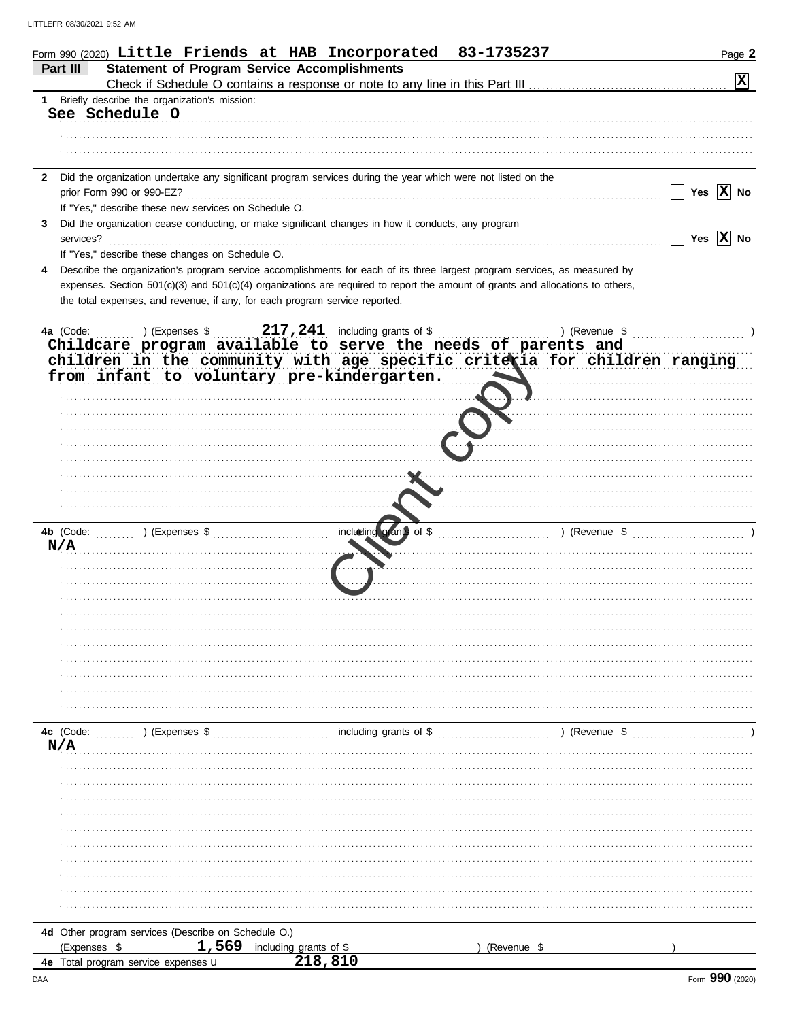|              | 83-1735237<br>Form 990 (2020) Little Friends at HAB Incorporated                                                                                                                                        | Page 2         |
|--------------|---------------------------------------------------------------------------------------------------------------------------------------------------------------------------------------------------------|----------------|
|              | <b>Statement of Program Service Accomplishments</b><br>Part III                                                                                                                                         |                |
|              |                                                                                                                                                                                                         | $ \mathbf{x} $ |
| 1            | Briefly describe the organization's mission:<br>See Schedule O                                                                                                                                          |                |
|              |                                                                                                                                                                                                         |                |
|              |                                                                                                                                                                                                         |                |
|              |                                                                                                                                                                                                         |                |
| $\mathbf{2}$ | Did the organization undertake any significant program services during the year which were not listed on the                                                                                            |                |
|              | prior Form 990 or 990-EZ?                                                                                                                                                                               | Yes $ X $ No   |
|              | If "Yes," describe these new services on Schedule O.                                                                                                                                                    |                |
| 3            | Did the organization cease conducting, or make significant changes in how it conducts, any program<br>services?                                                                                         | Yes $ X $ No   |
|              | If "Yes," describe these changes on Schedule O.                                                                                                                                                         |                |
|              | Describe the organization's program service accomplishments for each of its three largest program services, as measured by                                                                              |                |
|              | expenses. Section 501(c)(3) and 501(c)(4) organizations are required to report the amount of grants and allocations to others,                                                                          |                |
|              | the total expenses, and revenue, if any, for each program service reported.                                                                                                                             |                |
|              |                                                                                                                                                                                                         |                |
|              | $217, 241$ including grants of \$<br>4a (Code:<br>la (Code: ) (Expenses \$217,241 including grants of \$) (Revenue \$<br>Childcare program available to serve the needs of parents and<br>) (Revenue \$ |                |
|              | children in the community with age specific criteria for children ranging                                                                                                                               |                |
|              | from infant to voluntary pre-kindergarten.                                                                                                                                                              |                |
|              |                                                                                                                                                                                                         |                |
|              |                                                                                                                                                                                                         |                |
|              |                                                                                                                                                                                                         |                |
|              |                                                                                                                                                                                                         |                |
|              |                                                                                                                                                                                                         |                |
|              |                                                                                                                                                                                                         |                |
|              |                                                                                                                                                                                                         |                |
|              |                                                                                                                                                                                                         |                |
|              | including grants of \$<br>) (Revenue \$<br>4b (Code: ) (Expenses \$                                                                                                                                     |                |
|              | N/A                                                                                                                                                                                                     |                |
|              |                                                                                                                                                                                                         |                |
|              |                                                                                                                                                                                                         |                |
|              |                                                                                                                                                                                                         |                |
|              |                                                                                                                                                                                                         |                |
|              |                                                                                                                                                                                                         |                |
|              |                                                                                                                                                                                                         |                |
|              |                                                                                                                                                                                                         |                |
|              |                                                                                                                                                                                                         |                |
|              |                                                                                                                                                                                                         |                |
|              | including grants of \$ (Revenue \$ )<br>4c (Code:<br>$(1, 1, 1, 1, 1, 1)$ (Expenses \$                                                                                                                  |                |
|              | N/A                                                                                                                                                                                                     |                |
|              |                                                                                                                                                                                                         |                |
|              |                                                                                                                                                                                                         |                |
|              |                                                                                                                                                                                                         |                |
|              |                                                                                                                                                                                                         |                |
|              |                                                                                                                                                                                                         |                |
|              |                                                                                                                                                                                                         |                |
|              |                                                                                                                                                                                                         |                |
|              |                                                                                                                                                                                                         |                |
|              |                                                                                                                                                                                                         |                |
|              | 4d Other program services (Describe on Schedule O.)                                                                                                                                                     |                |
|              | 1,569 including grants of \$<br>(Expenses \$<br>(Revenue \$                                                                                                                                             |                |
|              | 218,810<br>4e Total program service expenses u                                                                                                                                                          |                |

DAA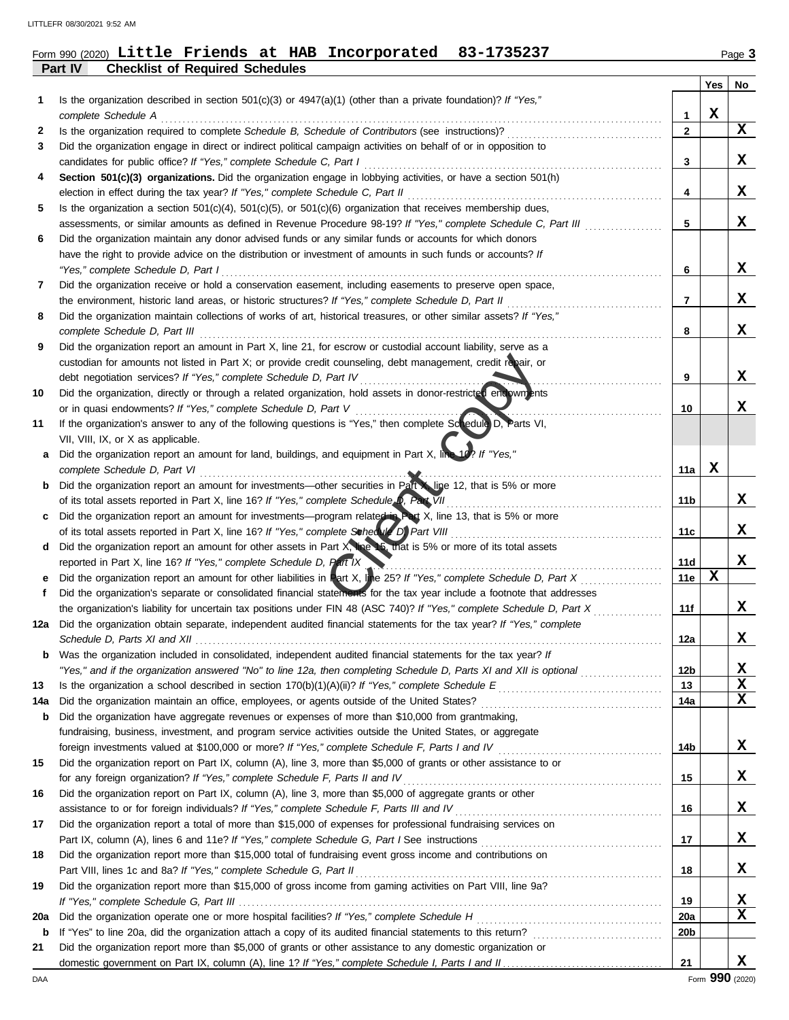**Part IV Checklist of Required Schedules**

## Form 990 (2020) Page **3 Little Friends at HAB Incorporated 83-1735237**

|     |                                                                                                                                                                               |                 | <b>Yes</b> | No |
|-----|-------------------------------------------------------------------------------------------------------------------------------------------------------------------------------|-----------------|------------|----|
| 1   | Is the organization described in section $501(c)(3)$ or $4947(a)(1)$ (other than a private foundation)? If "Yes,"<br>complete Schedule A                                      | 1               | х          |    |
| 2   | Is the organization required to complete Schedule B, Schedule of Contributors (see instructions)?                                                                             | $\mathbf{2}$    |            | x  |
| 3   | Did the organization engage in direct or indirect political campaign activities on behalf of or in opposition to                                                              |                 |            |    |
|     | candidates for public office? If "Yes," complete Schedule C, Part I                                                                                                           | 3               |            | X. |
| 4   | Section 501(c)(3) organizations. Did the organization engage in lobbying activities, or have a section 501(h)                                                                 |                 |            |    |
|     | election in effect during the tax year? If "Yes," complete Schedule C, Part II                                                                                                | 4               |            | x  |
| 5   | Is the organization a section $501(c)(4)$ , $501(c)(5)$ , or $501(c)(6)$ organization that receives membership dues,                                                          |                 |            |    |
|     | assessments, or similar amounts as defined in Revenue Procedure 98-19? If "Yes," complete Schedule C, Part III                                                                | 5               |            | X  |
| 6   | Did the organization maintain any donor advised funds or any similar funds or accounts for which donors                                                                       |                 |            |    |
|     | have the right to provide advice on the distribution or investment of amounts in such funds or accounts? If                                                                   |                 |            |    |
|     | "Yes," complete Schedule D, Part I                                                                                                                                            | 6               |            | x  |
| 7   | Did the organization receive or hold a conservation easement, including easements to preserve open space,                                                                     |                 |            |    |
|     | the environment, historic land areas, or historic structures? If "Yes," complete Schedule D, Part II                                                                          | 7               |            | x  |
| 8   | Did the organization maintain collections of works of art, historical treasures, or other similar assets? If "Yes,"                                                           |                 |            |    |
|     | complete Schedule D, Part III                                                                                                                                                 | 8               |            | X  |
| 9   | Did the organization report an amount in Part X, line 21, for escrow or custodial account liability, serve as a                                                               |                 |            |    |
|     | custodian for amounts not listed in Part X; or provide credit counseling, debt management, credit repair, or                                                                  |                 |            |    |
|     | debt negotiation services? If "Yes," complete Schedule D, Part IV                                                                                                             | 9               |            | x  |
| 10  | Did the organization, directly or through a related organization, hold assets in donor-restricted encowments<br>or in quasi endowments? If "Yes," complete Schedule D, Part V | 10              |            | x  |
| 11  | If the organization's answer to any of the following questions is "Yes," then complete Scredule D, Parts VI,                                                                  |                 |            |    |
|     | VII, VIII, IX, or X as applicable.                                                                                                                                            |                 |            |    |
| a   | Did the organization report an amount for land, buildings, and equipment in Part X, line 10? If "Yes,"                                                                        |                 |            |    |
|     | complete Schedule D, Part VI                                                                                                                                                  | 11a             | х          |    |
| b   | Did the organization report an amount for investments—other securities in Part line 12, that is 5% or more                                                                    |                 |            |    |
|     | of its total assets reported in Part X, line 16? If "Yes," complete Schedule D, Part VII                                                                                      | 11b             |            | х  |
| C   | Did the organization report an amount for investments—program related in Part X, line 13, that is 5% or more                                                                  |                 |            |    |
|     | of its total assets reported in Part X, line 16? If "Yes," complete Schedvie D, Part VIII                                                                                     | 11c             |            | x  |
| d   | Did the organization report an amount for other assets in Part X, the 15, that is 5% or more of its total assets                                                              |                 |            |    |
|     | reported in Part X, line 16? If "Yes," complete Schedule D, Part IX                                                                                                           | 11d             |            | X  |
| е   | Did the organization report an amount for other liabilities in Part X, Ine 25? If "Yes," complete Schedule D, Part X                                                          | 11e             | х          |    |
| f   | Did the organization's separate or consolidated financial statements for the tax year include a footnote that addresses                                                       |                 |            |    |
|     | the organization's liability for uncertain tax positions under FIN 48 (ASC 740)? If "Yes," complete Schedule D, Part X                                                        | 11f             |            | x  |
| 12a | Did the organization obtain separate, independent audited financial statements for the tax year? If "Yes," complete                                                           |                 |            | X  |
|     | Schedule D, Parts XI and XII<br><b>b</b> Was the organization included in consolidated, independent audited financial statements for the tax vear? If                         | 12a             |            |    |
|     | "Yes," and if the organization answered "No" to line 12a, then completing Schedule D, Parts XI and XII is optional                                                            | 12 <sub>b</sub> |            | х  |
| 13  |                                                                                                                                                                               | 13              |            | X  |
| 14a |                                                                                                                                                                               | 14a             |            | х  |
| b   | Did the organization have aggregate revenues or expenses of more than \$10,000 from grantmaking,                                                                              |                 |            |    |
|     | fundraising, business, investment, and program service activities outside the United States, or aggregate                                                                     |                 |            |    |
|     |                                                                                                                                                                               | 14b             |            | X  |
| 15  | Did the organization report on Part IX, column (A), line 3, more than \$5,000 of grants or other assistance to or                                                             |                 |            |    |
|     | for any foreign organization? If "Yes," complete Schedule F, Parts II and IV [[[[[[[[[[[[[[[[[[[[[[[[[[[[[[[[                                                                 | 15              |            | X  |
| 16  | Did the organization report on Part IX, column (A), line 3, more than \$5,000 of aggregate grants or other                                                                    |                 |            |    |
|     | assistance to or for foreign individuals? If "Yes," complete Schedule F, Parts III and IV [[[[[[[[[[[[[[[[[[[                                                                 | 16              |            | X  |
| 17  | Did the organization report a total of more than \$15,000 of expenses for professional fundraising services on                                                                |                 |            |    |
|     |                                                                                                                                                                               | 17              |            | X  |
| 18  | Did the organization report more than \$15,000 total of fundraising event gross income and contributions on                                                                   |                 |            |    |
|     |                                                                                                                                                                               | 18              |            | x  |
| 19  | Did the organization report more than \$15,000 of gross income from gaming activities on Part VIII, line 9a?                                                                  | 19              |            | x  |
| 20a |                                                                                                                                                                               | 20a             |            | X  |
| b   |                                                                                                                                                                               | 20 <sub>b</sub> |            |    |
| 21  | Did the organization report more than \$5,000 of grants or other assistance to any domestic organization or                                                                   |                 |            |    |
|     |                                                                                                                                                                               | 21              |            | x  |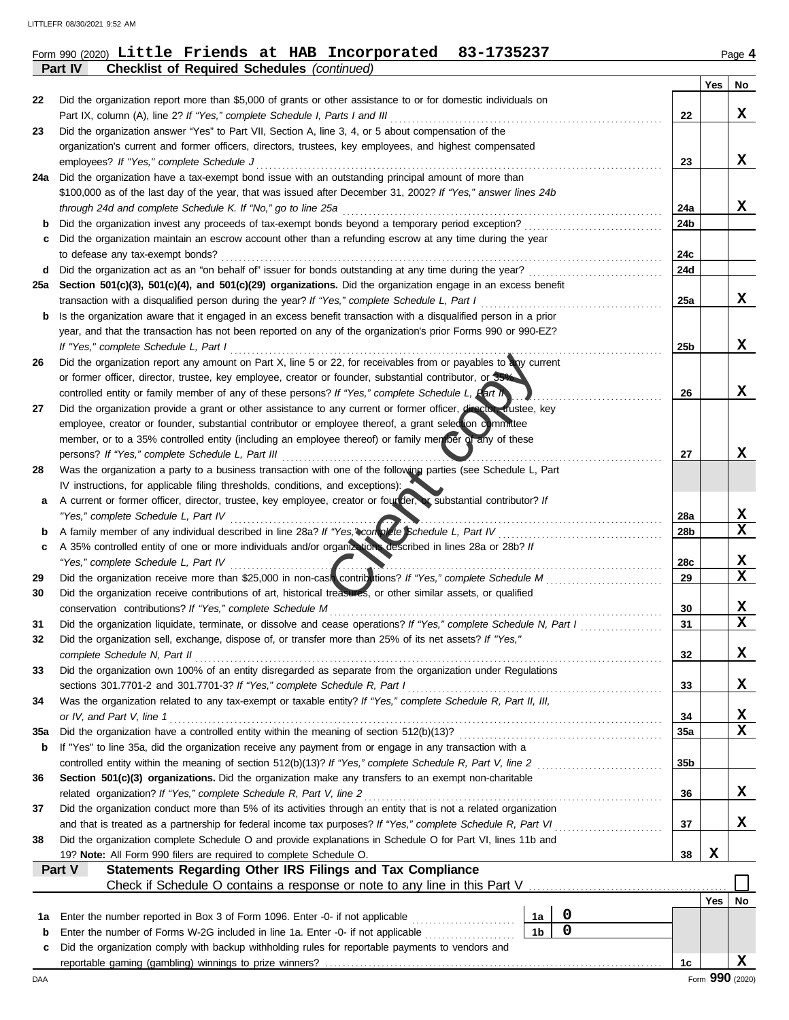| Form 990 (2020) Little Friends at HAB Incorporated 83-1735237 |
|---------------------------------------------------------------|
|---------------------------------------------------------------|

**Part IV Checklist of Required Schedules** *(continued)*

|     |                                                                                                                                                                                                              |                 | Yes        | No              |
|-----|--------------------------------------------------------------------------------------------------------------------------------------------------------------------------------------------------------------|-----------------|------------|-----------------|
| 22  | Did the organization report more than \$5,000 of grants or other assistance to or for domestic individuals on                                                                                                |                 |            |                 |
|     | Part IX, column (A), line 2? If "Yes," complete Schedule I, Parts I and III                                                                                                                                  | 22              |            | X               |
| 23  | Did the organization answer "Yes" to Part VII, Section A, line 3, 4, or 5 about compensation of the                                                                                                          |                 |            |                 |
|     | organization's current and former officers, directors, trustees, key employees, and highest compensated                                                                                                      |                 |            |                 |
|     | employees? If "Yes," complete Schedule J                                                                                                                                                                     | 23              |            | x               |
| 24a | Did the organization have a tax-exempt bond issue with an outstanding principal amount of more than                                                                                                          |                 |            |                 |
|     | \$100,000 as of the last day of the year, that was issued after December 31, 2002? If "Yes," answer lines 24b                                                                                                |                 |            | x               |
| b   | through 24d and complete Schedule K. If "No," go to line 25a<br>Did the organization invest any proceeds of tax-exempt bonds beyond a temporary period exception?                                            | 24a<br>24b      |            |                 |
| с   | Did the organization maintain an escrow account other than a refunding escrow at any time during the year                                                                                                    |                 |            |                 |
|     | to defease any tax-exempt bonds?                                                                                                                                                                             | 24с             |            |                 |
| d   | Did the organization act as an "on behalf of" issuer for bonds outstanding at any time during the year?                                                                                                      | 24d             |            |                 |
| 25а | Section 501(c)(3), 501(c)(4), and 501(c)(29) organizations. Did the organization engage in an excess benefit                                                                                                 |                 |            |                 |
|     | transaction with a disqualified person during the year? If "Yes," complete Schedule L, Part I                                                                                                                | 25a             |            | х               |
| b   | Is the organization aware that it engaged in an excess benefit transaction with a disqualified person in a prior                                                                                             |                 |            |                 |
|     | year, and that the transaction has not been reported on any of the organization's prior Forms 990 or 990-EZ?                                                                                                 |                 |            |                 |
|     | If "Yes," complete Schedule L, Part I                                                                                                                                                                        | 25 <sub>b</sub> |            | X               |
| 26  | Did the organization report any amount on Part X, line 5 or 22, for receivables from or payables to any current                                                                                              |                 |            |                 |
|     | or former officer, director, trustee, key employee, creator or founder, substantial contributor, or 35%                                                                                                      |                 |            |                 |
|     | controlled entity or family member of any of these persons? If "Yes," complete Schedule L, Part IN                                                                                                           | 26              |            | x               |
| 27  | Did the organization provide a grant or other assistance to any current or former officer, director trustee, key                                                                                             |                 |            |                 |
|     | employee, creator or founder, substantial contributor or employee thereof, a grant selection committee                                                                                                       |                 |            |                 |
|     | member, or to a 35% controlled entity (including an employee thereof) or family member of any of these                                                                                                       |                 |            |                 |
|     | persons? If "Yes," complete Schedule L, Part III                                                                                                                                                             | 27              |            | x               |
| 28  | Was the organization a party to a business transaction with one of the following parties (see Schedule L, Part                                                                                               |                 |            |                 |
|     | IV instructions, for applicable filing thresholds, conditions, and exceptions):                                                                                                                              |                 |            |                 |
| a   | A current or former officer, director, trustee, key employee, creator or founder, at substantial contributor? If                                                                                             |                 |            |                 |
|     | "Yes," complete Schedule L, Part IV                                                                                                                                                                          | 28a             |            | X<br>X          |
| b   | A family member of any individual described in line 28a? If "Yes," complete Schedule L, Part IV<br>A 35% controlled entity of one or more individuals and/or organizations described in lines 28a or 28b? If | 28b             |            |                 |
| c   | "Yes," complete Schedule L, Part IV                                                                                                                                                                          | 28c             |            | X               |
| 29  |                                                                                                                                                                                                              | 29              |            | X               |
| 30  | Did the organization receive contributions of art, historical treasures, or other similar assets, or qualified                                                                                               |                 |            |                 |
|     | conservation contributions? If "Yes," complete Schedule M                                                                                                                                                    | 30              |            | X               |
| 31  | Did the organization liquidate, terminate, or dissolve and cease operations? If "Yes," complete Schedule N, Part I                                                                                           | 31              |            | $\mathbf x$     |
| 32  | Did the organization sell, exchange, dispose of, or transfer more than 25% of its net assets? If "Yes,"                                                                                                      |                 |            |                 |
|     | complete Schedule N, Part II                                                                                                                                                                                 | 32              |            | X               |
| 33  | Did the organization own 100% of an entity disregarded as separate from the organization under Regulations                                                                                                   |                 |            |                 |
|     | sections 301.7701-2 and 301.7701-3? If "Yes," complete Schedule R, Part I                                                                                                                                    | 33              |            | x               |
| 34  | Was the organization related to any tax-exempt or taxable entity? If "Yes," complete Schedule R, Part II, III,                                                                                               |                 |            |                 |
|     | or IV, and Part V, line 1                                                                                                                                                                                    | 34              |            | X               |
| 35a |                                                                                                                                                                                                              | 35a             |            | $\mathbf x$     |
| b   | If "Yes" to line 35a, did the organization receive any payment from or engage in any transaction with a                                                                                                      |                 |            |                 |
|     | controlled entity within the meaning of section 512(b)(13)? If "Yes," complete Schedule R, Part V, line 2                                                                                                    | 35 <sub>b</sub> |            |                 |
| 36  | Section 501(c)(3) organizations. Did the organization make any transfers to an exempt non-charitable                                                                                                         |                 |            |                 |
|     | related organization? If "Yes," complete Schedule R, Part V, line 2                                                                                                                                          | 36              |            | X               |
| 37  | Did the organization conduct more than 5% of its activities through an entity that is not a related organization                                                                                             |                 |            |                 |
|     | and that is treated as a partnership for federal income tax purposes? If "Yes," complete Schedule R, Part VI                                                                                                 | 37              |            | x               |
| 38  | Did the organization complete Schedule O and provide explanations in Schedule O for Part VI, lines 11b and<br>19? Note: All Form 990 filers are required to complete Schedule O.                             | 38              | X          |                 |
|     | Statements Regarding Other IRS Filings and Tax Compliance<br>Part V                                                                                                                                          |                 |            |                 |
|     | Check if Schedule O contains a response or note to any line in this Part V [11] Check if Schedule O contains a response or note to any line in this Part V                                                   |                 |            |                 |
|     |                                                                                                                                                                                                              |                 | <b>Yes</b> | No              |
| 1a  | 0<br>Enter the number reported in Box 3 of Form 1096. Enter -0- if not applicable [<br>1a                                                                                                                    |                 |            |                 |
| b   | $\mathbf 0$<br>1 <sub>b</sub><br>Enter the number of Forms W-2G included in line 1a. Enter -0- if not applicable                                                                                             |                 |            |                 |
| c   | Did the organization comply with backup withholding rules for reportable payments to vendors and                                                                                                             |                 |            |                 |
|     |                                                                                                                                                                                                              | 1c              |            | x               |
| DAA |                                                                                                                                                                                                              |                 |            | Form 990 (2020) |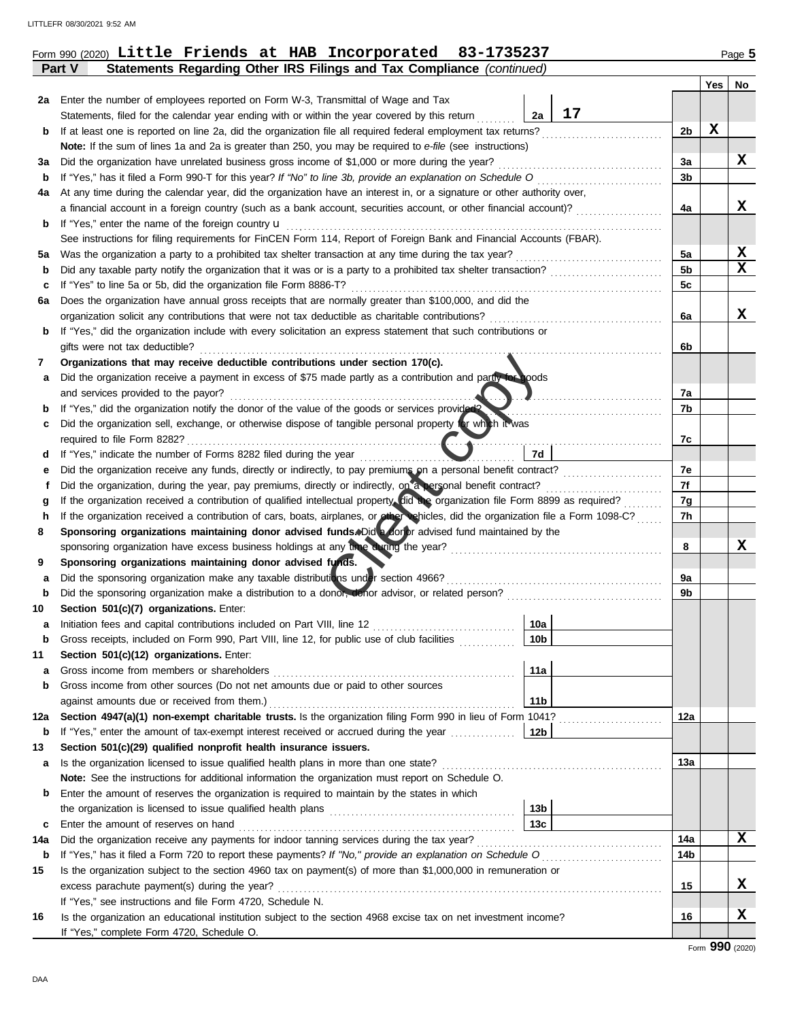| Form 990 (2020) Little Friends at HAB Incorporated 83-1735237 |  |  |  |  |  |  |  | Page 5 |
|---------------------------------------------------------------|--|--|--|--|--|--|--|--------|
|---------------------------------------------------------------|--|--|--|--|--|--|--|--------|

|             | Statements Regarding Other IRS Filings and Tax Compliance (continued)<br>Part V                                                                                                                                    |                 |    |                 |     |        |
|-------------|--------------------------------------------------------------------------------------------------------------------------------------------------------------------------------------------------------------------|-----------------|----|-----------------|-----|--------|
|             |                                                                                                                                                                                                                    |                 |    |                 | Yes | No     |
| 2a          | Enter the number of employees reported on Form W-3, Transmittal of Wage and Tax                                                                                                                                    |                 |    |                 |     |        |
|             | Statements, filed for the calendar year ending with or within the year covered by this return                                                                                                                      | 2a              | 17 |                 |     |        |
| b           | If at least one is reported on line 2a, did the organization file all required federal employment tax returns?                                                                                                     |                 |    | 2b              | X   |        |
|             | Note: If the sum of lines 1a and 2a is greater than 250, you may be required to e-file (see instructions)                                                                                                          |                 |    |                 |     |        |
| За          | Did the organization have unrelated business gross income of \$1,000 or more during the year?                                                                                                                      |                 |    | 3a              |     | X      |
| b           | If "Yes," has it filed a Form 990-T for this year? If "No" to line 3b, provide an explanation on Schedule O                                                                                                        |                 |    | 3 <sub>b</sub>  |     |        |
| 4a          | At any time during the calendar year, did the organization have an interest in, or a signature or other authority over,                                                                                            |                 |    |                 |     |        |
|             | a financial account in a foreign country (such as a bank account, securities account, or other financial account)?                                                                                                 |                 |    | 4a              |     | X      |
| b           | If "Yes," enter the name of the foreign country u                                                                                                                                                                  |                 |    |                 |     |        |
|             | See instructions for filing requirements for FinCEN Form 114, Report of Foreign Bank and Financial Accounts (FBAR).                                                                                                |                 |    |                 |     |        |
| 5a          | Was the organization a party to a prohibited tax shelter transaction at any time during the tax year?                                                                                                              |                 |    | 5a              |     | X<br>x |
| b           |                                                                                                                                                                                                                    |                 |    | 5b              |     |        |
| с           | If "Yes" to line 5a or 5b, did the organization file Form 8886-T?                                                                                                                                                  |                 |    | 5c              |     |        |
| 6а          | Does the organization have annual gross receipts that are normally greater than \$100,000, and did the                                                                                                             |                 |    |                 |     | х      |
|             | organization solicit any contributions that were not tax deductible as charitable contributions?<br>If "Yes," did the organization include with every solicitation an express statement that such contributions or |                 |    | 6a              |     |        |
| b           | gifts were not tax deductible?                                                                                                                                                                                     |                 |    |                 |     |        |
|             | Organizations that may receive deductible contributions under section 170(c).                                                                                                                                      |                 |    | 6b              |     |        |
| 7           | Did the organization receive a payment in excess of \$75 made partly as a contribution and partly to boods                                                                                                         |                 |    |                 |     |        |
| а           | and services provided to the payor?                                                                                                                                                                                |                 |    | 7a              |     |        |
| b           | If "Yes," did the organization notify the donor of the value of the goods or services provided?                                                                                                                    |                 |    | 7b              |     |        |
| c           | Did the organization sell, exchange, or otherwise dispose of tangible personal property for which it was                                                                                                           |                 |    |                 |     |        |
|             |                                                                                                                                                                                                                    |                 |    | 7c              |     |        |
| d           | If "Yes," indicate the number of Forms 8282 filed during the year                                                                                                                                                  | 7d              |    |                 |     |        |
| е           |                                                                                                                                                                                                                    |                 |    | 7e              |     |        |
| f           | Did the organization, during the year, pay premiums, directly or indirectly, on a personal benefit contract?                                                                                                       |                 |    | 7f              |     |        |
| g           | If the organization received a contribution of qualified intellectual property. fid the organization file Form 8899 as required?                                                                                   |                 |    | 7g              |     |        |
| h           | If the organization received a contribution of cars, boats, airplanes, or other vehicles, did the organization file a Form 1098-C?                                                                                 |                 |    | 7h              |     |        |
| 8           | Sponsoring organizations maintaining donor advised funds. Did a forer advised fund maintained by the                                                                                                               |                 |    |                 |     |        |
|             | sponsoring organization have excess business holdings at any time during the year?                                                                                                                                 |                 |    | 8               |     | x      |
| 9           | Sponsoring organizations maintaining donor advised funds.                                                                                                                                                          |                 |    |                 |     |        |
| а           | Did the sponsoring organization make any taxable distributions under section 4966?                                                                                                                                 |                 |    | 9a              |     |        |
| $\mathbf b$ |                                                                                                                                                                                                                    |                 |    | 9b              |     |        |
| 10          | Section 501(c)(7) organizations. Enter:                                                                                                                                                                            |                 |    |                 |     |        |
| а           |                                                                                                                                                                                                                    | 10a             |    |                 |     |        |
| b           | Gross receipts, included on Form 990, Part VIII, line 12, for public use of club facilities                                                                                                                        | 10 <sub>b</sub> |    |                 |     |        |
| 11          | Section 501(c)(12) organizations. Enter:                                                                                                                                                                           |                 |    |                 |     |        |
| a           |                                                                                                                                                                                                                    | 11a             |    |                 |     |        |
| b           | Gross income from other sources (Do not net amounts due or paid to other sources                                                                                                                                   |                 |    |                 |     |        |
|             |                                                                                                                                                                                                                    | 11 <sub>b</sub> |    |                 |     |        |
| 12a         | Section 4947(a)(1) non-exempt charitable trusts. Is the organization filing Form 990 in lieu of Form 1041?                                                                                                         |                 |    | 12a             |     |        |
| b           |                                                                                                                                                                                                                    |                 |    |                 |     |        |
| 13          | Section 501(c)(29) qualified nonprofit health insurance issuers.                                                                                                                                                   |                 |    |                 |     |        |
| a           | Is the organization licensed to issue qualified health plans in more than one state?                                                                                                                               |                 |    | 13а             |     |        |
|             | Note: See the instructions for additional information the organization must report on Schedule O.                                                                                                                  |                 |    |                 |     |        |
| b           | Enter the amount of reserves the organization is required to maintain by the states in which                                                                                                                       | 13 <sub>b</sub> |    |                 |     |        |
|             |                                                                                                                                                                                                                    | 13c             |    |                 |     |        |
| c<br>14a    |                                                                                                                                                                                                                    |                 |    | 14a             |     | x      |
| b           | If "Yes," has it filed a Form 720 to report these payments? If "No," provide an explanation on Schedule O                                                                                                          |                 |    | 14 <sub>b</sub> |     |        |
| 15          | Is the organization subject to the section 4960 tax on payment(s) of more than \$1,000,000 in remuneration or                                                                                                      |                 |    |                 |     |        |
|             |                                                                                                                                                                                                                    |                 |    | 15              |     | X      |
|             | If "Yes," see instructions and file Form 4720, Schedule N.                                                                                                                                                         |                 |    |                 |     |        |
| 16          | Is the organization an educational institution subject to the section 4968 excise tax on net investment income?                                                                                                    |                 |    | 16              |     | х      |
|             | If "Yes," complete Form 4720, Schedule O.                                                                                                                                                                          |                 |    |                 |     |        |
|             |                                                                                                                                                                                                                    |                 |    |                 |     |        |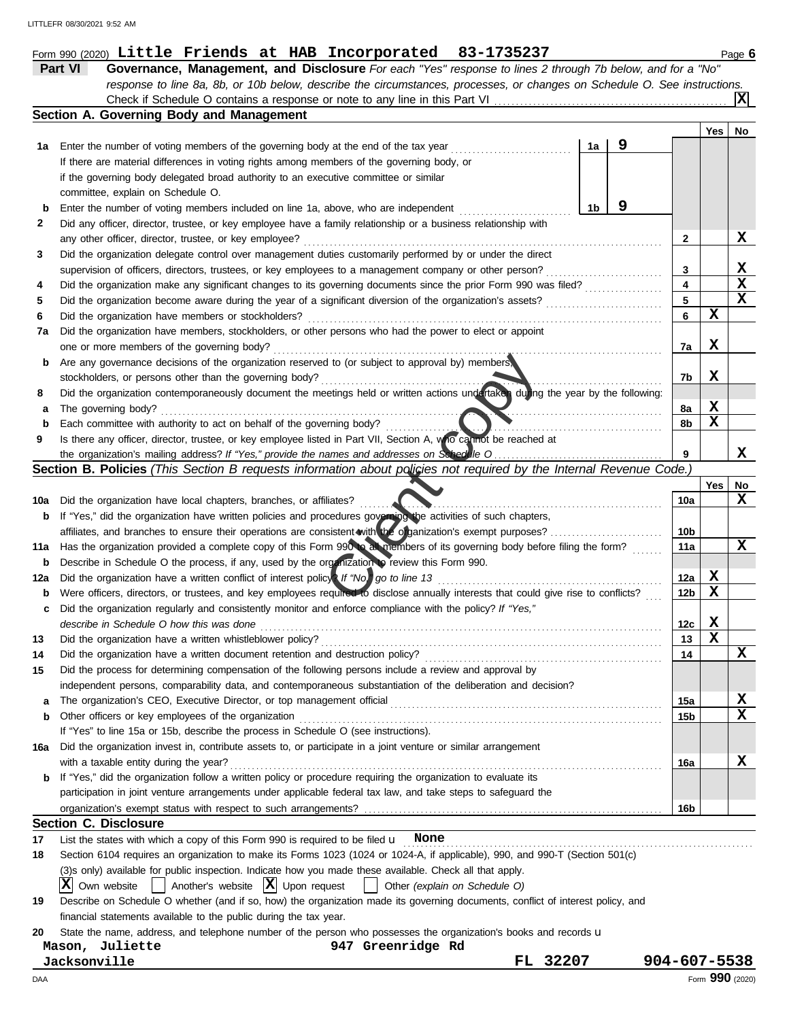|                  | Check if Schedule O contains a response or note to any line in this Part VI                                                                                  |    |   |                 |     | $\mathbf{x}$    |
|------------------|--------------------------------------------------------------------------------------------------------------------------------------------------------------|----|---|-----------------|-----|-----------------|
|                  | Section A. Governing Body and Management                                                                                                                     |    |   |                 |     |                 |
|                  |                                                                                                                                                              |    |   |                 | Yes | No              |
| 1а               | Enter the number of voting members of the governing body at the end of the tax year                                                                          | 1a | 9 |                 |     |                 |
|                  | If there are material differences in voting rights among members of the governing body, or                                                                   |    |   |                 |     |                 |
|                  | if the governing body delegated broad authority to an executive committee or similar                                                                         |    |   |                 |     |                 |
|                  | committee, explain on Schedule O.                                                                                                                            |    |   |                 |     |                 |
| $\mathbf b$      | Enter the number of voting members included on line 1a, above, who are independent                                                                           | 1b | 9 |                 |     |                 |
| 2                | Did any officer, director, trustee, or key employee have a family relationship or a business relationship with                                               |    |   |                 |     |                 |
|                  | any other officer, director, trustee, or key employee?                                                                                                       |    |   | 2               |     | X               |
| 3                | Did the organization delegate control over management duties customarily performed by or under the direct                                                    |    |   |                 |     |                 |
|                  | supervision of officers, directors, trustees, or key employees to a management company or other person?                                                      |    | . | 3               |     | X               |
| 4                | Did the organization make any significant changes to its governing documents since the prior Form 990 was filed?                                             |    |   | 4               |     | $\mathbf x$     |
| 5                | Did the organization become aware during the year of a significant diversion of the organization's assets?                                                   |    |   | 5               |     | X               |
| 6                | Did the organization have members or stockholders?                                                                                                           |    |   | 6               | X   |                 |
| 7a               | Did the organization have members, stockholders, or other persons who had the power to elect or appoint                                                      |    |   |                 |     |                 |
|                  | one or more members of the governing body?                                                                                                                   |    |   | 7a              | X   |                 |
| b                | Are any governance decisions of the organization reserved to (or subject to approval by) members,<br>stockholders, or persons other than the governing body? |    |   | 7b              | X   |                 |
| 8                | Did the organization contemporaneously document the meetings held or written actions undertaken during the year by the following:                            |    |   |                 |     |                 |
|                  | The governing body?                                                                                                                                          |    |   | 8a              | X   |                 |
| а<br>$\mathbf b$ | Each committee with authority to act on behalf of the governing body?                                                                                        |    |   | 8b              | X   |                 |
| 9                | Is there any officer, director, trustee, or key employee listed in Part VII, Section A, who cannot be reached at                                             |    |   |                 |     |                 |
|                  |                                                                                                                                                              |    |   | 9               |     | х               |
|                  | Section B. Policies (This Section B requests information about policies not required by the Internal Revenue Code.)                                          |    |   |                 |     |                 |
|                  |                                                                                                                                                              |    |   |                 | Yes | No              |
| 10a              | Did the organization have local chapters, branches, or affiliates?                                                                                           |    |   | 10a             |     | X               |
| b                | If "Yes," did the organization have written policies and procedures governing the activities of such chapters,                                               |    |   |                 |     |                 |
|                  | affiliates, and branches to ensure their operations are consistent with the o ganization's exempt purposes?                                                  |    |   | 10b             |     |                 |
| 11a              | Has the organization provided a complete copy of this Form 990 in all members of its governing body before filing the form?                                  |    |   | 11a             |     | x               |
| b                | Describe in Schedule O the process, if any, used by the organization to review this Form 990.                                                                |    |   |                 |     |                 |
| 12a              | Did the organization have a written conflict of interest policy? If "No," go to line 13                                                                      |    |   | 12a             | X   |                 |
| b                | Were officers, directors, or trustees, and key employees required to disclose annually interests that could give rise to conflicts?                          |    |   | 12 <sub>b</sub> | X   |                 |
| c                | Did the organization regularly and consistently monitor and enforce compliance with the policy? If "Yes,"                                                    |    |   |                 |     |                 |
|                  | describe in Schedule O how this was done                                                                                                                     |    |   | 12c             | X   |                 |
| 13               | Did the organization have a written whistleblower policy?                                                                                                    |    |   | 13              | X   |                 |
| 14               | Did the organization have a written document retention and destruction policy?                                                                               |    |   | 14              |     | X               |
| 15               | Did the process for determining compensation of the following persons include a review and approval by                                                       |    |   |                 |     |                 |
|                  | independent persons, comparability data, and contemporaneous substantiation of the deliberation and decision?                                                |    |   |                 |     |                 |
| а                |                                                                                                                                                              |    |   | 15a             |     | X               |
| b                | Other officers or key employees of the organization                                                                                                          |    |   | 15b             |     | X               |
|                  | If "Yes" to line 15a or 15b, describe the process in Schedule O (see instructions).                                                                          |    |   |                 |     |                 |
| 16a              | Did the organization invest in, contribute assets to, or participate in a joint venture or similar arrangement                                               |    |   |                 |     |                 |
|                  | with a taxable entity during the year?                                                                                                                       |    |   | 16a             |     | X               |
| b                | If "Yes," did the organization follow a written policy or procedure requiring the organization to evaluate its                                               |    |   |                 |     |                 |
|                  | participation in joint venture arrangements under applicable federal tax law, and take steps to safeguard the                                                |    |   |                 |     |                 |
|                  |                                                                                                                                                              |    |   | 16 <sub>b</sub> |     |                 |
| 17               | <b>Section C. Disclosure</b><br>List the states with which a copy of this Form 990 is required to be filed $\mathbf u$ None                                  |    |   |                 |     |                 |
| 18               | Section 6104 requires an organization to make its Forms 1023 (1024 or 1024-A, if applicable), 990, and 990-T (Section 501(c)                                 |    |   |                 |     |                 |
|                  | (3)s only) available for public inspection. Indicate how you made these available. Check all that apply.                                                     |    |   |                 |     |                 |
|                  | Own website $\begin{vmatrix} \end{vmatrix}$ Another's website $\begin{vmatrix} X \\ \end{vmatrix}$ Upon request<br>ΙXΙ<br>Other (explain on Schedule O)      |    |   |                 |     |                 |
| 19               | Describe on Schedule O whether (and if so, how) the organization made its governing documents, conflict of interest policy, and                              |    |   |                 |     |                 |
|                  | financial statements available to the public during the tax year.                                                                                            |    |   |                 |     |                 |
| 20               | State the name, address, and telephone number of the person who possesses the organization's books and records u                                             |    |   |                 |     |                 |
|                  | Mason, Juliette<br>947 Greenridge Rd                                                                                                                         |    |   |                 |     |                 |
|                  | FL 32207<br>Jacksonville                                                                                                                                     |    |   | 904-607-5538    |     |                 |
| DAA              |                                                                                                                                                              |    |   |                 |     | Form 990 (2020) |
|                  |                                                                                                                                                              |    |   |                 |     |                 |

**Part VI Governance, Management, and Disclosure** *For each "Yes" response to lines 2 through 7b below, and for a "No"*

*response to line 8a, 8b, or 10b below, describe the circumstances, processes, or changes on Schedule O. See instructions.*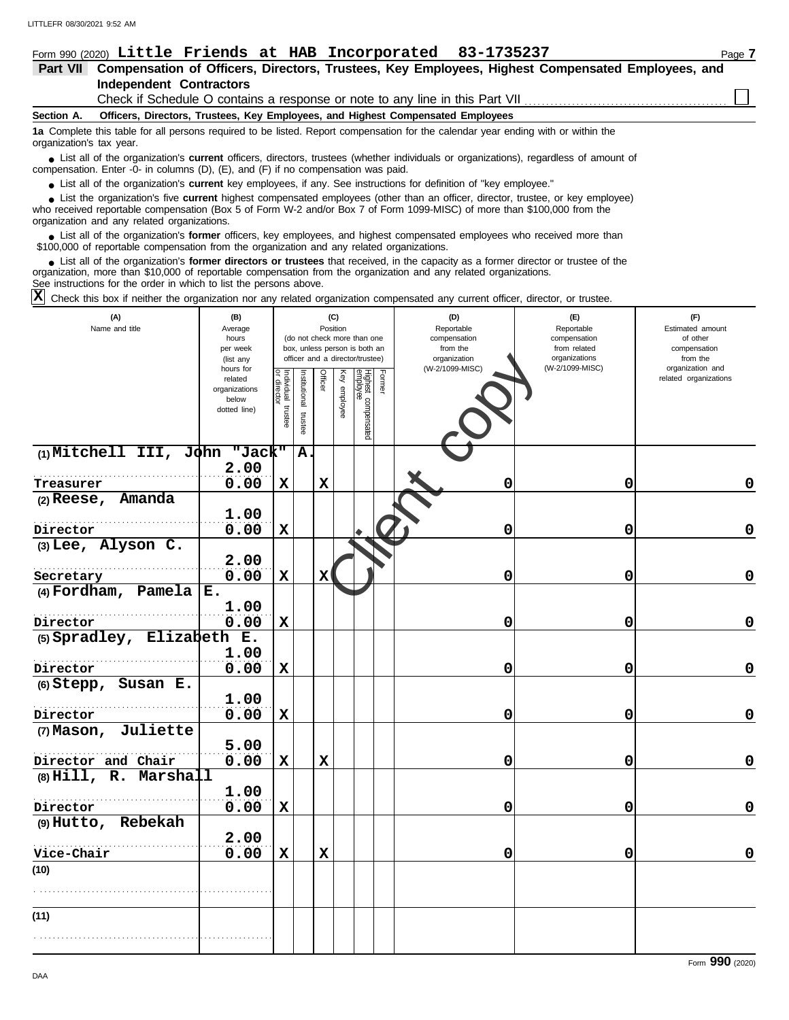| Form 990 (2020) Little Friends at HAB Incorporated 83-1735237                                                                                                                                                                                                                                              | Page 7 |  |  |  |  |  |  |
|------------------------------------------------------------------------------------------------------------------------------------------------------------------------------------------------------------------------------------------------------------------------------------------------------------|--------|--|--|--|--|--|--|
| Compensation of Officers, Directors, Trustees, Key Employees, Highest Compensated Employees, and<br>Part VII                                                                                                                                                                                               |        |  |  |  |  |  |  |
| <b>Independent Contractors</b>                                                                                                                                                                                                                                                                             |        |  |  |  |  |  |  |
| Check if Schedule O contains a response or note to any line in this Part VII                                                                                                                                                                                                                               |        |  |  |  |  |  |  |
| Section A.<br>Officers, Directors, Trustees, Key Employees, and Highest Compensated Employees                                                                                                                                                                                                              |        |  |  |  |  |  |  |
| 1a Complete this table for all persons required to be listed. Report compensation for the calendar year ending with or within the<br>organization's tax year.                                                                                                                                              |        |  |  |  |  |  |  |
| • List all of the organization's <b>current</b> officers, directors, trustees (whether individuals or organizations), regardless of amount of<br>compensation. Enter -0- in columns (D), (E), and (F) if no compensation was paid.                                                                         |        |  |  |  |  |  |  |
| • List all of the organization's current key employees, if any. See instructions for definition of "key employee."                                                                                                                                                                                         |        |  |  |  |  |  |  |
| • List the organization's five current highest compensated employees (other than an officer, director, trustee, or key employee)<br>who received reportable compensation (Box 5 of Form W-2 and/or Box 7 of Form 1099-MISC) of more than \$100,000 from the<br>organization and any related organizations. |        |  |  |  |  |  |  |

List all of the organization's **former** officers, key employees, and highest compensated employees who received more than • List all of the organization's **former** officers, key employees, and highest compensate \$100,000 of reportable compensation from the organization and any related organizations.

List all of the organization's **former directors or trustees** that received, in the capacity as a former director or trustee of the organization, more than \$10,000 of reportable compensation from the organization and any related organizations. See instructions for the order in which to list the persons above. **•**

Check this box if neither the organization nor any related organization compensated any current officer, director, or trustee. **X**

| (A)<br>Name and title         | (B)<br>Average<br>hours<br>per week<br>(list any<br>hours for |                                      |                       | (C)<br>Position |                 | (do not check more than one<br>box, unless person is both an<br>officer and a director/trustee) |        | with notified the enganization not any related enganization compenioated any canonic emocity allows, or tradece<br>(D)<br>Reportable<br>compensation<br>from the<br>organization<br>(W-2/1099-MISC) | (E)<br>Reportable<br>compensation<br>from related<br>organizations<br>(W-2/1099-MISC) | (F)<br>Estimated amount<br>of other<br>compensation<br>from the<br>organization and |
|-------------------------------|---------------------------------------------------------------|--------------------------------------|-----------------------|-----------------|-----------------|-------------------------------------------------------------------------------------------------|--------|-----------------------------------------------------------------------------------------------------------------------------------------------------------------------------------------------------|---------------------------------------------------------------------------------------|-------------------------------------------------------------------------------------|
|                               | related<br>organizations<br>below<br>dotted line)             | Individual<br>or director<br>trustee | Institutional trustee | Officer         | Ķey<br>employee | Highest compensated<br>employee                                                                 | Former |                                                                                                                                                                                                     |                                                                                       | related organizations                                                               |
| (1) Mitchell III, John "Jack" | 2.00                                                          |                                      | A.                    |                 |                 |                                                                                                 |        |                                                                                                                                                                                                     |                                                                                       |                                                                                     |
| Treasurer                     | 0.00                                                          | $\mathbf x$                          |                       | $\mathbf x$     |                 |                                                                                                 |        | 0                                                                                                                                                                                                   | 0                                                                                     | 0                                                                                   |
| Amanda<br>$(2)$ Reese,        | 1.00                                                          |                                      |                       |                 |                 |                                                                                                 |        |                                                                                                                                                                                                     |                                                                                       |                                                                                     |
| Director                      | 0.00                                                          | $\mathbf x$                          |                       |                 |                 |                                                                                                 |        | 0                                                                                                                                                                                                   | 0                                                                                     | $\mathbf 0$                                                                         |
| $(3)$ Lee, Alyson C.          | 2.00                                                          |                                      |                       |                 |                 |                                                                                                 |        |                                                                                                                                                                                                     |                                                                                       |                                                                                     |
| Secretary                     | 0.00                                                          | $\mathbf x$                          |                       | х               |                 |                                                                                                 |        | 0                                                                                                                                                                                                   | 0                                                                                     | 0                                                                                   |
| (4) Fordham, Pamela $E$ .     |                                                               |                                      |                       |                 |                 |                                                                                                 |        |                                                                                                                                                                                                     |                                                                                       |                                                                                     |
|                               | 1.00                                                          |                                      |                       |                 |                 |                                                                                                 |        |                                                                                                                                                                                                     |                                                                                       |                                                                                     |
| Director                      | 0.00                                                          | $\mathbf x$                          |                       |                 |                 |                                                                                                 |        | 0                                                                                                                                                                                                   | 0                                                                                     | 0                                                                                   |
| (5) Spradley, Elizabeth       | $E$ .                                                         |                                      |                       |                 |                 |                                                                                                 |        |                                                                                                                                                                                                     |                                                                                       |                                                                                     |
|                               | 1.00                                                          |                                      |                       |                 |                 |                                                                                                 |        |                                                                                                                                                                                                     |                                                                                       |                                                                                     |
| Director                      | 0.00                                                          | $\mathbf x$                          |                       |                 |                 |                                                                                                 |        | 0                                                                                                                                                                                                   | 0                                                                                     | $\mathbf 0$                                                                         |
| (6) Stepp, Susan E.           |                                                               |                                      |                       |                 |                 |                                                                                                 |        |                                                                                                                                                                                                     |                                                                                       |                                                                                     |
|                               | 1.00                                                          |                                      |                       |                 |                 |                                                                                                 |        |                                                                                                                                                                                                     |                                                                                       |                                                                                     |
| Director                      | 0.00                                                          | $\mathbf x$                          |                       |                 |                 |                                                                                                 |        | 0                                                                                                                                                                                                   | 0                                                                                     | 0                                                                                   |
| Juliette<br>$(7)$ Mason,      |                                                               |                                      |                       |                 |                 |                                                                                                 |        |                                                                                                                                                                                                     |                                                                                       |                                                                                     |
|                               | 5.00                                                          |                                      |                       |                 |                 |                                                                                                 |        |                                                                                                                                                                                                     |                                                                                       |                                                                                     |
| Director and Chair            | 0.00                                                          | $\mathbf x$                          |                       | $\mathbf x$     |                 |                                                                                                 |        | 0                                                                                                                                                                                                   | 0                                                                                     | $\mathbf 0$                                                                         |
| $(8)$ Hill, R. Marshall       |                                                               |                                      |                       |                 |                 |                                                                                                 |        |                                                                                                                                                                                                     |                                                                                       |                                                                                     |
|                               | 1.00                                                          |                                      |                       |                 |                 |                                                                                                 |        |                                                                                                                                                                                                     |                                                                                       |                                                                                     |
| Director                      | 0.00                                                          | $\mathbf x$                          |                       |                 |                 |                                                                                                 |        | 0                                                                                                                                                                                                   | 0                                                                                     | $\mathbf 0$                                                                         |
| (9) Hutto, Rebekah            |                                                               |                                      |                       |                 |                 |                                                                                                 |        |                                                                                                                                                                                                     |                                                                                       |                                                                                     |
|                               | 2.00                                                          |                                      |                       |                 |                 |                                                                                                 |        |                                                                                                                                                                                                     |                                                                                       |                                                                                     |
| Vice-Chair                    | 0.00                                                          | $\mathbf x$                          |                       | $\mathbf x$     |                 |                                                                                                 |        | 0                                                                                                                                                                                                   | 0                                                                                     | 0                                                                                   |
| (10)                          |                                                               |                                      |                       |                 |                 |                                                                                                 |        |                                                                                                                                                                                                     |                                                                                       |                                                                                     |
|                               |                                                               |                                      |                       |                 |                 |                                                                                                 |        |                                                                                                                                                                                                     |                                                                                       |                                                                                     |
| (11)                          |                                                               |                                      |                       |                 |                 |                                                                                                 |        |                                                                                                                                                                                                     |                                                                                       |                                                                                     |
|                               |                                                               |                                      |                       |                 |                 |                                                                                                 |        |                                                                                                                                                                                                     |                                                                                       |                                                                                     |
|                               |                                                               |                                      |                       |                 |                 |                                                                                                 |        |                                                                                                                                                                                                     |                                                                                       |                                                                                     |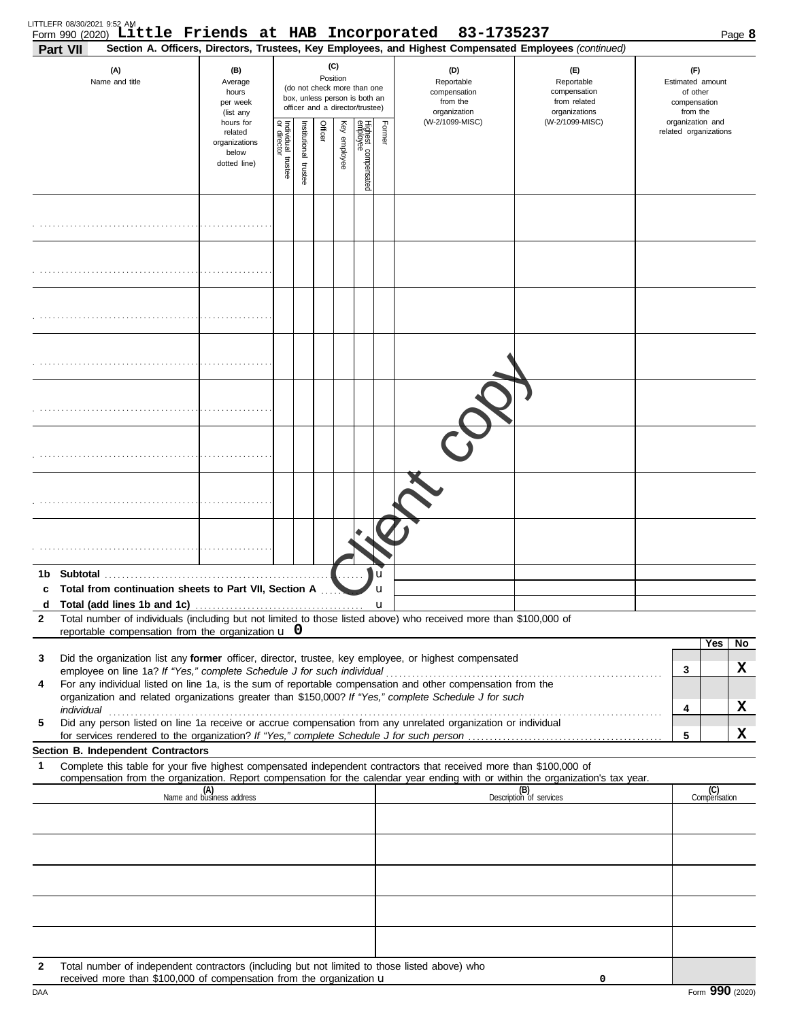| <b>Part VII</b> | LITTLEFR 08/30/2021 9:52 AM<br>Form 990 (2020) Little Friends at HAB Incorporated 83-1735237                                                                                                                                                                                                                                                         |                                                                |                                   |                         |                                                                                                                    |              |                                 |                                                               | Section A. Officers, Directors, Trustees, Key Employees, and Highest Compensated Employees (continued) |                                                                 |                                           | Page 8              |
|-----------------|------------------------------------------------------------------------------------------------------------------------------------------------------------------------------------------------------------------------------------------------------------------------------------------------------------------------------------------------------|----------------------------------------------------------------|-----------------------------------|-------------------------|--------------------------------------------------------------------------------------------------------------------|--------------|---------------------------------|---------------------------------------------------------------|--------------------------------------------------------------------------------------------------------|-----------------------------------------------------------------|-------------------------------------------|---------------------|
|                 | (A)<br>Name and title                                                                                                                                                                                                                                                                                                                                | (B)<br>Average<br>hours<br>per week<br>(list any               |                                   |                         | (C)<br>Position<br>(do not check more than one<br>box, unless person is both an<br>officer and a director/trustee) |              |                                 | (D)<br>Reportable<br>compensation<br>from the<br>organization | (E)<br>Reportable<br>compensation<br>from related<br>organizations                                     | (F)<br>Estimated amount<br>of other<br>compensation<br>from the |                                           |                     |
|                 |                                                                                                                                                                                                                                                                                                                                                      | hours for<br>related<br>organizations<br>below<br>dotted line) | Individual trustee<br>or director | nstitutional<br>trustee | Officer                                                                                                            | Key employee | Highest compensated<br>employee | Former                                                        | (W-2/1099-MISC)                                                                                        | (W-2/1099-MISC)                                                 | organization and<br>related organizations |                     |
|                 |                                                                                                                                                                                                                                                                                                                                                      |                                                                |                                   |                         |                                                                                                                    |              |                                 |                                                               |                                                                                                        |                                                                 |                                           |                     |
|                 |                                                                                                                                                                                                                                                                                                                                                      |                                                                |                                   |                         |                                                                                                                    |              |                                 |                                                               |                                                                                                        |                                                                 |                                           |                     |
|                 |                                                                                                                                                                                                                                                                                                                                                      |                                                                |                                   |                         |                                                                                                                    |              |                                 |                                                               |                                                                                                        |                                                                 |                                           |                     |
|                 |                                                                                                                                                                                                                                                                                                                                                      |                                                                |                                   |                         |                                                                                                                    |              |                                 |                                                               |                                                                                                        |                                                                 |                                           |                     |
|                 |                                                                                                                                                                                                                                                                                                                                                      |                                                                |                                   |                         |                                                                                                                    |              |                                 |                                                               |                                                                                                        |                                                                 |                                           |                     |
|                 |                                                                                                                                                                                                                                                                                                                                                      |                                                                |                                   |                         |                                                                                                                    |              |                                 |                                                               |                                                                                                        |                                                                 |                                           |                     |
|                 |                                                                                                                                                                                                                                                                                                                                                      |                                                                |                                   |                         |                                                                                                                    |              |                                 |                                                               |                                                                                                        |                                                                 |                                           |                     |
|                 |                                                                                                                                                                                                                                                                                                                                                      |                                                                |                                   |                         |                                                                                                                    |              |                                 |                                                               |                                                                                                        |                                                                 |                                           |                     |
| 1b.<br>c<br>d   | <b>Subtotal</b><br>Total from continuation sheets to Part VII, Section A                                                                                                                                                                                                                                                                             |                                                                |                                   |                         |                                                                                                                    |              |                                 | u<br>u<br>$\mathbf u$                                         |                                                                                                        |                                                                 |                                           |                     |
| $\mathbf{2}$    | Total number of individuals (including but not limited to those listed above) who received more than \$100,000 of<br>reportable compensation from the organization $\mathbf u$ 0                                                                                                                                                                     |                                                                |                                   |                         |                                                                                                                    |              |                                 |                                                               |                                                                                                        |                                                                 |                                           | Yes<br>No           |
| 3               | Did the organization list any former officer, director, trustee, key employee, or highest compensated                                                                                                                                                                                                                                                |                                                                |                                   |                         |                                                                                                                    |              |                                 |                                                               |                                                                                                        |                                                                 | 3                                         | X                   |
| 4               | For any individual listed on line 1a, is the sum of reportable compensation and other compensation from the<br>organization and related organizations greater than \$150,000? If "Yes," complete Schedule J for such                                                                                                                                 |                                                                |                                   |                         |                                                                                                                    |              |                                 |                                                               |                                                                                                        |                                                                 |                                           |                     |
| 5               | individual <b>construction in the construction of the construction of the construction</b> of the construction of the construction of the construction of the construction of the construction of the construction of the construct<br>Did any person listed on line 1a receive or accrue compensation from any unrelated organization or individual |                                                                |                                   |                         |                                                                                                                    |              |                                 |                                                               |                                                                                                        |                                                                 | 4                                         | X                   |
|                 |                                                                                                                                                                                                                                                                                                                                                      |                                                                |                                   |                         |                                                                                                                    |              |                                 |                                                               |                                                                                                        |                                                                 | 5                                         | X                   |
| 1               | Section B. Independent Contractors<br>Complete this table for your five highest compensated independent contractors that received more than \$100,000 of                                                                                                                                                                                             |                                                                |                                   |                         |                                                                                                                    |              |                                 |                                                               |                                                                                                        |                                                                 |                                           |                     |
|                 | compensation from the organization. Report compensation for the calendar year ending with or within the organization's tax year.                                                                                                                                                                                                                     | (A)<br>Name and business address                               |                                   |                         |                                                                                                                    |              |                                 |                                                               |                                                                                                        | (B)<br>Description of services                                  |                                           | (C)<br>Compensation |
|                 |                                                                                                                                                                                                                                                                                                                                                      |                                                                |                                   |                         |                                                                                                                    |              |                                 |                                                               |                                                                                                        |                                                                 |                                           |                     |
|                 |                                                                                                                                                                                                                                                                                                                                                      |                                                                |                                   |                         |                                                                                                                    |              |                                 |                                                               |                                                                                                        |                                                                 |                                           |                     |
|                 |                                                                                                                                                                                                                                                                                                                                                      |                                                                |                                   |                         |                                                                                                                    |              |                                 |                                                               |                                                                                                        |                                                                 |                                           |                     |
|                 |                                                                                                                                                                                                                                                                                                                                                      |                                                                |                                   |                         |                                                                                                                    |              |                                 |                                                               |                                                                                                        |                                                                 |                                           |                     |
|                 |                                                                                                                                                                                                                                                                                                                                                      |                                                                |                                   |                         |                                                                                                                    |              |                                 |                                                               |                                                                                                        |                                                                 |                                           |                     |
| 2               | Total number of independent contractors (including but not limited to those listed above) who<br>received more than \$100,000 of compensation from the organization u                                                                                                                                                                                |                                                                |                                   |                         |                                                                                                                    |              |                                 |                                                               |                                                                                                        | 0                                                               |                                           |                     |

| ۱Δ |  |  |
|----|--|--|
|    |  |  |
| Л  |  |  |
|    |  |  |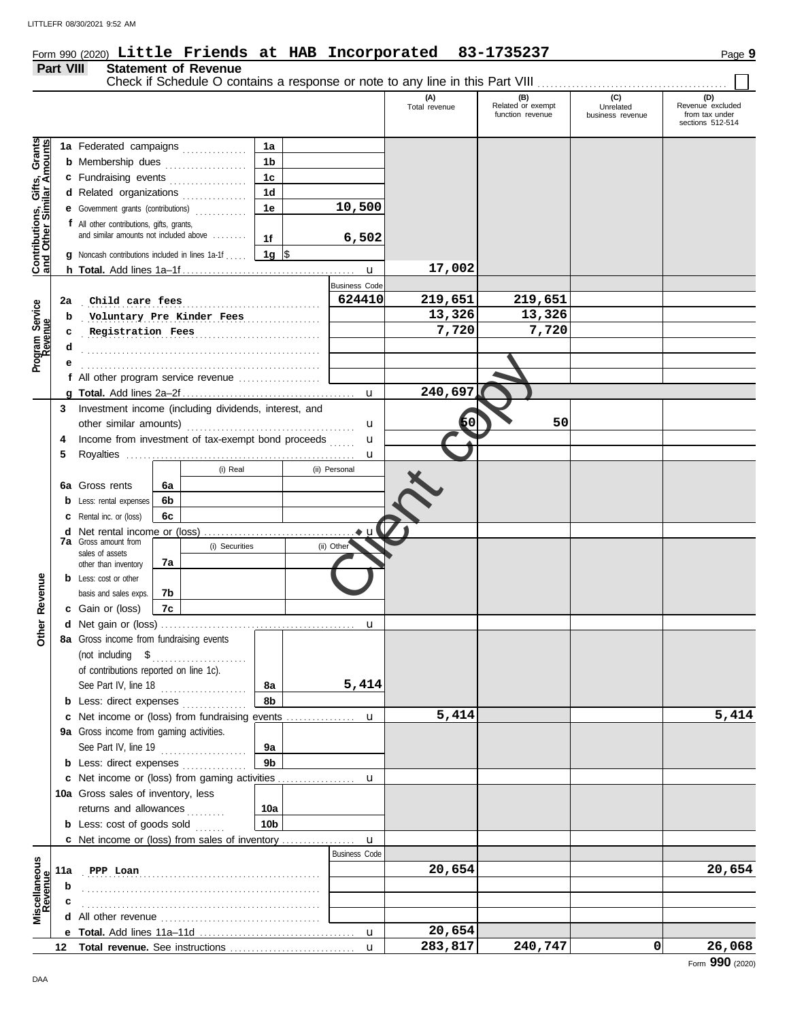## Form 990 (2020) Page **9 Little Friends at HAB Incorporated 83-1735237**

#### **Part VIII Statement of Revenue**

Check if Schedule O contains a response or note to any line in this Part VIII . . . . . . . . . . . . . . . . . . . . . . . . . . . . . . . . . . . . . . . . . . . .

|                                                           |     |                                                                                                                |    |                |                |   |                           | (A)<br>Total revenue | (B)<br>Related or exempt<br>function revenue | (C)<br>Unrelated<br>business revenue | (D)<br>Revenue excluded<br>from tax under |
|-----------------------------------------------------------|-----|----------------------------------------------------------------------------------------------------------------|----|----------------|----------------|---|---------------------------|----------------------|----------------------------------------------|--------------------------------------|-------------------------------------------|
|                                                           |     |                                                                                                                |    |                |                |   |                           |                      |                                              |                                      | sections 512-514                          |
|                                                           |     | 1a Federated campaigns                                                                                         |    |                | 1a             |   |                           |                      |                                              |                                      |                                           |
| Contributions, Gifts, Grants<br>and Other Similar Amounts |     | <b>b</b> Membership dues <i></i>                                                                               |    |                | 1 <sub>b</sub> |   |                           |                      |                                              |                                      |                                           |
|                                                           |     | c Fundraising events                                                                                           |    |                | 1 <sub>c</sub> |   |                           |                      |                                              |                                      |                                           |
|                                                           |     | d Related organizations                                                                                        |    |                | 1 <sub>d</sub> |   |                           |                      |                                              |                                      |                                           |
|                                                           |     | e Government grants (contributions)                                                                            |    |                | 1е             |   | 10,500                    |                      |                                              |                                      |                                           |
|                                                           |     | f All other contributions, gifts, grants,                                                                      |    |                |                |   |                           |                      |                                              |                                      |                                           |
|                                                           |     | and similar amounts not included above                                                                         |    |                | 1f             |   | 6,502                     |                      |                                              |                                      |                                           |
|                                                           |     | <b>g</b> Noncash contributions included in lines 1a-1f                                                         |    |                | 1g  \$         |   |                           |                      |                                              |                                      |                                           |
|                                                           |     |                                                                                                                |    |                |                |   | $\mathbf{u}$              | 17,002               |                                              |                                      |                                           |
|                                                           |     |                                                                                                                |    |                |                |   | <b>Business Code</b>      |                      |                                              |                                      |                                           |
|                                                           | 2a  | Child care fees                                                                                                |    |                |                |   | 624410                    | 219,651              | 219,651                                      |                                      |                                           |
|                                                           | b   | Voluntary Pre Kinder Fees                                                                                      |    |                |                | . |                           | 13,326               | 13,326                                       |                                      |                                           |
|                                                           | c   | Registration Fees                                                                                              |    |                |                |   |                           | 7,720                | 7,720                                        |                                      |                                           |
| Program Service<br>Revenue                                | d   |                                                                                                                |    |                |                |   |                           |                      |                                              |                                      |                                           |
|                                                           |     |                                                                                                                |    |                |                |   |                           |                      |                                              |                                      |                                           |
|                                                           |     | f All other program service revenue                                                                            |    |                |                |   |                           |                      |                                              |                                      |                                           |
|                                                           |     |                                                                                                                |    |                |                |   | $\mathbf{u}$              | 240,697              |                                              |                                      |                                           |
|                                                           | 3   | Investment income (including dividends, interest, and                                                          |    |                |                |   |                           |                      |                                              |                                      |                                           |
|                                                           |     |                                                                                                                |    |                |                |   | u                         | Б0                   | 50                                           |                                      |                                           |
|                                                           | 4   | Income from investment of tax-exempt bond proceeds                                                             |    |                |                |   | u                         |                      |                                              |                                      |                                           |
|                                                           | 5   |                                                                                                                |    |                |                |   | u                         |                      |                                              |                                      |                                           |
|                                                           |     |                                                                                                                |    | (i) Real       |                |   | (ii) Personal             |                      |                                              |                                      |                                           |
|                                                           |     | 6a Gross rents                                                                                                 | 6а |                |                |   |                           |                      |                                              |                                      |                                           |
|                                                           |     | <b>b</b> Less: rental expenses                                                                                 | 6b |                |                |   |                           |                      |                                              |                                      |                                           |
|                                                           |     | C Rental inc. or (loss)                                                                                        | 6c |                |                |   |                           |                      |                                              |                                      |                                           |
|                                                           |     |                                                                                                                |    |                |                |   |                           |                      |                                              |                                      |                                           |
|                                                           |     | <b>7a</b> Gross amount from<br>sales of assets                                                                 |    | (i) Securities |                |   | (ii) Other                |                      |                                              |                                      |                                           |
|                                                           |     | other than inventory                                                                                           | 7а |                |                |   |                           |                      |                                              |                                      |                                           |
|                                                           |     | <b>b</b> Less: cost or other                                                                                   |    |                |                |   |                           |                      |                                              |                                      |                                           |
|                                                           |     | basis and sales exps.                                                                                          | 7b |                |                |   |                           |                      |                                              |                                      |                                           |
| Other Revenue                                             |     | c Gain or (loss)                                                                                               | 7c |                |                |   |                           |                      |                                              |                                      |                                           |
|                                                           |     |                                                                                                                |    |                |                |   | u                         |                      |                                              |                                      |                                           |
|                                                           |     | 8a Gross income from fundraising events                                                                        |    |                |                |   |                           |                      |                                              |                                      |                                           |
|                                                           |     | (not including $\quad \quad \text{\$} \quad \quad \quad \dots \quad \dots \quad \dots \quad \dots \quad \dots$ |    |                |                |   |                           |                      |                                              |                                      |                                           |
|                                                           |     | of contributions reported on line 1c).                                                                         |    |                |                |   |                           |                      |                                              |                                      |                                           |
|                                                           |     | See Part IV, line 18                                                                                           |    |                | 8а             |   | 5,414                     |                      |                                              |                                      |                                           |
|                                                           |     | <b>b</b> Less: direct expenses                                                                                 |    |                | 8b             |   |                           |                      |                                              |                                      |                                           |
|                                                           |     | c Net income or (loss) from fundraising events                                                                 |    |                |                |   | u                         | 5,414                |                                              |                                      | 5,414                                     |
|                                                           |     | 9a Gross income from gaming activities.                                                                        |    |                |                |   |                           |                      |                                              |                                      |                                           |
|                                                           |     | See Part IV, line 19                                                                                           |    |                | 9а             |   |                           |                      |                                              |                                      |                                           |
|                                                           |     | <b>b</b> Less: direct expenses                                                                                 |    |                | 9 <sub>b</sub> |   |                           |                      |                                              |                                      |                                           |
|                                                           |     | c Net income or (loss) from gaming activities                                                                  |    |                |                |   | u                         |                      |                                              |                                      |                                           |
|                                                           |     | 10a Gross sales of inventory, less                                                                             |    |                |                |   |                           |                      |                                              |                                      |                                           |
|                                                           |     | returns and allowances                                                                                         |    |                | 10a            |   |                           |                      |                                              |                                      |                                           |
|                                                           |     | <b>b</b> Less: cost of goods sold                                                                              |    |                | 10b            |   |                           |                      |                                              |                                      |                                           |
|                                                           |     | <b>c</b> Net income or (loss) from sales of inventory                                                          |    |                |                |   | u<br><b>Business Code</b> |                      |                                              |                                      |                                           |
| Miscellaneous<br>Revenue                                  |     |                                                                                                                |    |                |                |   |                           |                      |                                              |                                      | 20,654                                    |
|                                                           | 11a | PPP Loan                                                                                                       |    |                |                |   |                           | 20,654               |                                              |                                      |                                           |
|                                                           | b   |                                                                                                                |    |                |                |   |                           |                      |                                              |                                      |                                           |
|                                                           |     |                                                                                                                |    |                |                |   |                           |                      |                                              |                                      |                                           |
|                                                           |     |                                                                                                                |    |                |                |   |                           |                      |                                              |                                      |                                           |
|                                                           |     |                                                                                                                |    |                |                |   | u                         | 20,654<br>283,817    | 240,747                                      | 0                                    |                                           |
|                                                           |     |                                                                                                                |    |                |                |   | $\mathbf{u}$              |                      |                                              |                                      | 26,068                                    |

 $\Box$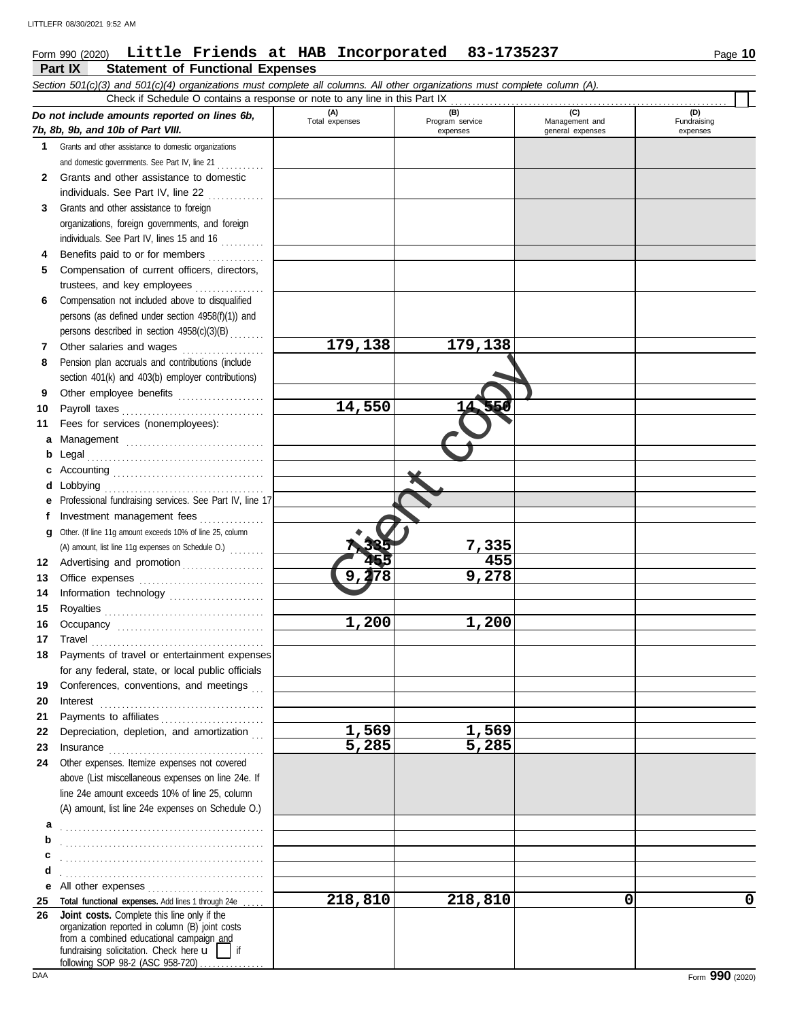#### Form 990 (2020) Page **10 Little Friends at HAB Incorporated 83-1735237**

|              | Part IX<br><b>Statement of Functional Expenses</b>                                                                                                                                                                            |                       |                                    |                                           |                                |
|--------------|-------------------------------------------------------------------------------------------------------------------------------------------------------------------------------------------------------------------------------|-----------------------|------------------------------------|-------------------------------------------|--------------------------------|
|              | Section 501(c)(3) and 501(c)(4) organizations must complete all columns. All other organizations must complete column (A).                                                                                                    |                       |                                    |                                           |                                |
|              | Check if Schedule O contains a response or note to any line in this Part IX                                                                                                                                                   |                       |                                    |                                           |                                |
|              | Do not include amounts reported on lines 6b,<br>7b, 8b, 9b, and 10b of Part VIII.                                                                                                                                             | (A)<br>Total expenses | (B)<br>Program service<br>expenses | (C)<br>Management and<br>general expenses | (D)<br>Fundraising<br>expenses |
| 1            | Grants and other assistance to domestic organizations                                                                                                                                                                         |                       |                                    |                                           |                                |
|              | and domestic governments. See Part IV, line 21                                                                                                                                                                                |                       |                                    |                                           |                                |
| $\mathbf{2}$ | Grants and other assistance to domestic                                                                                                                                                                                       |                       |                                    |                                           |                                |
|              | individuals. See Part IV, line 22                                                                                                                                                                                             |                       |                                    |                                           |                                |
| 3            | Grants and other assistance to foreign                                                                                                                                                                                        |                       |                                    |                                           |                                |
|              | organizations, foreign governments, and foreign                                                                                                                                                                               |                       |                                    |                                           |                                |
|              | individuals. See Part IV, lines 15 and 16                                                                                                                                                                                     |                       |                                    |                                           |                                |
| 4            | Benefits paid to or for members                                                                                                                                                                                               |                       |                                    |                                           |                                |
| 5            | Compensation of current officers, directors,                                                                                                                                                                                  |                       |                                    |                                           |                                |
|              | trustees, and key employees                                                                                                                                                                                                   |                       |                                    |                                           |                                |
| 6            | Compensation not included above to disqualified                                                                                                                                                                               |                       |                                    |                                           |                                |
|              | persons (as defined under section 4958(f)(1)) and                                                                                                                                                                             |                       |                                    |                                           |                                |
|              | persons described in section 4958(c)(3)(B)                                                                                                                                                                                    | 179,138               |                                    |                                           |                                |
| 7            | Other salaries and wages                                                                                                                                                                                                      |                       | 179,138                            |                                           |                                |
| 8            | Pension plan accruals and contributions (include                                                                                                                                                                              |                       |                                    |                                           |                                |
|              | section 401(k) and 403(b) employer contributions)                                                                                                                                                                             |                       |                                    |                                           |                                |
| 9<br>10      | Other employee benefits<br>Payroll taxes                                                                                                                                                                                      | 14,550                | 56<br>14.                          |                                           |                                |
| 11           | Fees for services (nonemployees):                                                                                                                                                                                             |                       |                                    |                                           |                                |
| а            |                                                                                                                                                                                                                               |                       |                                    |                                           |                                |
| b            |                                                                                                                                                                                                                               |                       |                                    |                                           |                                |
| c            |                                                                                                                                                                                                                               |                       |                                    |                                           |                                |
| d            | Lobbying                                                                                                                                                                                                                      |                       |                                    |                                           |                                |
|              | Professional fundraising services. See Part IV, line 17                                                                                                                                                                       |                       |                                    |                                           |                                |
| f            | Investment management fees                                                                                                                                                                                                    |                       |                                    |                                           |                                |
| g            | Other. (If line 11g amount exceeds 10% of line 25, column                                                                                                                                                                     |                       |                                    |                                           |                                |
|              | (A) amount, list line 11g expenses on Schedule O.)                                                                                                                                                                            |                       | 7,335                              |                                           |                                |
| 12           | Advertising and promotion                                                                                                                                                                                                     |                       | 455                                |                                           |                                |
| 13           |                                                                                                                                                                                                                               | 178<br>9 <sub>r</sub> | 9,278                              |                                           |                                |
| 14           | Information technology                                                                                                                                                                                                        |                       |                                    |                                           |                                |
| 15           |                                                                                                                                                                                                                               |                       |                                    |                                           |                                |
| 16           |                                                                                                                                                                                                                               | 1,200                 | 1,200                              |                                           |                                |
| 17           | Travel                                                                                                                                                                                                                        |                       |                                    |                                           |                                |
| 18           | Payments of travel or entertainment expenses                                                                                                                                                                                  |                       |                                    |                                           |                                |
|              | for any federal, state, or local public officials                                                                                                                                                                             |                       |                                    |                                           |                                |
| 19           | Conferences, conventions, and meetings                                                                                                                                                                                        |                       |                                    |                                           |                                |
| 20           |                                                                                                                                                                                                                               |                       |                                    |                                           |                                |
| 21           | Payments to affiliates                                                                                                                                                                                                        |                       |                                    |                                           |                                |
| 22           | Depreciation, depletion, and amortization                                                                                                                                                                                     | 1,569                 | 1,569                              |                                           |                                |
| 23           | Insurance with a continuum and the continuum of the continuum of the continuum of the continuum of the continuum of the continuum of the continuum of the continuum of the continuum of the continuum of the continuum of the | 5,285                 | 5,285                              |                                           |                                |
| 24           | Other expenses. Itemize expenses not covered                                                                                                                                                                                  |                       |                                    |                                           |                                |
|              | above (List miscellaneous expenses on line 24e. If                                                                                                                                                                            |                       |                                    |                                           |                                |
|              | line 24e amount exceeds 10% of line 25, column                                                                                                                                                                                |                       |                                    |                                           |                                |
|              | (A) amount, list line 24e expenses on Schedule O.)                                                                                                                                                                            |                       |                                    |                                           |                                |
| а            |                                                                                                                                                                                                                               |                       |                                    |                                           |                                |
| b<br>c       |                                                                                                                                                                                                                               |                       |                                    |                                           |                                |
| d            |                                                                                                                                                                                                                               |                       |                                    |                                           |                                |
| е            |                                                                                                                                                                                                                               |                       |                                    |                                           |                                |
| 25           | Total functional expenses. Add lines 1 through 24e                                                                                                                                                                            | 218,810               | 218,810                            | 0                                         | 0                              |
| 26           | Joint costs. Complete this line only if the                                                                                                                                                                                   |                       |                                    |                                           |                                |
|              | organization reported in column (B) joint costs                                                                                                                                                                               |                       |                                    |                                           |                                |
|              | from a combined educational campaign and<br>fundraising solicitation. Check here $\mathbf{u}$     if                                                                                                                          |                       |                                    |                                           |                                |
|              | following SOP 98-2 (ASC 958-720)                                                                                                                                                                                              |                       |                                    |                                           |                                |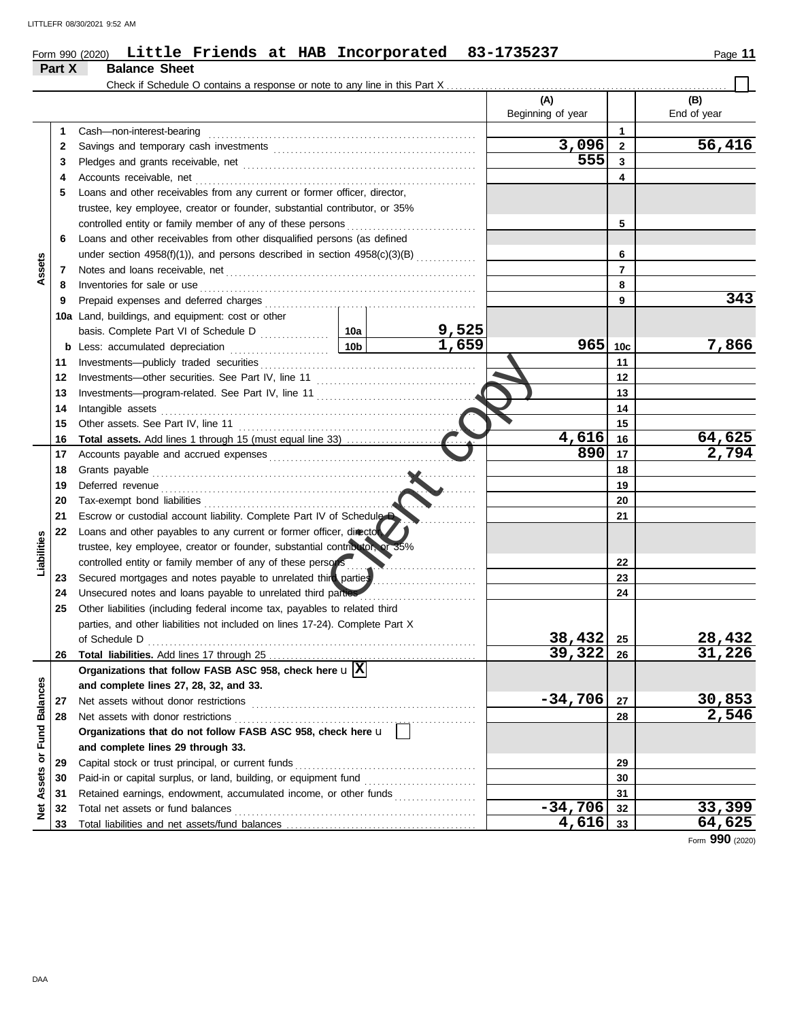|                             |        | Form 990 (2020) Little Friends at HAB Incorporated 83-1735237                  |  |            |                   |                 | Page 11       |  |  |  |
|-----------------------------|--------|--------------------------------------------------------------------------------|--|------------|-------------------|-----------------|---------------|--|--|--|
|                             | Part X | <b>Balance Sheet</b>                                                           |  |            |                   |                 |               |  |  |  |
|                             |        | Check if Schedule O contains a response or note to any line in this Part X     |  |            | (A)               |                 | (B)           |  |  |  |
|                             |        |                                                                                |  |            | Beginning of year |                 | End of year   |  |  |  |
|                             | 1      | Cash-non-interest-bearing                                                      |  |            |                   | $\mathbf{1}$    |               |  |  |  |
|                             | 2      |                                                                                |  |            | 3,096             | $\mathbf{2}$    | 56,416        |  |  |  |
|                             | 3      |                                                                                |  |            | 555               | 3               |               |  |  |  |
|                             | 4      |                                                                                |  |            |                   | 4               |               |  |  |  |
|                             | 5      | Loans and other receivables from any current or former officer, director,      |  |            |                   |                 |               |  |  |  |
|                             |        | trustee, key employee, creator or founder, substantial contributor, or 35%     |  |            |                   |                 |               |  |  |  |
|                             |        |                                                                                |  | 5          |                   |                 |               |  |  |  |
|                             | 6      | Loans and other receivables from other disqualified persons (as defined        |  |            |                   |                 |               |  |  |  |
|                             |        | under section $4958(f)(1)$ ), and persons described in section $4958(c)(3)(B)$ |  |            |                   | 6               |               |  |  |  |
| Assets                      | 7      |                                                                                |  |            |                   | 7               |               |  |  |  |
|                             | 8      | Inventories for sale or use                                                    |  |            |                   | 8               |               |  |  |  |
|                             | 9      |                                                                                |  |            |                   | 9               | 343           |  |  |  |
|                             |        | 10a Land, buildings, and equipment: cost or other                              |  |            |                   |                 |               |  |  |  |
|                             |        |                                                                                |  | 9,525      |                   |                 |               |  |  |  |
|                             |        |                                                                                |  | 1,659      | 965               | 10 <sub>c</sub> | 7,866         |  |  |  |
|                             | 11     |                                                                                |  |            |                   | 11              |               |  |  |  |
|                             | 12     |                                                                                |  |            |                   | 12              |               |  |  |  |
|                             | 13     |                                                                                |  |            |                   |                 |               |  |  |  |
|                             | 14     | Intangible assets                                                              |  |            |                   | 13<br>14        |               |  |  |  |
|                             | 15     |                                                                                |  |            |                   | 15              |               |  |  |  |
|                             | 16     |                                                                                |  |            | 4,616             | 16              | 64,625        |  |  |  |
|                             | 17     |                                                                                |  |            | 890               | 17              | 2,794         |  |  |  |
|                             | 18     | Grants payable                                                                 |  |            |                   | 18              |               |  |  |  |
|                             | 19     |                                                                                |  |            |                   | 19              |               |  |  |  |
|                             | 20     |                                                                                |  | <b>COM</b> |                   | 20              |               |  |  |  |
|                             | 21     | Escrow or custodial account liability. Complete Part IV of Schedule D          |  |            |                   | 21              |               |  |  |  |
|                             | 22     | Loans and other payables to any current or former officer, director            |  |            |                   |                 |               |  |  |  |
| Liabilities                 |        | trustee, key employee, creator or founder, substantial contributor, or 35%     |  |            |                   |                 |               |  |  |  |
|                             |        | controlled entity or family member of any of these persons                     |  |            |                   | 22              |               |  |  |  |
|                             | 23     | Secured mortgages and notes payable to unrelated third parties                 |  |            |                   | 23              |               |  |  |  |
|                             | 24     | Unsecured notes and loans payable to unrelated third parties                   |  |            |                   | 24              |               |  |  |  |
|                             | 25     | Other liabilities (including federal income tax, payables to related third     |  |            |                   |                 |               |  |  |  |
|                             |        | parties, and other liabilities not included on lines 17-24). Complete Part X   |  |            |                   |                 |               |  |  |  |
|                             |        |                                                                                |  |            | 38,432            | 25              | 28,432        |  |  |  |
|                             | 26     |                                                                                |  |            | 39,322            | 26              | 31,226        |  |  |  |
|                             |        | Organizations that follow FASB ASC 958, check here $\mathbf{u} \mathbf{X} $    |  |            |                   |                 |               |  |  |  |
|                             |        | and complete lines 27, 28, 32, and 33.                                         |  |            |                   |                 |               |  |  |  |
|                             | 27     | Net assets without donor restrictions                                          |  |            | $-34,706$         | 27              | 30,853        |  |  |  |
|                             | 28     | Net assets with donor restrictions                                             |  |            | 28                | 2,546           |               |  |  |  |
|                             |        | Organizations that do not follow FASB ASC 958, check here u                    |  |            |                   |                 |               |  |  |  |
|                             |        | and complete lines 29 through 33.                                              |  |            |                   |                 |               |  |  |  |
|                             | 29     | Capital stock or trust principal, or current funds                             |  |            |                   | 29              |               |  |  |  |
|                             | 30     |                                                                                |  |            |                   | 30              |               |  |  |  |
|                             | 31     | Retained earnings, endowment, accumulated income, or other funds               |  |            |                   | 31              |               |  |  |  |
| Net Assets or Fund Balances | 32     |                                                                                |  |            | $-34,706$         | 32              | <u>33,399</u> |  |  |  |
|                             |        |                                                                                |  |            |                   |                 |               |  |  |  |

Total liabilities and net assets/fund balances . . . . . . . . . . . . . . . . . . . . . . . . . . . . . . . . . . . . . . . . . . . .

Form **990** (2020)

**33**

**4,616 64,625**

**33**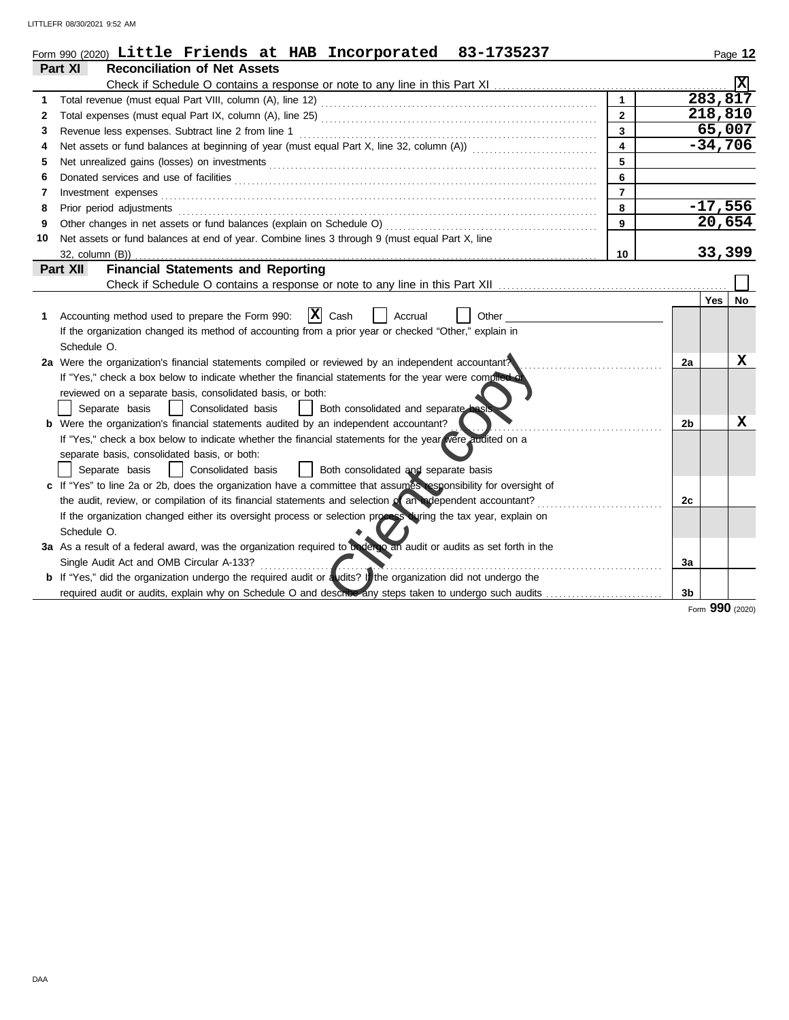LITTLEFR 08/30/2021 9:52 AM

|    | Form 990 (2020) Little Friends at HAB Incorporated<br>83-1735237                                                      |                         |    |        | Page 12              |  |  |  |  |
|----|-----------------------------------------------------------------------------------------------------------------------|-------------------------|----|--------|----------------------|--|--|--|--|
|    | Part XI<br><b>Reconciliation of Net Assets</b>                                                                        |                         |    |        |                      |  |  |  |  |
|    |                                                                                                                       |                         |    |        |                      |  |  |  |  |
| 1  |                                                                                                                       |                         |    |        | $\overline{283,817}$ |  |  |  |  |
| 2  |                                                                                                                       | $\overline{2}$          |    |        | 218,810              |  |  |  |  |
| 3  | Revenue less expenses. Subtract line 2 from line 1                                                                    | $\overline{\mathbf{3}}$ |    |        | 65,007               |  |  |  |  |
| 4  |                                                                                                                       | $\overline{\mathbf{4}}$ |    |        | $-34,706$            |  |  |  |  |
| 5  |                                                                                                                       | 5                       |    |        |                      |  |  |  |  |
| 6  | 6                                                                                                                     |                         |    |        |                      |  |  |  |  |
| 7  | Investment expenses                                                                                                   | $\overline{7}$          |    |        | $-17,556$            |  |  |  |  |
| 8  | 8<br>Prior period adjustments                                                                                         |                         |    |        |                      |  |  |  |  |
| 9  | Other changes in net assets or fund balances (explain on Schedule O)                                                  | 9                       |    |        | 20,654               |  |  |  |  |
| 10 | Net assets or fund balances at end of year. Combine lines 3 through 9 (must equal Part X, line                        |                         |    |        |                      |  |  |  |  |
|    | 32, column (B))                                                                                                       | 10                      |    | 33,399 |                      |  |  |  |  |
|    | <b>Financial Statements and Reporting</b><br>Part XII                                                                 |                         |    |        |                      |  |  |  |  |
|    | Check if Schedule O contains a response or note to any line in this Part XII                                          |                         |    |        |                      |  |  |  |  |
|    |                                                                                                                       |                         |    | Yes    | No                   |  |  |  |  |
| 1. | $ X $ Cash<br>Accounting method used to prepare the Form 990:<br>Accrual<br>Other                                     |                         |    |        |                      |  |  |  |  |
|    | If the organization changed its method of accounting from a prior year or checked "Other," explain in                 |                         |    |        |                      |  |  |  |  |
|    | Schedule O.                                                                                                           |                         |    |        |                      |  |  |  |  |
|    | 2a Were the organization's financial statements compiled or reviewed by an independent accountant?                    |                         | 2a |        | x                    |  |  |  |  |
|    | If "Yes," check a box below to indicate whether the financial statements for the year were complied of                |                         |    |        |                      |  |  |  |  |
|    | reviewed on a separate basis, consolidated basis, or both:                                                            |                         |    |        |                      |  |  |  |  |
|    | Separate basis<br>Consolidated basis<br>Both consolidated and separate basis                                          |                         |    |        |                      |  |  |  |  |
|    | <b>b</b> Were the organization's financial statements audited by an independent accountant?                           |                         | 2b |        | x                    |  |  |  |  |
|    | If "Yes," check a box below to indicate whether the financial statements for the year were audited on a               |                         |    |        |                      |  |  |  |  |
|    | separate basis, consolidated basis, or both:                                                                          |                         |    |        |                      |  |  |  |  |
|    | Both consolidated and separate basis<br>Separate basis<br>Consolidated basis                                          |                         |    |        |                      |  |  |  |  |
|    | c If "Yes" to line 2a or 2b, does the organization have a committee that assumes esponsibility for oversight of       |                         |    |        |                      |  |  |  |  |
|    | the audit, review, or compilation of its financial statements and selection of an independent accountant?             |                         | 2c |        |                      |  |  |  |  |
|    | If the organization changed either its oversight process or selection process during the tax year, explain on         |                         |    |        |                      |  |  |  |  |
|    | Schedule O.                                                                                                           |                         |    |        |                      |  |  |  |  |
|    | 3a As a result of a federal award, was the organization required to underlyo an audit or audits as set forth in the   |                         |    |        |                      |  |  |  |  |
|    | Single Audit Act and OMB Circular A-133?                                                                              |                         | За |        |                      |  |  |  |  |
|    | <b>b</b> If "Yes," did the organization undergo the required audit or audits? If the organization did not undergo the |                         |    |        |                      |  |  |  |  |
|    |                                                                                                                       |                         | 3b |        |                      |  |  |  |  |
|    |                                                                                                                       |                         |    |        | Form 990 (2020)      |  |  |  |  |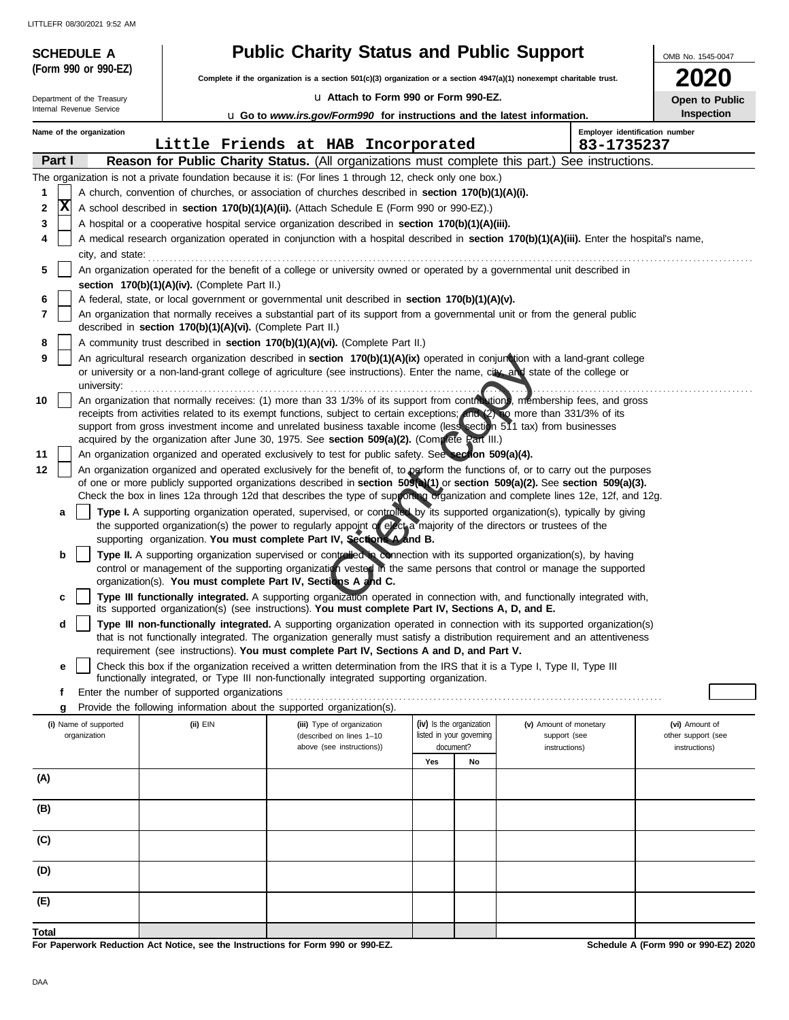LITTLEFR 08/30/2021 9:52 AM

| <b>SCHEDULE A</b>          |                                                                                                                                                                                                                                                      | <b>Public Charity Status and Public Support</b>                                                                                                                                                                                                                 |                          |    |                        | OMB No. 1545-0047                    |  |  |
|----------------------------|------------------------------------------------------------------------------------------------------------------------------------------------------------------------------------------------------------------------------------------------------|-----------------------------------------------------------------------------------------------------------------------------------------------------------------------------------------------------------------------------------------------------------------|--------------------------|----|------------------------|--------------------------------------|--|--|
| (Form 990 or 990-EZ)       |                                                                                                                                                                                                                                                      | Complete if the organization is a section 501(c)(3) organization or a section 4947(a)(1) nonexempt charitable trust.                                                                                                                                            |                          |    |                        | 2020                                 |  |  |
| Department of the Treasury |                                                                                                                                                                                                                                                      | La Attach to Form 990 or Form 990-EZ.                                                                                                                                                                                                                           |                          |    |                        | Open to Public                       |  |  |
| Internal Revenue Service   |                                                                                                                                                                                                                                                      | <b>u</b> Go to www.irs.gov/Form990 for instructions and the latest information.                                                                                                                                                                                 |                          |    |                        | Inspection                           |  |  |
| Name of the organization   |                                                                                                                                                                                                                                                      | Little Friends at HAB Incorporated                                                                                                                                                                                                                              |                          |    | 83-1735237             | Employer identification number       |  |  |
| Part I                     |                                                                                                                                                                                                                                                      | Reason for Public Charity Status. (All organizations must complete this part.) See instructions.                                                                                                                                                                |                          |    |                        |                                      |  |  |
|                            |                                                                                                                                                                                                                                                      | The organization is not a private foundation because it is: (For lines 1 through 12, check only one box.)                                                                                                                                                       |                          |    |                        |                                      |  |  |
| 1                          |                                                                                                                                                                                                                                                      | A church, convention of churches, or association of churches described in section 170(b)(1)(A)(i).                                                                                                                                                              |                          |    |                        |                                      |  |  |
| x<br>2                     | A school described in <b>section 170(b)(1)(A)(ii).</b> (Attach Schedule E (Form 990 or 990-EZ).)                                                                                                                                                     |                                                                                                                                                                                                                                                                 |                          |    |                        |                                      |  |  |
| 4                          | 3<br>A hospital or a cooperative hospital service organization described in section 170(b)(1)(A)(iii).<br>A medical research organization operated in conjunction with a hospital described in section 170(b)(1)(A)(iii). Enter the hospital's name, |                                                                                                                                                                                                                                                                 |                          |    |                        |                                      |  |  |
| city, and state:           |                                                                                                                                                                                                                                                      |                                                                                                                                                                                                                                                                 |                          |    |                        |                                      |  |  |
| 5                          |                                                                                                                                                                                                                                                      | An organization operated for the benefit of a college or university owned or operated by a governmental unit described in                                                                                                                                       |                          |    |                        |                                      |  |  |
|                            | section 170(b)(1)(A)(iv). (Complete Part II.)                                                                                                                                                                                                        |                                                                                                                                                                                                                                                                 |                          |    |                        |                                      |  |  |
| 6                          |                                                                                                                                                                                                                                                      | A federal, state, or local government or governmental unit described in section 170(b)(1)(A)(v).                                                                                                                                                                |                          |    |                        |                                      |  |  |
| 7                          | described in section 170(b)(1)(A)(vi). (Complete Part II.)                                                                                                                                                                                           | An organization that normally receives a substantial part of its support from a governmental unit or from the general public                                                                                                                                    |                          |    |                        |                                      |  |  |
| 8                          |                                                                                                                                                                                                                                                      | A community trust described in section 170(b)(1)(A)(vi). (Complete Part II.)                                                                                                                                                                                    |                          |    |                        |                                      |  |  |
| 9<br>university:           |                                                                                                                                                                                                                                                      | An agricultural research organization described in section 170(b)(1)(A)(ix) operated in conjunction with a land-grant college<br>or university or a non-land-grant college of agriculture (see instructions). Enter the name, city, and state of the college or |                          |    |                        |                                      |  |  |
| 10                         |                                                                                                                                                                                                                                                      | An organization that normally receives: (1) more than 33 1/3% of its support from contributions, membership fees, and gross                                                                                                                                     |                          |    |                        |                                      |  |  |
|                            |                                                                                                                                                                                                                                                      | receipts from activities related to its exempt functions, subject to certain exceptions; and (2) To more than 331/3% of its                                                                                                                                     |                          |    |                        |                                      |  |  |
|                            |                                                                                                                                                                                                                                                      | support from gross investment income and unrelated business taxable income (less section 511 tax) from businesses                                                                                                                                               |                          |    |                        |                                      |  |  |
| 11                         | acquired by the organization after June 30, 1975. See section 509(a)(2). (Complete Part III.)<br>An organization organized and operated exclusively to test for public safety. See section 509(a)(4).                                                |                                                                                                                                                                                                                                                                 |                          |    |                        |                                      |  |  |
| 12                         | An organization organized and operated exclusively for the benefit of, to perform the functions of, or to carry out the purposes                                                                                                                     |                                                                                                                                                                                                                                                                 |                          |    |                        |                                      |  |  |
|                            |                                                                                                                                                                                                                                                      | of one or more publicly supported organizations described in section 509(a)(1) or section 509(a)(2). See section 509(a)(3).                                                                                                                                     |                          |    |                        |                                      |  |  |
| a                          |                                                                                                                                                                                                                                                      | Check the box in lines 12a through 12d that describes the type of supporting organization and complete lines 12e, 12f, and 12g.<br>Type I. A supporting organization operated, supervised, or controlled by its supported organization(s), typically by giving  |                          |    |                        |                                      |  |  |
|                            |                                                                                                                                                                                                                                                      | the supported organization(s) the power to regularly appoint of electra majority of the directors or trustees of the                                                                                                                                            |                          |    |                        |                                      |  |  |
|                            |                                                                                                                                                                                                                                                      | supporting organization. You must complete Part IV, Sections A and B.                                                                                                                                                                                           |                          |    |                        |                                      |  |  |
| b                          |                                                                                                                                                                                                                                                      | Type II. A supporting organization supervised or controlled in connection with its supported organization(s), by having<br>control or management of the supporting organization vested in the same persons that control or manage the supported                 |                          |    |                        |                                      |  |  |
|                            |                                                                                                                                                                                                                                                      | organization(s). You must complete Part IV, Sections A and C.                                                                                                                                                                                                   |                          |    |                        |                                      |  |  |
| c                          |                                                                                                                                                                                                                                                      | Type III functionally integrated. A supporting organization operated in connection with, and functionally integrated with,<br>its supported organization(s) (see instructions). You must complete Part IV, Sections A, D, and E.                                |                          |    |                        |                                      |  |  |
| d                          |                                                                                                                                                                                                                                                      | Type III non-functionally integrated. A supporting organization operated in connection with its supported organization(s)<br>that is not functionally integrated. The organization generally must satisfy a distribution requirement and an attentiveness       |                          |    |                        |                                      |  |  |
| е                          |                                                                                                                                                                                                                                                      | requirement (see instructions). You must complete Part IV, Sections A and D, and Part V.<br>Check this box if the organization received a written determination from the IRS that it is a Type I, Type II, Type III                                             |                          |    |                        |                                      |  |  |
|                            |                                                                                                                                                                                                                                                      | functionally integrated, or Type III non-functionally integrated supporting organization.                                                                                                                                                                       |                          |    |                        |                                      |  |  |
| f                          | Enter the number of supported organizations                                                                                                                                                                                                          | Provide the following information about the supported organization(s).                                                                                                                                                                                          |                          |    |                        |                                      |  |  |
| g<br>(i) Name of supported | (ii) EIN                                                                                                                                                                                                                                             | (iii) Type of organization                                                                                                                                                                                                                                      | (iv) Is the organization |    | (v) Amount of monetary | (vi) Amount of                       |  |  |
| organization               |                                                                                                                                                                                                                                                      | (described on lines 1-10                                                                                                                                                                                                                                        | listed in your governing |    | support (see           | other support (see                   |  |  |
|                            |                                                                                                                                                                                                                                                      | above (see instructions))                                                                                                                                                                                                                                       | document?<br>Yes         | No | instructions)          | instructions)                        |  |  |
| (A)                        |                                                                                                                                                                                                                                                      |                                                                                                                                                                                                                                                                 |                          |    |                        |                                      |  |  |
|                            |                                                                                                                                                                                                                                                      |                                                                                                                                                                                                                                                                 |                          |    |                        |                                      |  |  |
| (B)                        |                                                                                                                                                                                                                                                      |                                                                                                                                                                                                                                                                 |                          |    |                        |                                      |  |  |
| (C)                        |                                                                                                                                                                                                                                                      |                                                                                                                                                                                                                                                                 |                          |    |                        |                                      |  |  |
|                            |                                                                                                                                                                                                                                                      |                                                                                                                                                                                                                                                                 |                          |    |                        |                                      |  |  |
| (D)                        |                                                                                                                                                                                                                                                      |                                                                                                                                                                                                                                                                 |                          |    |                        |                                      |  |  |
| (E)                        |                                                                                                                                                                                                                                                      |                                                                                                                                                                                                                                                                 |                          |    |                        |                                      |  |  |
|                            |                                                                                                                                                                                                                                                      |                                                                                                                                                                                                                                                                 |                          |    |                        |                                      |  |  |
| Total                      | For Paperwork Peduction Act Notice, see the Instructions for Form 000 or 000-F7                                                                                                                                                                      |                                                                                                                                                                                                                                                                 |                          |    |                        | Schodule A (Form 000 or 000-E7) 2020 |  |  |

**For Paperwork Reduction Act Notice, see the Instructions for Form 990 or 990-EZ.**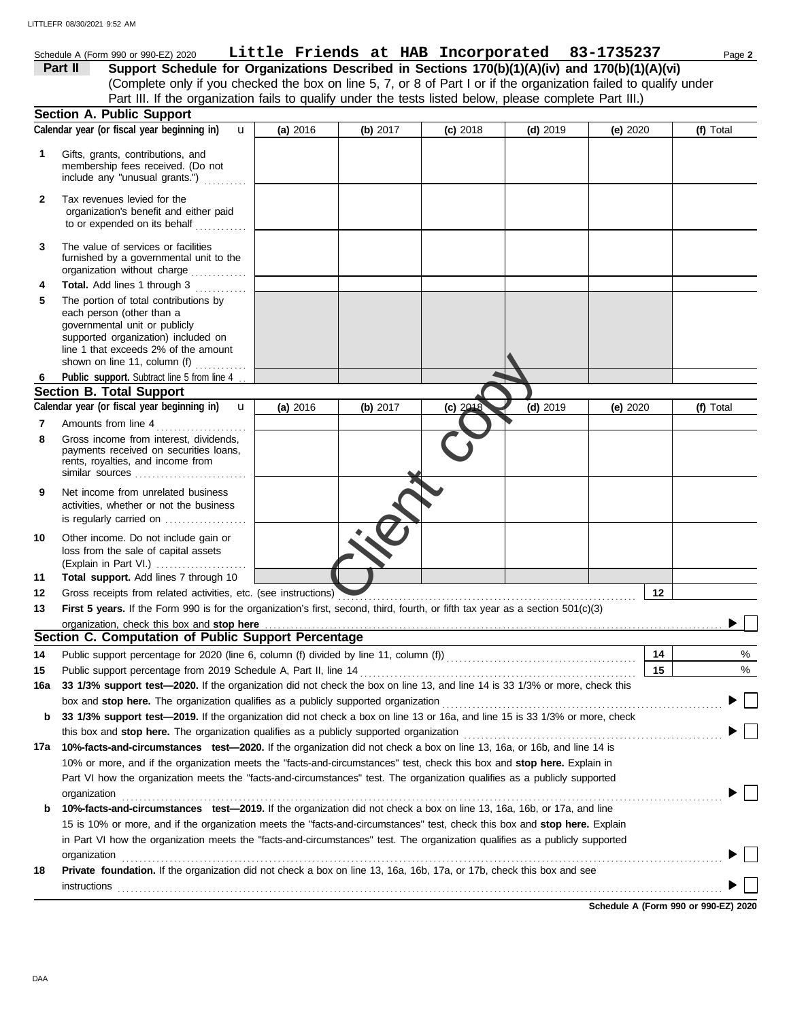Schedule A (Form 990 or 990-EZ) 2020 Page **2 Little Friends at HAB Incorporated 83-1735237** (Complete only if you checked the box on line 5, 7, or 8 of Part I or if the organization failed to qualify under **Part II** Support Schedule for Organizations Described in Sections 170(b)(1)(A)(iv) and 170(b)(1)(A)(vi) Part III. If the organization fails to qualify under the tests listed below, please complete Part III.)

|     | <b>Section A. Public Support</b>                                                                                                                                                                                               |          |          |            |            |            |           |
|-----|--------------------------------------------------------------------------------------------------------------------------------------------------------------------------------------------------------------------------------|----------|----------|------------|------------|------------|-----------|
|     | Calendar year (or fiscal year beginning in)<br>u                                                                                                                                                                               | (a) 2016 | (b) 2017 | $(c)$ 2018 | $(d)$ 2019 | (e) $2020$ | (f) Total |
| 1   | Gifts, grants, contributions, and<br>membership fees received. (Do not<br>include any "unusual grants.")                                                                                                                       |          |          |            |            |            |           |
| 2   | Tax revenues levied for the<br>organization's benefit and either paid<br>to or expended on its behalf                                                                                                                          |          |          |            |            |            |           |
| 3   | The value of services or facilities<br>furnished by a governmental unit to the<br>organization without charge                                                                                                                  |          |          |            |            |            |           |
| 4   | <b>Total.</b> Add lines 1 through 3                                                                                                                                                                                            |          |          |            |            |            |           |
| 5   | The portion of total contributions by<br>each person (other than a<br>governmental unit or publicly<br>supported organization) included on<br>line 1 that exceeds 2% of the amount<br>shown on line 11, column (f)             |          |          |            |            |            |           |
| 6   | Public support. Subtract line 5 from line 4                                                                                                                                                                                    |          |          |            |            |            |           |
|     | <b>Section B. Total Support</b>                                                                                                                                                                                                |          |          |            |            |            |           |
|     | Calendar year (or fiscal year beginning in)<br>$\mathbf{u}$                                                                                                                                                                    | (a) 2016 | (b) 2017 | (c) 2018   | $(d)$ 2019 | (e) 2020   | (f) Total |
| 7   | Amounts from line 4                                                                                                                                                                                                            |          |          |            |            |            |           |
| 8   | Gross income from interest, dividends,<br>payments received on securities loans,<br>rents, royalties, and income from<br>similar sources                                                                                       |          |          |            |            |            |           |
| 9   | Net income from unrelated business<br>activities, whether or not the business<br>is regularly carried on                                                                                                                       |          |          |            |            |            |           |
| 10  | Other income. Do not include gain or<br>loss from the sale of capital assets<br>(Explain in Part VI.)                                                                                                                          |          |          |            |            |            |           |
| 11  | Total support. Add lines 7 through 10                                                                                                                                                                                          |          |          |            |            |            |           |
| 12  | Gross receipts from related activities, etc. (see instructions)                                                                                                                                                                |          |          |            |            | 12         |           |
| 13  | First 5 years. If the Form 990 is for the organization's first, second, third, fourth, or fifth tax year as a section 501(c)(3)                                                                                                |          |          |            |            |            |           |
|     |                                                                                                                                                                                                                                |          |          |            |            |            |           |
|     | Section C. Computation of Public Support Percentage                                                                                                                                                                            |          |          |            |            |            |           |
| 14  |                                                                                                                                                                                                                                |          |          |            |            | 14         | %         |
| 15  | Public support percentage from 2019 Schedule A, Part II, line 14                                                                                                                                                               |          |          |            |            | 15         | %         |
| 16a | 33 1/3% support test-2020. If the organization did not check the box on line 13, and line 14 is 33 1/3% or more, check this                                                                                                    |          |          |            |            |            |           |
|     | box and stop here. The organization qualifies as a publicly supported organization [11] content content content content of the content of the state of the state of the state of the state of the state of the state of the st |          |          |            |            |            |           |
| b   | 33 1/3% support test-2019. If the organization did not check a box on line 13 or 16a, and line 15 is 33 1/3% or more, check                                                                                                    |          |          |            |            |            |           |
|     |                                                                                                                                                                                                                                |          |          |            |            |            |           |
| 17a | 10%-facts-and-circumstances test-2020. If the organization did not check a box on line 13, 16a, or 16b, and line 14 is                                                                                                         |          |          |            |            |            |           |
|     | 10% or more, and if the organization meets the "facts-and-circumstances" test, check this box and stop here. Explain in                                                                                                        |          |          |            |            |            |           |
|     | Part VI how the organization meets the "facts-and-circumstances" test. The organization qualifies as a publicly supported                                                                                                      |          |          |            |            |            |           |
|     | organization                                                                                                                                                                                                                   |          |          |            |            |            |           |
| b   | 10%-facts-and-circumstances test-2019. If the organization did not check a box on line 13, 16a, 16b, or 17a, and line                                                                                                          |          |          |            |            |            |           |
|     | 15 is 10% or more, and if the organization meets the "facts-and-circumstances" test, check this box and stop here. Explain                                                                                                     |          |          |            |            |            |           |
|     | in Part VI how the organization meets the "facts-and-circumstances" test. The organization qualifies as a publicly supported                                                                                                   |          |          |            |            |            |           |
|     | organization www.commutation.com/www.commutation.com/www.commutation.com/www.commutation.com/www.commutation.com                                                                                                               |          |          |            |            |            |           |
| 18  | Private foundation. If the organization did not check a box on line 13, 16a, 16b, 17a, or 17b, check this box and see                                                                                                          |          |          |            |            |            |           |
|     | instructions                                                                                                                                                                                                                   |          |          |            |            |            |           |
|     |                                                                                                                                                                                                                                |          |          |            |            |            |           |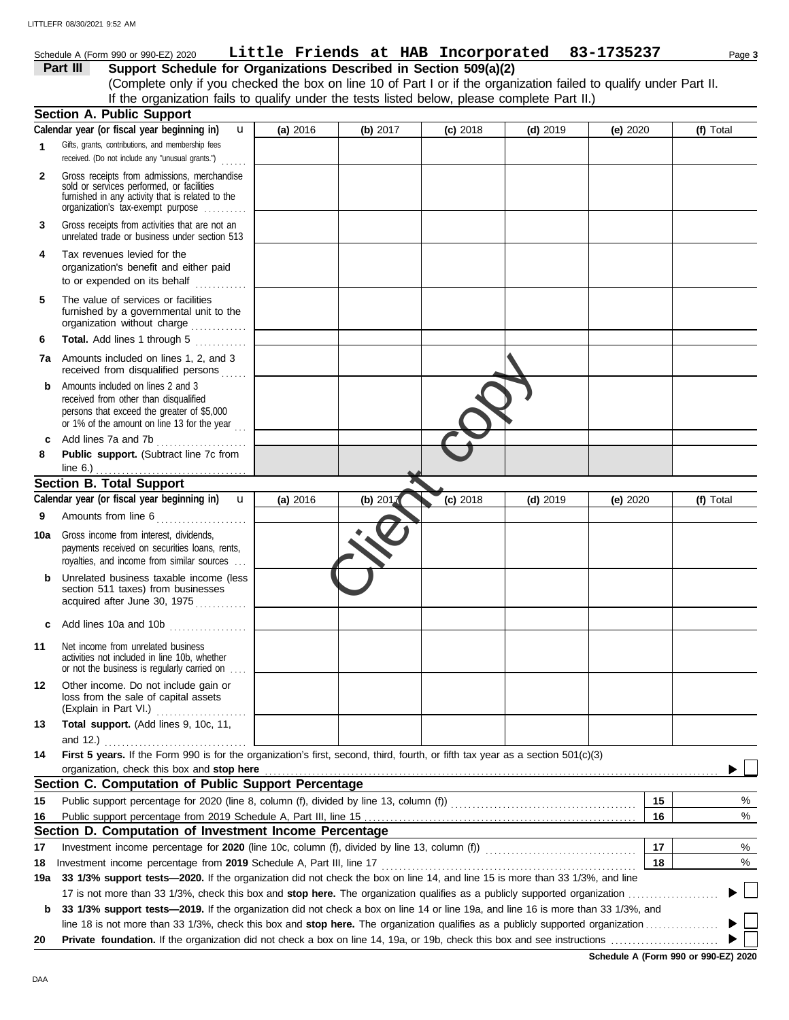#### unrelated trade or business under section 513 **Part III Support Schedule for Organizations Described in Section 509(a)(2)** (Complete only if you checked the box on line 10 of Part I or if the organization failed to qualify under Part II. **1 2 3** Schedule A (Form 990 or 990-EZ) 2020 Page **3 Little Friends at HAB Incorporated 83-1735237** Gifts, grants, contributions, and membership fees received. (Do not include any "unusual grants.") . . . . . . Gross receipts from admissions, merchandise sold or services performed, or facilities furnished in any activity that is related to the Gross receipts from activities that are not an **Section A. Public Support** organization's tax-exempt purpose .......... **4** Tax revenues levied for the organization's benefit and either paid to or expended on its behalf  $\begin{array}{ccc} \dots & \dots & \dots \end{array}$ **(a)** 2016 **(b)** 2017 **(c)** 2018 **(d)** 2019 **(e)** 2020 **(f)** Total **Calendar year (or fiscal year beginning in)**  If the organization fails to qualify under the tests listed below, please complete Part II.) u LITTLEFR 08/30/2021 9:52 AM

| 5 | The value of services or facilities<br>furnished by a governmental unit to the |
|---|--------------------------------------------------------------------------------|
|   | organization without charge                                                    |
| 6 | <b>Total.</b> Add lines 1 through 5                                            |

- **7a** Amounts included on lines 1, 2, and 3 received from disqualified persons ......
- **b** Amounts included on lines 2 and 3 received from other than disqualified persons that exceed the greater of \$5,000 or 1% of the amount on line 13 for the year  $\ldots$ **c** Add lines 7a and 7b . . . . . . . . . . . . . . . . . . . . .
- **8 Public support.** (Subtract line 7c from line 6.) . . . . . . . . . . . . . . . . . . . . . . . . . . . . . . . . . . .

#### **Section B. Total Support**

|     | <b>7a</b> Amounts included on lines 1, 2, and 3<br>received from disqualified persons                                                                                            |          |                                                |          |            |          |              |
|-----|----------------------------------------------------------------------------------------------------------------------------------------------------------------------------------|----------|------------------------------------------------|----------|------------|----------|--------------|
| b   | Amounts included on lines 2 and 3<br>received from other than disqualified<br>persons that exceed the greater of \$5,000<br>or 1% of the amount on line 13 for the year $\ldots$ |          |                                                |          |            |          |              |
| c   | Add lines 7a and 7b<br>.                                                                                                                                                         |          |                                                |          |            |          |              |
| 8   | Public support. (Subtract line 7c from<br>line 6.) $\ldots$ $\ldots$ $\ldots$ $\ldots$ $\ldots$ $\ldots$ $\ldots$                                                                |          |                                                |          |            |          |              |
|     | <b>Section B. Total Support</b>                                                                                                                                                  |          |                                                |          |            |          |              |
|     | Calendar year (or fiscal year beginning in) $\mathbf u$                                                                                                                          | (a) 2016 | (b) $201$ <sup><math>\overline{d}</math></sup> | (c) 2018 | $(d)$ 2019 | (e) 2020 | (f) Total    |
| 9   | Amounts from line 6                                                                                                                                                              |          |                                                |          |            |          |              |
| 10a | Gross income from interest, dividends,<br>payments received on securities loans, rents,<br>royalties, and income from similar sources                                            |          |                                                |          |            |          |              |
| b   | Unrelated business taxable income (less<br>section 511 taxes) from businesses<br>acquired after June 30, 1975                                                                    |          |                                                |          |            |          |              |
| c   | Add lines 10a and 10b                                                                                                                                                            |          |                                                |          |            |          |              |
| 11  | Net income from unrelated business<br>activities not included in line 10b, whether<br>or not the business is regularly carried on                                                |          |                                                |          |            |          |              |
| 12  | Other income. Do not include gain or<br>loss from the sale of capital assets<br>(Explain in Part VI.)<br>.                                                                       |          |                                                |          |            |          |              |
| 13  | Total support. (Add lines 9, 10c, 11,<br>and 12.) $\ldots$                                                                                                                       |          |                                                |          |            |          |              |
| 14  | First 5 years. If the Form 990 is for the organization's first, second, third, fourth, or fifth tax year as a section 501(c)(3)<br>organization, check this box and stop here    |          |                                                |          |            |          |              |
|     | Section C. Computation of Public Support Percentage                                                                                                                              |          |                                                |          |            |          |              |
| 15  |                                                                                                                                                                                  |          |                                                |          |            | 15       | $\%$         |
| 16  |                                                                                                                                                                                  |          |                                                |          |            | 16       | %            |
|     | Section D. Computation of Investment Income Percentage                                                                                                                           |          |                                                |          |            |          |              |
| 17  | Investment income percentage for 2020 (line 10c, column (f), divided by line 13, column (f)) [[[[[[[[[[[[[[[[[                                                                   |          |                                                |          |            | 17       | %            |
| 18  | Investment income percentage from 2019 Schedule A, Part III, line 17                                                                                                             |          |                                                |          |            | 18       | $\%$         |
| 19a | 33 1/3% support tests—2020. If the organization did not check the box on line 14, and line 15 is more than 33 1/3%, and line                                                     |          |                                                |          |            |          |              |
|     |                                                                                                                                                                                  |          |                                                |          |            |          | $\mathbf{L}$ |
| b   | 33 1/3% support tests-2019. If the organization did not check a box on line 14 or line 19a, and line 16 is more than 33 1/3%, and                                                |          |                                                |          |            |          |              |
|     |                                                                                                                                                                                  |          |                                                |          |            |          |              |
| 20  |                                                                                                                                                                                  |          |                                                |          |            |          |              |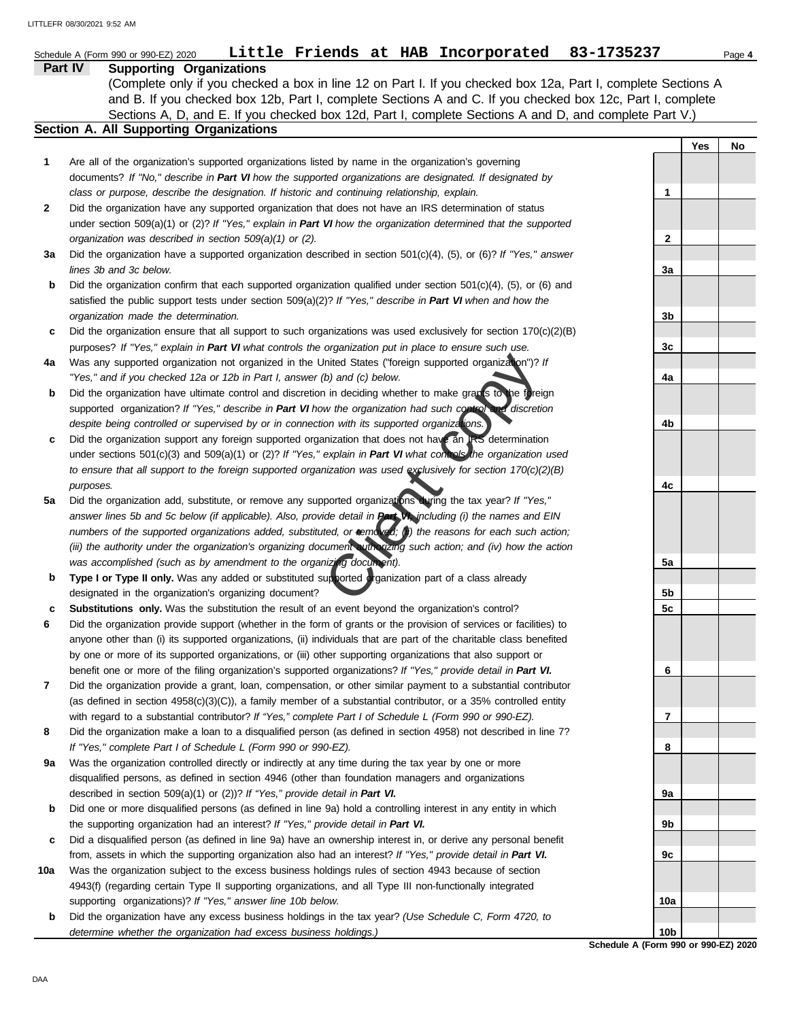|    | Little Friends at HAB Incorporated<br>83-1735237<br>Schedule A (Form 990 or 990-EZ) 2020                                                                                              |    |     | Page 4 |
|----|---------------------------------------------------------------------------------------------------------------------------------------------------------------------------------------|----|-----|--------|
|    | Part IV<br><b>Supporting Organizations</b>                                                                                                                                            |    |     |        |
|    | (Complete only if you checked a box in line 12 on Part I. If you checked box 12a, Part I, complete Sections A                                                                         |    |     |        |
|    | and B. If you checked box 12b, Part I, complete Sections A and C. If you checked box 12c, Part I, complete                                                                            |    |     |        |
|    | Sections A, D, and E. If you checked box 12d, Part I, complete Sections A and D, and complete Part V.)                                                                                |    |     |        |
|    | Section A. All Supporting Organizations                                                                                                                                               |    |     |        |
|    |                                                                                                                                                                                       |    | Yes | No     |
| 1  | Are all of the organization's supported organizations listed by name in the organization's governing                                                                                  |    |     |        |
|    | documents? If "No," describe in Part VI how the supported organizations are designated. If designated by                                                                              |    |     |        |
|    | class or purpose, describe the designation. If historic and continuing relationship, explain.                                                                                         | 1  |     |        |
| 2  | Did the organization have any supported organization that does not have an IRS determination of status                                                                                |    |     |        |
|    | under section 509(a)(1) or (2)? If "Yes," explain in Part VI how the organization determined that the supported                                                                       |    |     |        |
|    | organization was described in section 509(a)(1) or (2).                                                                                                                               | 2  |     |        |
| За | Did the organization have a supported organization described in section $501(c)(4)$ , (5), or (6)? If "Yes," answer                                                                   |    |     |        |
|    | lines 3b and 3c below.                                                                                                                                                                | За |     |        |
| b  | Did the organization confirm that each supported organization qualified under section $501(c)(4)$ , $(5)$ , or $(6)$ and                                                              |    |     |        |
|    | satisfied the public support tests under section 509(a)(2)? If "Yes," describe in Part VI when and how the                                                                            |    |     |        |
|    | organization made the determination.                                                                                                                                                  | 3b |     |        |
| c  | Did the organization ensure that all support to such organizations was used exclusively for section $170(c)(2)(B)$                                                                    |    |     |        |
|    | purposes? If "Yes," explain in Part VI what controls the organization put in place to ensure such use.                                                                                | 3c |     |        |
| 4a | Was any supported organization not organized in the United States ("foreign supported organization")? If<br>"Yes," and if you checked 12a or 12b in Part I, answer (b) and (c) below. | 4a |     |        |
|    | Did the organization have ultimate control and discretion in deciding whether to make grants to the foreign                                                                           |    |     |        |
| b  | supported organization? If "Yes," describe in Part VI how the organization had such control and discretion                                                                            |    |     |        |
|    | despite being controlled or supervised by or in connection with its supported organizations.                                                                                          | 4b |     |        |
| c  | Did the organization support any foreign supported organization that does not have an IRS determination                                                                               |    |     |        |
|    | under sections 501(c)(3) and 509(a)(1) or (2)? If "Yes," explain in Part VI what controls the organization used                                                                       |    |     |        |
|    | to ensure that all support to the foreign supported organization was used exclusively for section 170(c)(2)(B)                                                                        |    |     |        |
|    | purposes.                                                                                                                                                                             | 4c |     |        |
| 5a | Did the organization add, substitute, or remove any supported organizations during the tax year? If "Yes,"                                                                            |    |     |        |
|    | answer lines 5b and 5c below (if applicable). Also, provide detail in Part VI, including (i) the names and EIN                                                                        |    |     |        |
|    | numbers of the supported organizations added, substituted, or removed; (i) the reasons for each such action;                                                                          |    |     |        |
|    | (iii) the authority under the organization's organizing document with rizing such action; and (iv) how the action                                                                     |    |     |        |
|    | was accomplished (such as by amendment to the organizing document).                                                                                                                   | 5a |     |        |
| b  | Type I or Type II only. Was any added or substituted supported organization part of a class already                                                                                   |    |     |        |
|    | designated in the organization's organizing document?                                                                                                                                 | 5b |     |        |
| c  | <b>Substitutions only.</b> Was the substitution the result of an event beyond the organization's control?                                                                             | 5c |     |        |
| 6  | Did the organization provide support (whether in the form of grants or the provision of services or facilities) to                                                                    |    |     |        |
|    | anyone other than (i) its supported organizations, (ii) individuals that are part of the charitable class benefited                                                                   |    |     |        |
|    | by one or more of its supported organizations, or (iii) other supporting organizations that also support or                                                                           |    |     |        |
|    | benefit one or more of the filing organization's supported organizations? If "Yes," provide detail in Part VI.                                                                        | 6  |     |        |
| 7  | Did the organization provide a grant, loan, compensation, or other similar payment to a substantial contributor                                                                       |    |     |        |
|    | (as defined in section 4958(c)(3)(C)), a family member of a substantial contributor, or a 35% controlled entity                                                                       |    |     |        |
|    | with regard to a substantial contributor? If "Yes," complete Part I of Schedule L (Form 990 or 990-EZ).                                                                               | 7  |     |        |
| 8  | Did the organization make a loan to a disqualified person (as defined in section 4958) not described in line 7?                                                                       |    |     |        |
|    | If "Yes," complete Part I of Schedule L (Form 990 or 990-EZ).                                                                                                                         | 8  |     |        |
| 9a | Was the organization controlled directly or indirectly at any time during the tax year by one or more                                                                                 |    |     |        |
|    | disqualified persons, as defined in section 4946 (other than foundation managers and organizations                                                                                    |    |     |        |
|    | described in section 509(a)(1) or (2))? If "Yes," provide detail in Part VI.                                                                                                          | 9а |     |        |

- **b** Did one or more disqualified persons (as defined in line 9a) hold a controlling interest in any entity in which the supporting organization had an interest? *If "Yes," provide detail in Part VI.*
- **c** Did a disqualified person (as defined in line 9a) have an ownership interest in, or derive any personal benefit from, assets in which the supporting organization also had an interest? *If "Yes," provide detail in Part VI.*
- **10a** Was the organization subject to the excess business holdings rules of section 4943 because of section 4943(f) (regarding certain Type II supporting organizations, and all Type III non-functionally integrated supporting organizations)? *If "Yes," answer line 10b below.*
	- **b** Did the organization have any excess business holdings in the tax year? *(Use Schedule C, Form 4720, to determine whether the organization had excess business holdings.)*

**Schedule A (Form 990 or 990-EZ) 2020**

**9b**

**9c**

**10a**

**10b**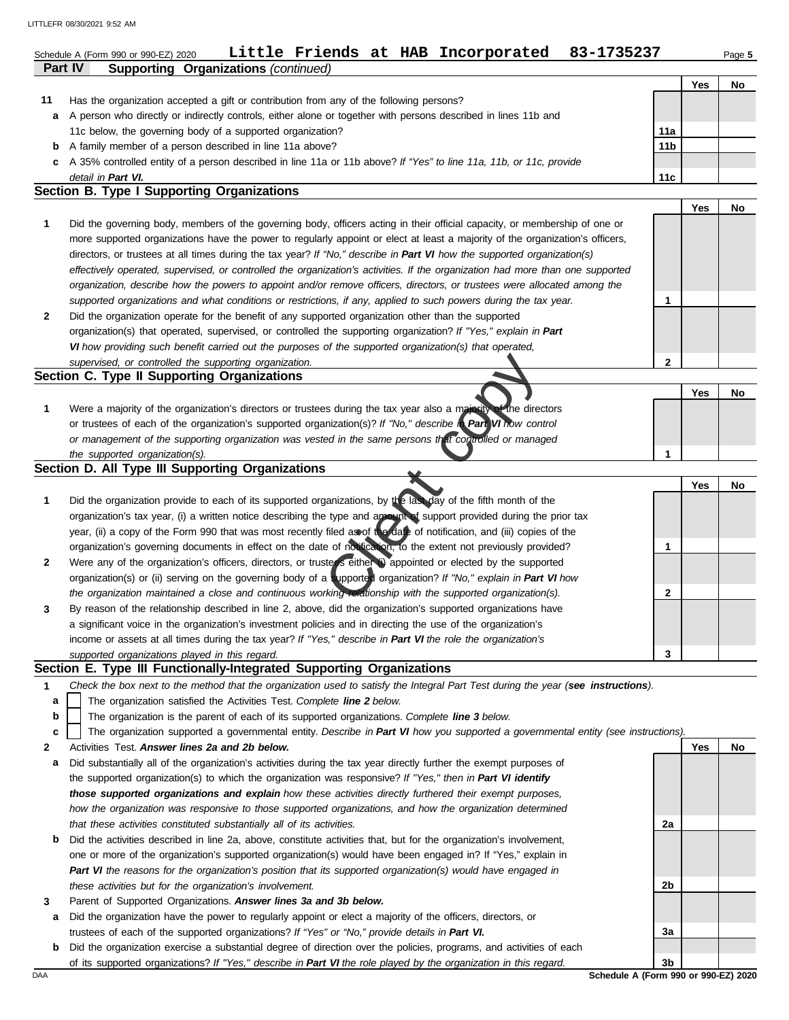|              | Little Friends at HAB Incorporated<br>83-1735237<br>Schedule A (Form 990 or 990-EZ) 2020<br>Part IV<br><b>Supporting Organizations (continued)</b> |                 |     | Page 5 |
|--------------|----------------------------------------------------------------------------------------------------------------------------------------------------|-----------------|-----|--------|
|              |                                                                                                                                                    |                 | Yes | No     |
| 11           | Has the organization accepted a gift or contribution from any of the following persons?                                                            |                 |     |        |
| а            | A person who directly or indirectly controls, either alone or together with persons described in lines 11b and                                     |                 |     |        |
|              | 11c below, the governing body of a supported organization?                                                                                         | 11a             |     |        |
| b            | A family member of a person described in line 11a above?                                                                                           | 11 <sub>b</sub> |     |        |
| c            | A 35% controlled entity of a person described in line 11a or 11b above? If "Yes" to line 11a, 11b, or 11c, provide                                 |                 |     |        |
|              | detail in Part VI.                                                                                                                                 | 11c             |     |        |
|              | Section B. Type I Supporting Organizations                                                                                                         |                 |     |        |
|              |                                                                                                                                                    |                 | Yes | No     |
| 1            | Did the governing body, members of the governing body, officers acting in their official capacity, or membership of one or                         |                 |     |        |
|              | more supported organizations have the power to regularly appoint or elect at least a majority of the organization's officers,                      |                 |     |        |
|              | directors, or trustees at all times during the tax year? If "No," describe in Part VI how the supported organization(s)                            |                 |     |        |
|              | effectively operated, supervised, or controlled the organization's activities. If the organization had more than one supported                     |                 |     |        |
|              | organization, describe how the powers to appoint and/or remove officers, directors, or trustees were allocated among the                           |                 |     |        |
|              | supported organizations and what conditions or restrictions, if any, applied to such powers during the tax year.                                   | 1               |     |        |
| $\mathbf{2}$ | Did the organization operate for the benefit of any supported organization other than the supported                                                |                 |     |        |
|              | organization(s) that operated, supervised, or controlled the supporting organization? If "Yes," explain in Part                                    |                 |     |        |
|              | VI how providing such benefit carried out the purposes of the supported organization(s) that operated,                                             |                 |     |        |
|              | supervised, or controlled the supporting organization.                                                                                             | $\mathbf{2}$    |     |        |
|              | Section C. Type II Supporting Organizations                                                                                                        |                 |     |        |
|              |                                                                                                                                                    |                 | Yes | No     |
| 1            | Were a majority of the organization's directors or trustees during the tax year also a majority of the directors                                   |                 |     |        |
|              | or trustees of each of the organization's supported organization(s)? If "No," describe in Part VI how control                                      |                 |     |        |
|              | or management of the supporting organization was vested in the same persons that comrolled or managed                                              |                 |     |        |
|              | the supported organization(s).                                                                                                                     | 1               |     |        |
|              | Section D. All Type III Supporting Organizations                                                                                                   |                 |     |        |
|              |                                                                                                                                                    |                 | Yes | No     |
| 1            | Did the organization provide to each of its supported organizations, by the last day of the fifth month of the                                     |                 |     |        |
|              | organization's tax year, (i) a written notice describing the type and amount of support provided during the prior tax                              |                 |     |        |
|              | year, (ii) a copy of the Form 990 that was most recently filed as of the date of notification, and (iii) copies of the                             |                 |     |        |
|              | organization's governing documents in effect on the date of notification, to the extent not previously provided?                                   | 1               |     |        |
| 2            | Were any of the organization's officers, directors, or trusters either (i) appointed or elected by the supported                                   |                 |     |        |
|              | organization(s) or (ii) serving on the governing body of a supported organization? If "No," explain in Part VI how                                 |                 |     |        |
|              | the organization maintained a close and continuous working relationship with the supported organization(s).                                        | 2               |     |        |
|              | By reason of the relationship described in line 2, above, did the organization's supported organizations have                                      |                 |     |        |
|              | a significant voice in the organization's investment policies and in directing the use of the organization's                                       |                 |     |        |
|              | income or assets at all times during the tax year? If "Yes," describe in Part VI the role the organization's                                       |                 |     |        |
|              | supported organizations played in this regard.                                                                                                     | 3               |     |        |
|              | Section E. Type III Functionally-Integrated Supporting Organizations                                                                               |                 |     |        |
| 1            | Check the box next to the method that the organization used to satisfy the Integral Part Test during the year (see instructions).                  |                 |     |        |
| а            | The organization satisfied the Activities Test. Complete line 2 below.                                                                             |                 |     |        |
| b            | The organization is the parent of each of its supported organizations. Complete line 3 below.                                                      |                 |     |        |
| c            | The organization supported a governmental entity. Describe in Part VI how you supported a governmental entity (see instructions).                  |                 |     |        |
| 2            | Activities Test. Answer lines 2a and 2b below.                                                                                                     |                 | Yes | No     |
| а            | Did substantially all of the organization's activities during the tax year directly further the exempt purposes of                                 |                 |     |        |
|              | the supported organization(s) to which the organization was responsive? If "Yes," then in Part VI identify                                         |                 |     |        |
|              | those supported organizations and explain how these activities directly furthered their exempt purposes,                                           |                 |     |        |
|              | how the organization was responsive to those supported organizations, and how the organization determined                                          |                 |     |        |
|              | that these activities constituted substantially all of its activities.                                                                             | 2a              |     |        |
| b            | Did the activities described in line 2a, above, constitute activities that, but for the organization's involvement,                                |                 |     |        |
|              | one or more of the organization's supported organization(s) would have been engaged in? If "Yes," explain in                                       |                 |     |        |
|              |                                                                                                                                                    |                 |     |        |
|              | Part VI the reasons for the organization's position that its supported organization(s) would have engaged in                                       |                 |     |        |
|              | these activities but for the organization's involvement.                                                                                           | 2b              |     |        |
| 3            | Parent of Supported Organizations. Answer lines 3a and 3b below.                                                                                   |                 |     |        |
| a            | Did the organization have the power to regularly appoint or elect a majority of the officers, directors, or                                        |                 |     |        |
|              | trustees of each of the supported organizations? If "Yes" or "No," provide details in Part VI.                                                     | За              |     |        |
|              | <b>b</b> Did the organization exercise a substantial degree of direction over the policies, programs, and activities of each                       |                 |     |        |

of its supported organizations? *If "Yes," describe in Part VI the role played by the organization in this regard.*

DAA **Schedule A (Form 990 or 990-EZ) 2020 3b**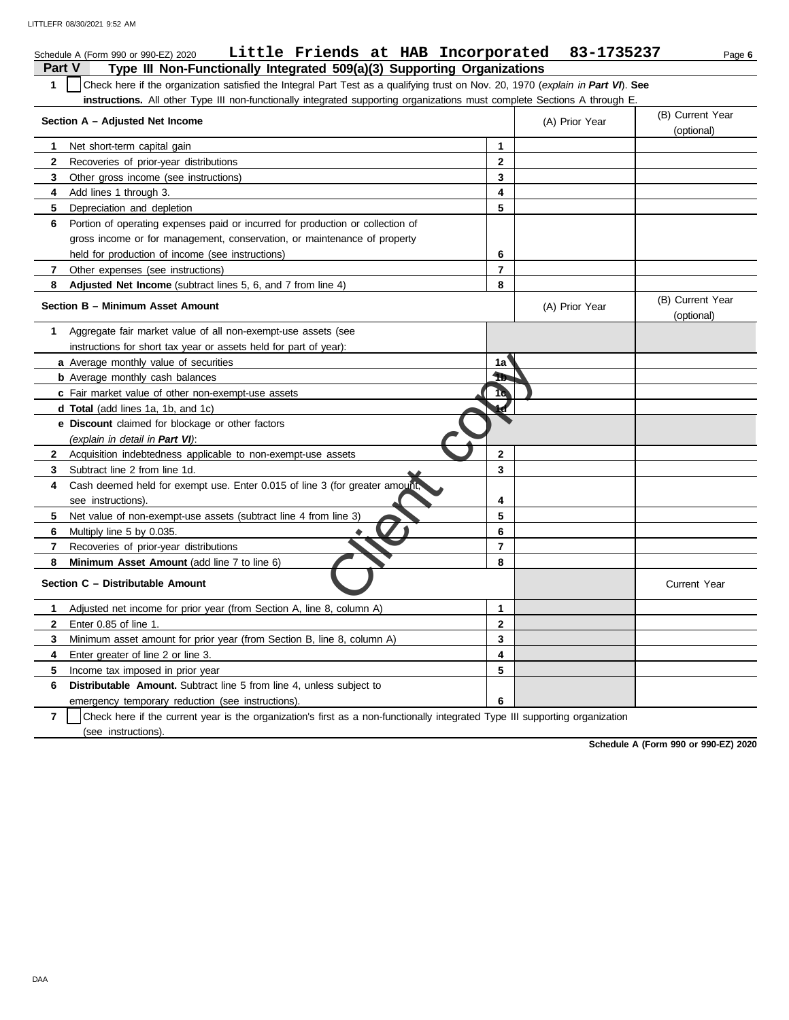|              | Little Friends at HAB Incorporated 83-1735237<br>Schedule A (Form 990 or 990-EZ) 2020                                            |                |                | Page 6                         |
|--------------|----------------------------------------------------------------------------------------------------------------------------------|----------------|----------------|--------------------------------|
| Part V       | Type III Non-Functionally Integrated 509(a)(3) Supporting Organizations                                                          |                |                |                                |
| $\mathbf{1}$ | Check here if the organization satisfied the Integral Part Test as a qualifying trust on Nov. 20, 1970 (explain in Part VI). See |                |                |                                |
|              | instructions. All other Type III non-functionally integrated supporting organizations must complete Sections A through E.        |                |                |                                |
|              | Section A - Adjusted Net Income                                                                                                  |                | (A) Prior Year | (B) Current Year               |
|              |                                                                                                                                  |                |                | (optional)                     |
| 1            | Net short-term capital gain                                                                                                      | $\mathbf{1}$   |                |                                |
| 2            | Recoveries of prior-year distributions                                                                                           | $\mathbf 2$    |                |                                |
| 3            | Other gross income (see instructions)                                                                                            | $\mathbf{3}$   |                |                                |
| 4            | Add lines 1 through 3.                                                                                                           | 4              |                |                                |
| 5            | Depreciation and depletion                                                                                                       | 5              |                |                                |
| 6            | Portion of operating expenses paid or incurred for production or collection of                                                   |                |                |                                |
|              | gross income or for management, conservation, or maintenance of property                                                         |                |                |                                |
|              | held for production of income (see instructions)                                                                                 | 6              |                |                                |
| 7            | Other expenses (see instructions)                                                                                                | $\overline{7}$ |                |                                |
| 8            | Adjusted Net Income (subtract lines 5, 6, and 7 from line 4)                                                                     | 8              |                |                                |
|              | Section B - Minimum Asset Amount                                                                                                 |                | (A) Prior Year | (B) Current Year<br>(optional) |
| 1            | Aggregate fair market value of all non-exempt-use assets (see                                                                    |                |                |                                |
|              | instructions for short tax year or assets held for part of year):                                                                |                |                |                                |
|              | a Average monthly value of securities                                                                                            | 1a             |                |                                |
|              | <b>b</b> Average monthly cash balances                                                                                           | Ħb.            |                |                                |
|              | c Fair market value of other non-exempt-use assets                                                                               | 19             |                |                                |
|              | <b>d Total</b> (add lines 1a, 1b, and 1c)                                                                                        |                |                |                                |
|              | e Discount claimed for blockage or other factors                                                                                 |                |                |                                |
|              | (explain in detail in Part VI):                                                                                                  |                |                |                                |
| $\mathbf{2}$ | Acquisition indebtedness applicable to non-exempt-use assets                                                                     | $\overline{2}$ |                |                                |
| 3            | Subtract line 2 from line 1d.                                                                                                    | $\mathbf{3}$   |                |                                |
| 4            | Cash deemed held for exempt use. Enter 0.015 of line 3 (for greater amount,                                                      |                |                |                                |
|              | see instructions).                                                                                                               | 4              |                |                                |
| 5            | Net value of non-exempt-use assets (subtract line 4 from line 3)                                                                 | 5              |                |                                |
| 6            | Multiply line 5 by 0.035.                                                                                                        | 6              |                |                                |
| 7            | Recoveries of prior-year distributions                                                                                           | $\overline{7}$ |                |                                |
| 8            | Minimum Asset Amount (add line 7 to line 6)                                                                                      | 8              |                |                                |
|              | Section C - Distributable Amount                                                                                                 |                |                | <b>Current Year</b>            |
| 1            | Adjusted net income for prior year (from Section A, line 8, column A)                                                            | $\mathbf{1}$   |                |                                |
| $\mathbf{2}$ | Enter 0.85 of line 1.                                                                                                            | $\overline{2}$ |                |                                |
| 3            | Minimum asset amount for prior year (from Section B, line 8, column A)                                                           | 3              |                |                                |
| 4            | Enter greater of line 2 or line 3.                                                                                               | 4              |                |                                |
| 5            | Income tax imposed in prior year                                                                                                 | 5              |                |                                |
| 6            | <b>Distributable Amount.</b> Subtract line 5 from line 4, unless subject to                                                      |                |                |                                |
|              | emergency temporary reduction (see instructions).                                                                                | 6              |                |                                |

**7** | Check here if the current year is the organization's first as a non-functionally integrated Type III supporting organization (see instructions).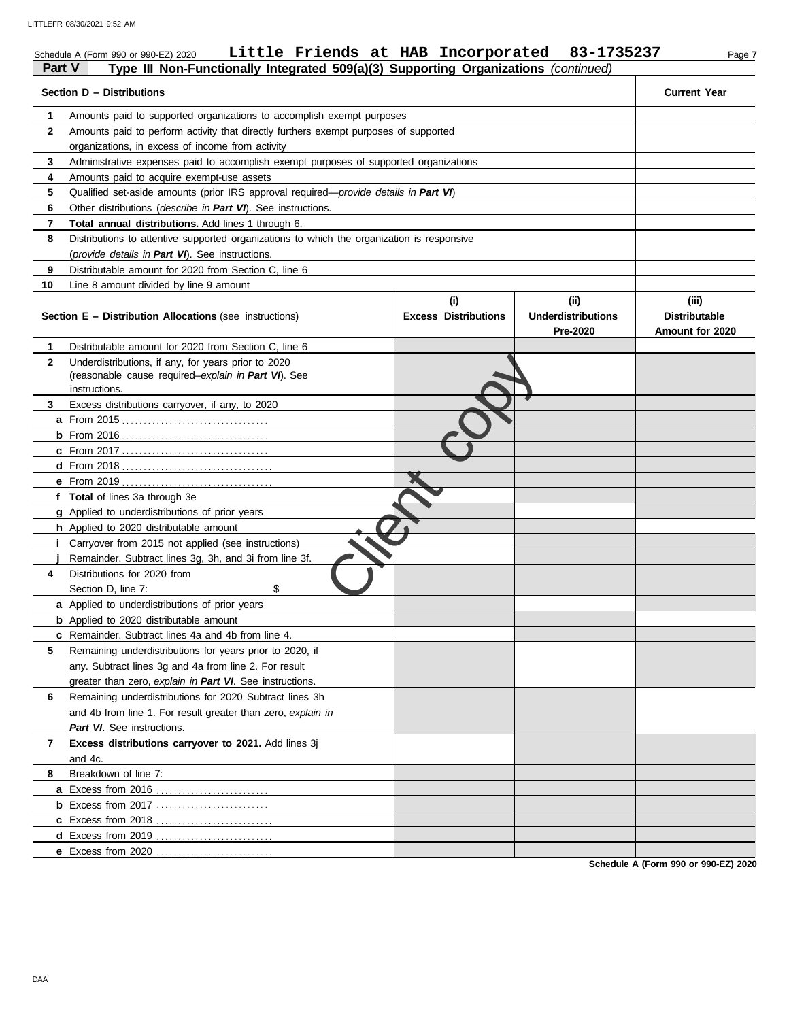| Part V       | Little Friends at HAB Incorporated<br>Schedule A (Form 990 or 990-EZ) 2020<br>Type III Non-Functionally Integrated 509(a)(3) Supporting Organizations (continued) |                                    | 83-1735237                                    | Page 7                                           |
|--------------|-------------------------------------------------------------------------------------------------------------------------------------------------------------------|------------------------------------|-----------------------------------------------|--------------------------------------------------|
|              | Section D - Distributions                                                                                                                                         |                                    |                                               | <b>Current Year</b>                              |
| 1            | Amounts paid to supported organizations to accomplish exempt purposes                                                                                             |                                    |                                               |                                                  |
| $\mathbf{2}$ | Amounts paid to perform activity that directly furthers exempt purposes of supported                                                                              |                                    |                                               |                                                  |
|              | organizations, in excess of income from activity                                                                                                                  |                                    |                                               |                                                  |
| 3            | Administrative expenses paid to accomplish exempt purposes of supported organizations                                                                             |                                    |                                               |                                                  |
| 4            | Amounts paid to acquire exempt-use assets                                                                                                                         |                                    |                                               |                                                  |
| 5            | Qualified set-aside amounts (prior IRS approval required—provide details in Part VI)                                                                              |                                    |                                               |                                                  |
| 6            | Other distributions (describe in Part VI). See instructions.                                                                                                      |                                    |                                               |                                                  |
| 7            | Total annual distributions. Add lines 1 through 6.                                                                                                                |                                    |                                               |                                                  |
| 8            | Distributions to attentive supported organizations to which the organization is responsive                                                                        |                                    |                                               |                                                  |
|              | (provide details in Part VI). See instructions.                                                                                                                   |                                    |                                               |                                                  |
| 9            | Distributable amount for 2020 from Section C, line 6                                                                                                              |                                    |                                               |                                                  |
| 10           | Line 8 amount divided by line 9 amount                                                                                                                            |                                    |                                               |                                                  |
|              | <b>Section E - Distribution Allocations (see instructions)</b>                                                                                                    | (i)<br><b>Excess Distributions</b> | (ii)<br><b>Underdistributions</b><br>Pre-2020 | (iii)<br><b>Distributable</b><br>Amount for 2020 |
| 1            | Distributable amount for 2020 from Section C. line 6                                                                                                              |                                    |                                               |                                                  |
| $\mathbf{2}$ | Underdistributions, if any, for years prior to 2020<br>(reasonable cause required-explain in Part VI). See                                                        |                                    |                                               |                                                  |
|              | instructions.                                                                                                                                                     |                                    |                                               |                                                  |
| 3            | Excess distributions carryover, if any, to 2020                                                                                                                   |                                    |                                               |                                                  |
|              |                                                                                                                                                                   |                                    |                                               |                                                  |
|              |                                                                                                                                                                   |                                    |                                               |                                                  |
|              |                                                                                                                                                                   |                                    |                                               |                                                  |
|              |                                                                                                                                                                   |                                    |                                               |                                                  |
|              |                                                                                                                                                                   |                                    |                                               |                                                  |
|              | f Total of lines 3a through 3e<br>g Applied to underdistributions of prior years                                                                                  |                                    |                                               |                                                  |
|              | h Applied to 2020 distributable amount                                                                                                                            |                                    |                                               |                                                  |
|              | <i>i</i> Carryover from 2015 not applied (see instructions)                                                                                                       |                                    |                                               |                                                  |
|              | Remainder. Subtract lines 3g, 3h, and 3i from line 3f.                                                                                                            |                                    |                                               |                                                  |
| 4            | Distributions for 2020 from                                                                                                                                       |                                    |                                               |                                                  |
|              | \$<br>Section D, line 7:                                                                                                                                          |                                    |                                               |                                                  |
|              | a Applied to underdistributions of prior years                                                                                                                    |                                    |                                               |                                                  |
|              | <b>b</b> Applied to 2020 distributable amount                                                                                                                     |                                    |                                               |                                                  |
|              | c Remainder. Subtract lines 4a and 4b from line 4.                                                                                                                |                                    |                                               |                                                  |
| 5            | Remaining underdistributions for years prior to 2020, if                                                                                                          |                                    |                                               |                                                  |
|              | any. Subtract lines 3g and 4a from line 2. For result                                                                                                             |                                    |                                               |                                                  |
|              | greater than zero, explain in Part VI. See instructions.                                                                                                          |                                    |                                               |                                                  |
| 6            | Remaining underdistributions for 2020 Subtract lines 3h                                                                                                           |                                    |                                               |                                                  |
|              | and 4b from line 1. For result greater than zero, explain in                                                                                                      |                                    |                                               |                                                  |
|              | Part VI. See instructions.                                                                                                                                        |                                    |                                               |                                                  |
| 7            | Excess distributions carryover to 2021. Add lines 3j                                                                                                              |                                    |                                               |                                                  |
|              | and 4c.                                                                                                                                                           |                                    |                                               |                                                  |
| 8            | Breakdown of line 7:                                                                                                                                              |                                    |                                               |                                                  |
|              | a Excess from 2016                                                                                                                                                |                                    |                                               |                                                  |
|              | <b>b</b> Excess from 2017                                                                                                                                         |                                    |                                               |                                                  |
|              | c Excess from 2018                                                                                                                                                |                                    |                                               |                                                  |
|              |                                                                                                                                                                   |                                    |                                               |                                                  |
|              | e Excess from 2020                                                                                                                                                |                                    |                                               |                                                  |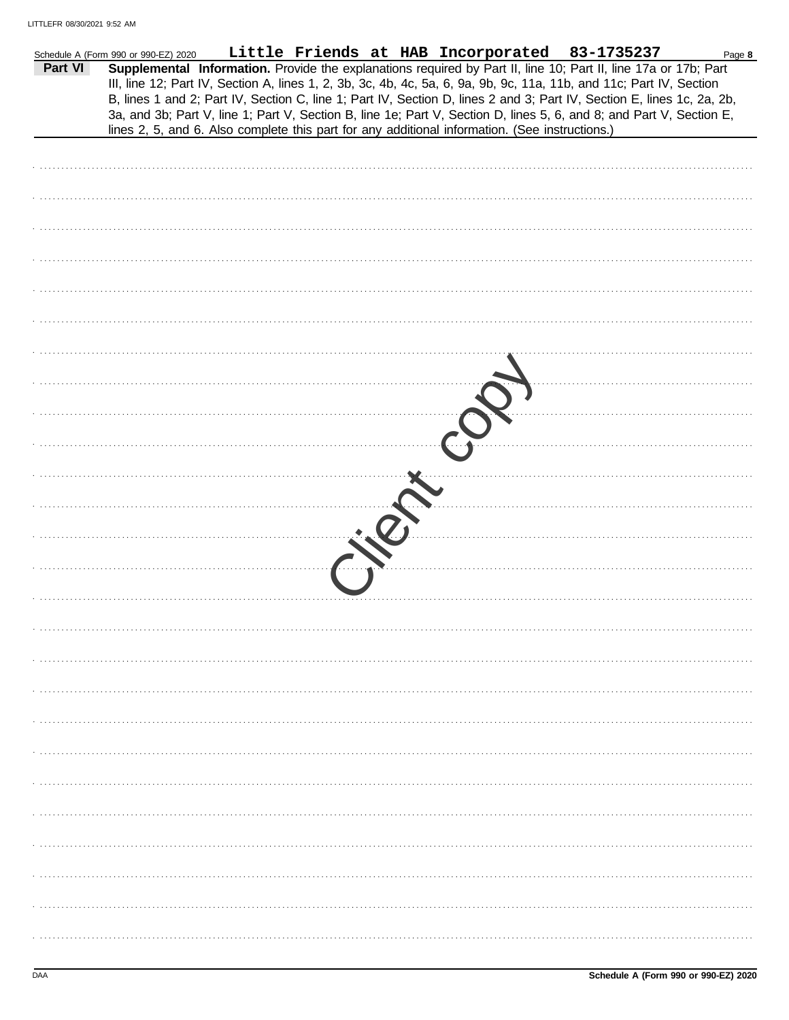|         | Schedule A (Form 990 or 990-EZ) 2020 |                                                                                                |  | Little Friends at HAB Incorporated 83-1735237                                                                                                                                                                                                                                                                                                                                                                                                                                             | Page 8 |
|---------|--------------------------------------|------------------------------------------------------------------------------------------------|--|-------------------------------------------------------------------------------------------------------------------------------------------------------------------------------------------------------------------------------------------------------------------------------------------------------------------------------------------------------------------------------------------------------------------------------------------------------------------------------------------|--------|
| Part VI |                                      | lines 2, 5, and 6. Also complete this part for any additional information. (See instructions.) |  | Supplemental Information. Provide the explanations required by Part II, line 10; Part II, line 17a or 17b; Part<br>III, line 12; Part IV, Section A, lines 1, 2, 3b, 3c, 4b, 4c, 5a, 6, 9a, 9b, 9c, 11a, 11b, and 11c; Part IV, Section<br>B, lines 1 and 2; Part IV, Section C, line 1; Part IV, Section D, lines 2 and 3; Part IV, Section E, lines 1c, 2a, 2b,<br>3a, and 3b; Part V, line 1; Part V, Section B, line 1e; Part V, Section D, lines 5, 6, and 8; and Part V, Section E, |        |
|         |                                      |                                                                                                |  |                                                                                                                                                                                                                                                                                                                                                                                                                                                                                           |        |
|         |                                      |                                                                                                |  |                                                                                                                                                                                                                                                                                                                                                                                                                                                                                           |        |
|         |                                      |                                                                                                |  |                                                                                                                                                                                                                                                                                                                                                                                                                                                                                           |        |
|         |                                      |                                                                                                |  |                                                                                                                                                                                                                                                                                                                                                                                                                                                                                           |        |
|         |                                      |                                                                                                |  |                                                                                                                                                                                                                                                                                                                                                                                                                                                                                           |        |
|         |                                      |                                                                                                |  |                                                                                                                                                                                                                                                                                                                                                                                                                                                                                           |        |
|         |                                      |                                                                                                |  |                                                                                                                                                                                                                                                                                                                                                                                                                                                                                           |        |
|         |                                      |                                                                                                |  |                                                                                                                                                                                                                                                                                                                                                                                                                                                                                           |        |
|         |                                      |                                                                                                |  |                                                                                                                                                                                                                                                                                                                                                                                                                                                                                           |        |
|         |                                      |                                                                                                |  |                                                                                                                                                                                                                                                                                                                                                                                                                                                                                           |        |
|         |                                      |                                                                                                |  |                                                                                                                                                                                                                                                                                                                                                                                                                                                                                           |        |
|         |                                      |                                                                                                |  |                                                                                                                                                                                                                                                                                                                                                                                                                                                                                           |        |
|         |                                      |                                                                                                |  |                                                                                                                                                                                                                                                                                                                                                                                                                                                                                           |        |
|         |                                      |                                                                                                |  |                                                                                                                                                                                                                                                                                                                                                                                                                                                                                           |        |
|         |                                      |                                                                                                |  |                                                                                                                                                                                                                                                                                                                                                                                                                                                                                           |        |
|         |                                      |                                                                                                |  |                                                                                                                                                                                                                                                                                                                                                                                                                                                                                           |        |
|         |                                      |                                                                                                |  |                                                                                                                                                                                                                                                                                                                                                                                                                                                                                           |        |
|         |                                      |                                                                                                |  |                                                                                                                                                                                                                                                                                                                                                                                                                                                                                           |        |
|         |                                      |                                                                                                |  |                                                                                                                                                                                                                                                                                                                                                                                                                                                                                           |        |
|         |                                      |                                                                                                |  |                                                                                                                                                                                                                                                                                                                                                                                                                                                                                           |        |
|         |                                      |                                                                                                |  |                                                                                                                                                                                                                                                                                                                                                                                                                                                                                           |        |
|         |                                      |                                                                                                |  |                                                                                                                                                                                                                                                                                                                                                                                                                                                                                           |        |
|         |                                      |                                                                                                |  |                                                                                                                                                                                                                                                                                                                                                                                                                                                                                           |        |
|         |                                      |                                                                                                |  |                                                                                                                                                                                                                                                                                                                                                                                                                                                                                           |        |
|         |                                      |                                                                                                |  |                                                                                                                                                                                                                                                                                                                                                                                                                                                                                           |        |
|         |                                      |                                                                                                |  |                                                                                                                                                                                                                                                                                                                                                                                                                                                                                           |        |
|         |                                      |                                                                                                |  |                                                                                                                                                                                                                                                                                                                                                                                                                                                                                           |        |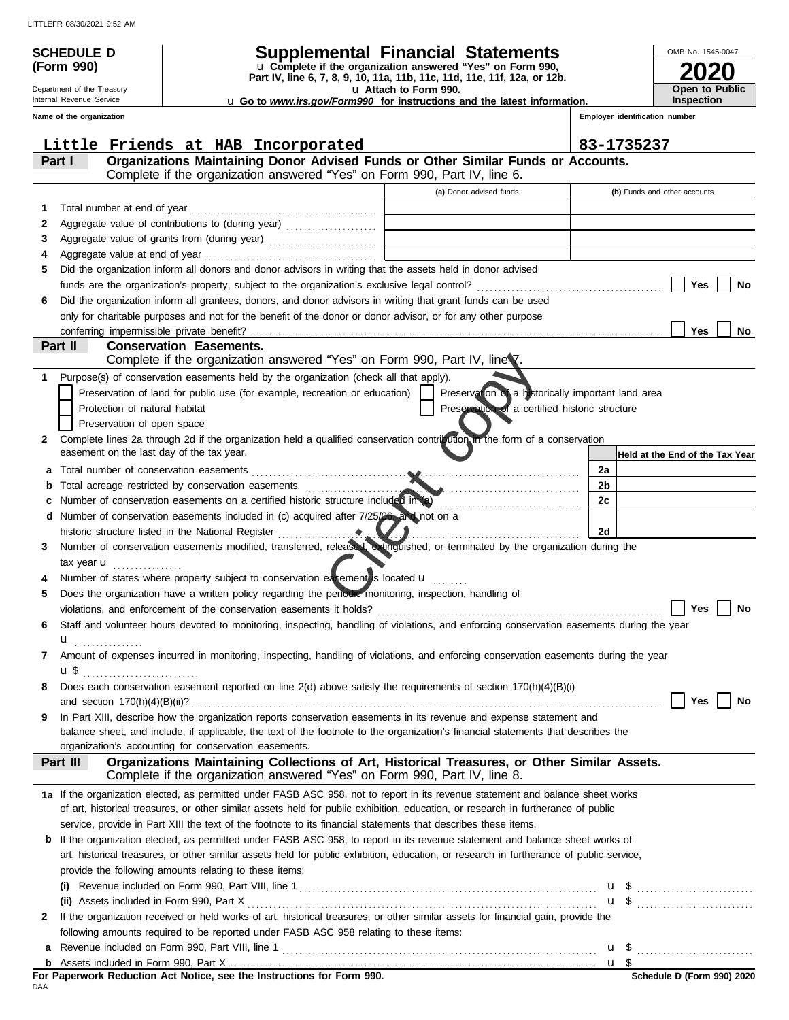Department of the Treasury Internal Revenue Service **Name of the organization**

**(Form 990)**

# **SCHEDULE D Supplemental Financial Statements**

**Part IV, line 6, 7, 8, 9, 10, 11a, 11b, 11c, 11d, 11e, 11f, 12a, or 12b.** u **Complete if the organization answered "Yes" on Form 990,**

u **Attach to Form 990.** 

| 2020                  |
|-----------------------|
| <b>Open to Public</b> |
| <b>Inspection</b>     |

OMB No. 1545-0047

u **Go to** *www.irs.gov/Form990* **for instructions and the latest information.**

**Employer identification number**

|    | Little Friends at HAB Incorporated                                                                                                                                                    |                                                                                                                                                                                                 | 83-1735237                      |
|----|---------------------------------------------------------------------------------------------------------------------------------------------------------------------------------------|-------------------------------------------------------------------------------------------------------------------------------------------------------------------------------------------------|---------------------------------|
|    | Organizations Maintaining Donor Advised Funds or Other Similar Funds or Accounts.<br>Part I                                                                                           |                                                                                                                                                                                                 |                                 |
|    | Complete if the organization answered "Yes" on Form 990, Part IV, line 6.                                                                                                             |                                                                                                                                                                                                 |                                 |
|    |                                                                                                                                                                                       | (a) Donor advised funds                                                                                                                                                                         | (b) Funds and other accounts    |
| 1. | Total number at end of year                                                                                                                                                           | $\mathcal{L}^{\mathcal{L}}(\mathcal{L}^{\mathcal{L}})$ and $\mathcal{L}^{\mathcal{L}}(\mathcal{L}^{\mathcal{L}})$ . Then the contract of $\mathcal{L}^{\mathcal{L}}(\mathcal{L}^{\mathcal{L}})$ |                                 |
| 2  | Aggregate value of contributions to (during year)                                                                                                                                     | the control of the control of the control of the control of the control of                                                                                                                      |                                 |
| 3  | Aggregate value of grants from (during year)                                                                                                                                          |                                                                                                                                                                                                 |                                 |
| 4  |                                                                                                                                                                                       |                                                                                                                                                                                                 |                                 |
| 5  | Did the organization inform all donors and donor advisors in writing that the assets held in donor advised                                                                            |                                                                                                                                                                                                 |                                 |
|    |                                                                                                                                                                                       |                                                                                                                                                                                                 | Yes<br>No                       |
| 6  | Did the organization inform all grantees, donors, and donor advisors in writing that grant funds can be used                                                                          |                                                                                                                                                                                                 |                                 |
|    | only for charitable purposes and not for the benefit of the donor or donor advisor, or for any other purpose                                                                          |                                                                                                                                                                                                 |                                 |
|    |                                                                                                                                                                                       |                                                                                                                                                                                                 | Yes<br>No                       |
|    | Part II<br><b>Conservation Easements.</b>                                                                                                                                             |                                                                                                                                                                                                 |                                 |
|    | Complete if the organization answered "Yes" on Form 990, Part IV, line 7.                                                                                                             |                                                                                                                                                                                                 |                                 |
| 1  | Purpose(s) of conservation easements held by the organization (check all that apply).                                                                                                 |                                                                                                                                                                                                 |                                 |
|    | Preservation of land for public use (for example, recreation or education)                                                                                                            | Preservation of a historically important land area                                                                                                                                              |                                 |
|    | Protection of natural habitat                                                                                                                                                         | Preservation of a certified historic structure                                                                                                                                                  |                                 |
|    | Preservation of open space                                                                                                                                                            |                                                                                                                                                                                                 |                                 |
| 2  | Complete lines 2a through 2d if the organization held a qualified conservation contribution in the form of a conservation                                                             |                                                                                                                                                                                                 |                                 |
|    | easement on the last day of the tax year.                                                                                                                                             |                                                                                                                                                                                                 | Held at the End of the Tax Year |
|    |                                                                                                                                                                                       |                                                                                                                                                                                                 | 2a                              |
| а  |                                                                                                                                                                                       |                                                                                                                                                                                                 | 2b                              |
| b  | Total acreage restricted by conservation easements                                                                                                                                    |                                                                                                                                                                                                 |                                 |
| c  | Number of conservation easements on a certified historic structure included in (a)                                                                                                    |                                                                                                                                                                                                 | 2c                              |
| d  | Number of conservation easements included in (c) acquired after 7/25/06, and not on a                                                                                                 |                                                                                                                                                                                                 |                                 |
|    | Number of conservation easements modified, transferred, released extinguished, or terminated by the organization during the                                                           |                                                                                                                                                                                                 | 2d                              |
| 3  |                                                                                                                                                                                       |                                                                                                                                                                                                 |                                 |
|    | tax year $\mathbf{u}$                                                                                                                                                                 |                                                                                                                                                                                                 |                                 |
| 4  | Number of states where property subject to conservation exsement is located u                                                                                                         |                                                                                                                                                                                                 |                                 |
| 5  | Does the organization have a written policy regarding the periodic monitoring, inspection, handling of                                                                                |                                                                                                                                                                                                 |                                 |
|    |                                                                                                                                                                                       |                                                                                                                                                                                                 | Yes<br>No                       |
| 6  | Staff and volunteer hours devoted to monitoring, inspecting, handling of violations, and enforcing conservation easements during the year                                             |                                                                                                                                                                                                 |                                 |
|    | $\mathbf{u}$ . $\dots$                                                                                                                                                                |                                                                                                                                                                                                 |                                 |
| 7  | Amount of expenses incurred in monitoring, inspecting, handling of violations, and enforcing conservation easements during the year                                                   |                                                                                                                                                                                                 |                                 |
|    | <b>u</b> \$                                                                                                                                                                           |                                                                                                                                                                                                 |                                 |
| 8  | Does each conservation easement reported on line 2(d) above satisfy the requirements of section 170(h)(4)(B)(i)                                                                       |                                                                                                                                                                                                 |                                 |
|    |                                                                                                                                                                                       |                                                                                                                                                                                                 | Yes  <br><b>No</b>              |
| 9  | In Part XIII, describe how the organization reports conservation easements in its revenue and expense statement and                                                                   |                                                                                                                                                                                                 |                                 |
|    | balance sheet, and include, if applicable, the text of the footnote to the organization's financial statements that describes the                                                     |                                                                                                                                                                                                 |                                 |
|    | organization's accounting for conservation easements.                                                                                                                                 |                                                                                                                                                                                                 |                                 |
|    | Organizations Maintaining Collections of Art, Historical Treasures, or Other Similar Assets.<br>Part III<br>Complete if the organization answered "Yes" on Form 990, Part IV, line 8. |                                                                                                                                                                                                 |                                 |
|    |                                                                                                                                                                                       |                                                                                                                                                                                                 |                                 |
|    | 1a If the organization elected, as permitted under FASB ASC 958, not to report in its revenue statement and balance sheet works                                                       |                                                                                                                                                                                                 |                                 |
|    | of art, historical treasures, or other similar assets held for public exhibition, education, or research in furtherance of public                                                     |                                                                                                                                                                                                 |                                 |
|    | service, provide in Part XIII the text of the footnote to its financial statements that describes these items.                                                                        |                                                                                                                                                                                                 |                                 |
|    | <b>b</b> If the organization elected, as permitted under FASB ASC 958, to report in its revenue statement and balance sheet works of                                                  |                                                                                                                                                                                                 |                                 |
|    | art, historical treasures, or other similar assets held for public exhibition, education, or research in furtherance of public service,                                               |                                                                                                                                                                                                 |                                 |
|    | provide the following amounts relating to these items:                                                                                                                                |                                                                                                                                                                                                 |                                 |
|    |                                                                                                                                                                                       |                                                                                                                                                                                                 |                                 |
|    |                                                                                                                                                                                       |                                                                                                                                                                                                 | u \$                            |
| 2  | If the organization received or held works of art, historical treasures, or other similar assets for financial gain, provide the                                                      |                                                                                                                                                                                                 |                                 |
|    | following amounts required to be reported under FASB ASC 958 relating to these items:                                                                                                 |                                                                                                                                                                                                 |                                 |
| а  |                                                                                                                                                                                       |                                                                                                                                                                                                 |                                 |
|    |                                                                                                                                                                                       |                                                                                                                                                                                                 | $\mathbf{u}$ \$                 |

DAA **For Paperwork Reduction Act Notice, see the Instructions for Form 990.**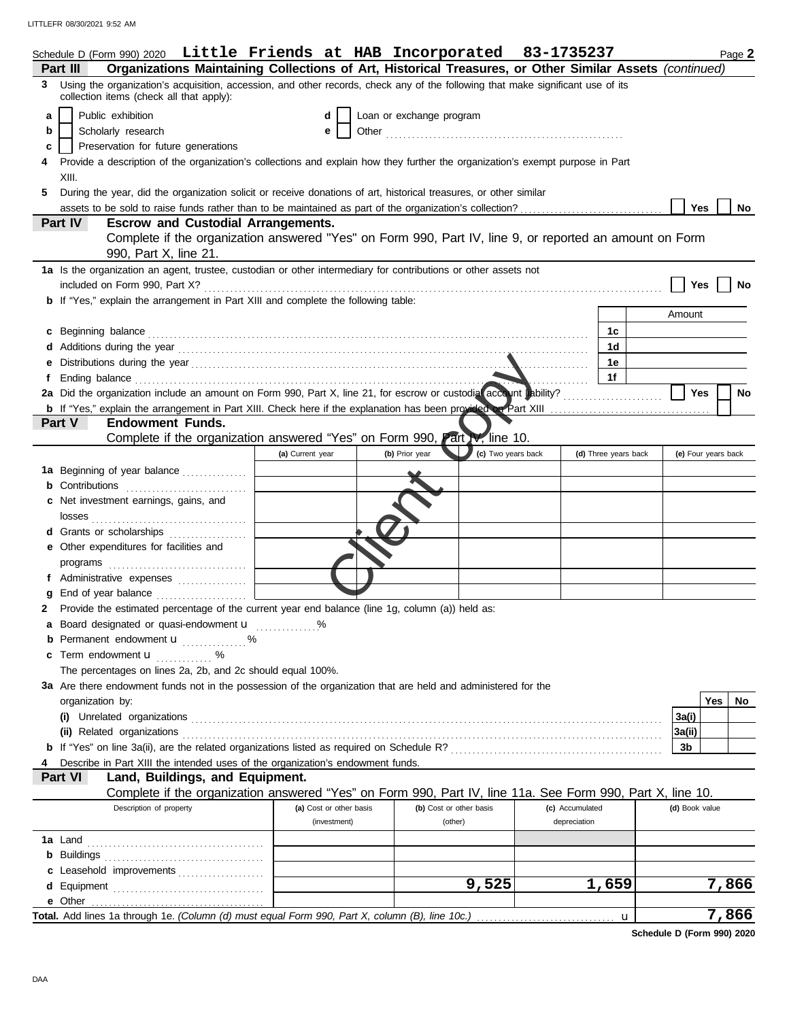LITTLEFR 08/30/2021 9:52 AM

|   | Schedule D (Form 990) 2020 Little Friends at HAB Incorporated 83-1735237                                                                                                    |                                         |                          |                                    |                                 |                      |                | Page 2              |  |  |
|---|-----------------------------------------------------------------------------------------------------------------------------------------------------------------------------|-----------------------------------------|--------------------------|------------------------------------|---------------------------------|----------------------|----------------|---------------------|--|--|
|   | Organizations Maintaining Collections of Art, Historical Treasures, or Other Similar Assets (continued)<br>Part III                                                         |                                         |                          |                                    |                                 |                      |                |                     |  |  |
| 3 | Using the organization's acquisition, accession, and other records, check any of the following that make significant use of its<br>collection items (check all that apply): |                                         |                          |                                    |                                 |                      |                |                     |  |  |
| a | Public exhibition                                                                                                                                                           | d                                       | Loan or exchange program |                                    |                                 |                      |                |                     |  |  |
| b | Scholarly research                                                                                                                                                          | е                                       |                          |                                    |                                 |                      |                |                     |  |  |
| c | Preservation for future generations                                                                                                                                         |                                         |                          |                                    |                                 |                      |                |                     |  |  |
|   | Provide a description of the organization's collections and explain how they further the organization's exempt purpose in Part<br>XIII.                                     |                                         |                          |                                    |                                 |                      |                |                     |  |  |
| 5 | During the year, did the organization solicit or receive donations of art, historical treasures, or other similar                                                           |                                         |                          |                                    |                                 |                      |                |                     |  |  |
|   |                                                                                                                                                                             |                                         |                          |                                    |                                 |                      | Yes            | No                  |  |  |
|   | Part IV<br><b>Escrow and Custodial Arrangements.</b>                                                                                                                        |                                         |                          |                                    |                                 |                      |                |                     |  |  |
|   | Complete if the organization answered "Yes" on Form 990, Part IV, line 9, or reported an amount on Form<br>990, Part X, line 21.                                            |                                         |                          |                                    |                                 |                      |                |                     |  |  |
|   | 1a Is the organization an agent, trustee, custodian or other intermediary for contributions or other assets not                                                             |                                         |                          |                                    |                                 |                      |                |                     |  |  |
|   |                                                                                                                                                                             |                                         |                          |                                    |                                 |                      | Yes            | No                  |  |  |
|   | <b>b</b> If "Yes," explain the arrangement in Part XIII and complete the following table:                                                                                   |                                         |                          |                                    |                                 |                      |                |                     |  |  |
|   |                                                                                                                                                                             |                                         |                          |                                    |                                 |                      | Amount         |                     |  |  |
|   | c Beginning balance                                                                                                                                                         |                                         |                          |                                    |                                 | 1c                   |                |                     |  |  |
|   |                                                                                                                                                                             |                                         |                          |                                    |                                 | 1d                   |                |                     |  |  |
|   |                                                                                                                                                                             |                                         |                          |                                    |                                 | 1е                   |                |                     |  |  |
|   |                                                                                                                                                                             |                                         |                          |                                    |                                 | 1f                   |                |                     |  |  |
|   | 2a Did the organization include an amount on Form 990, Part X, line 21, for escrow or custodial account unbility?                                                           |                                         |                          |                                    |                                 |                      | <b>Yes</b>     | No                  |  |  |
|   | <b>b</b> If "Yes," explain the arrangement in Part XIII. Check here if the explanation has been provided on Part XIII                                                       |                                         |                          |                                    |                                 |                      |                |                     |  |  |
|   | Part V<br><b>Endowment Funds.</b>                                                                                                                                           |                                         |                          |                                    |                                 |                      |                |                     |  |  |
|   | Complete if the organization answered "Yes" on Form 990, Part V, line 10.                                                                                                   |                                         |                          |                                    |                                 |                      |                |                     |  |  |
|   |                                                                                                                                                                             | (a) Current year                        | (b) Prior year           | (c) Two years back                 |                                 | (d) Three years back |                | (e) Four years back |  |  |
|   | 1a Beginning of year balance                                                                                                                                                |                                         |                          |                                    |                                 |                      |                |                     |  |  |
|   | <b>b</b> Contributions                                                                                                                                                      |                                         |                          |                                    |                                 |                      |                |                     |  |  |
|   | c Net investment earnings, gains, and                                                                                                                                       |                                         |                          |                                    |                                 |                      |                |                     |  |  |
|   | losses                                                                                                                                                                      |                                         |                          |                                    |                                 |                      |                |                     |  |  |
|   | <b>d</b> Grants or scholarships                                                                                                                                             |                                         |                          |                                    |                                 |                      |                |                     |  |  |
|   | e Other expenditures for facilities and                                                                                                                                     |                                         |                          |                                    |                                 |                      |                |                     |  |  |
|   |                                                                                                                                                                             |                                         |                          |                                    |                                 |                      |                |                     |  |  |
| f | Administrative expenses                                                                                                                                                     |                                         |                          |                                    |                                 |                      |                |                     |  |  |
|   | End of year balance                                                                                                                                                         |                                         |                          |                                    |                                 |                      |                |                     |  |  |
|   | Provide the estimated percentage of the current year end balance (line 1g, column (a)) held as:                                                                             |                                         |                          |                                    |                                 |                      |                |                     |  |  |
|   | Board designated or quasi-endowment <b>u</b> %                                                                                                                              |                                         |                          |                                    |                                 |                      |                |                     |  |  |
|   | <b>b</b> Permanent endowment <b>u</b> %                                                                                                                                     |                                         |                          |                                    |                                 |                      |                |                     |  |  |
|   | c Term endowment <b>u</b> %                                                                                                                                                 |                                         |                          |                                    |                                 |                      |                |                     |  |  |
|   | The percentages on lines 2a, 2b, and 2c should equal 100%.                                                                                                                  |                                         |                          |                                    |                                 |                      |                |                     |  |  |
|   | 3a Are there endowment funds not in the possession of the organization that are held and administered for the                                                               |                                         |                          |                                    |                                 |                      |                |                     |  |  |
|   | organization by:                                                                                                                                                            |                                         |                          |                                    |                                 |                      |                | Yes<br>No.          |  |  |
|   |                                                                                                                                                                             |                                         |                          |                                    |                                 |                      | 3a(i)          |                     |  |  |
|   | (ii) Related organizations                                                                                                                                                  |                                         |                          |                                    |                                 |                      | 3a(ii)         |                     |  |  |
|   |                                                                                                                                                                             |                                         |                          |                                    |                                 |                      | 3b             |                     |  |  |
|   | Describe in Part XIII the intended uses of the organization's endowment funds.                                                                                              |                                         |                          |                                    |                                 |                      |                |                     |  |  |
|   | Part VI<br>Land, Buildings, and Equipment.                                                                                                                                  |                                         |                          |                                    |                                 |                      |                |                     |  |  |
|   | Complete if the organization answered "Yes" on Form 990, Part IV, line 11a. See Form 990, Part X, line 10.                                                                  |                                         |                          |                                    |                                 |                      |                |                     |  |  |
|   | Description of property                                                                                                                                                     | (a) Cost or other basis<br>(investment) |                          | (b) Cost or other basis<br>(other) | (c) Accumulated<br>depreciation |                      | (d) Book value |                     |  |  |
|   |                                                                                                                                                                             |                                         |                          |                                    |                                 |                      |                |                     |  |  |
|   | <b>1a</b> Land                                                                                                                                                              |                                         |                          |                                    |                                 |                      |                |                     |  |  |
|   | <b>b</b> Buildings                                                                                                                                                          |                                         |                          |                                    |                                 |                      |                |                     |  |  |
|   | c Leasehold improvements                                                                                                                                                    |                                         |                          | 9,525                              |                                 | 1,659                |                | 7,866               |  |  |
|   |                                                                                                                                                                             |                                         |                          |                                    |                                 |                      |                |                     |  |  |
|   |                                                                                                                                                                             |                                         |                          |                                    |                                 |                      |                | 7,866               |  |  |
|   |                                                                                                                                                                             |                                         |                          |                                    |                                 | u                    |                |                     |  |  |

**Schedule D (Form 990) 2020**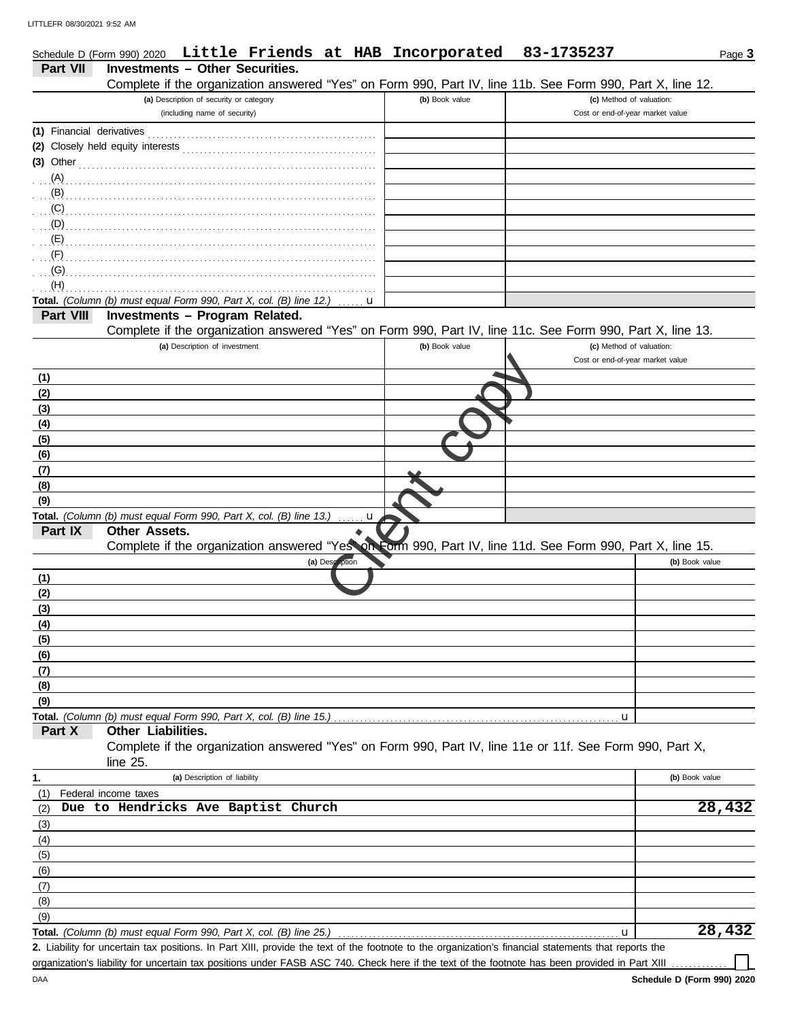DAA

|                           | Schedule D (Form 990) 2020             |                                         |                                                                           |                 | Little Friends at HAB Incorporated                                                                                    | 83-1735237                                                                                                 | Page 3         |
|---------------------------|----------------------------------------|-----------------------------------------|---------------------------------------------------------------------------|-----------------|-----------------------------------------------------------------------------------------------------------------------|------------------------------------------------------------------------------------------------------------|----------------|
| Part VII                  | <b>Investments - Other Securities.</b> |                                         |                                                                           |                 |                                                                                                                       |                                                                                                            |                |
|                           |                                        |                                         |                                                                           |                 |                                                                                                                       | Complete if the organization answered "Yes" on Form 990, Part IV, line 11b. See Form 990, Part X, line 12. |                |
|                           |                                        | (a) Description of security or category |                                                                           |                 | (b) Book value                                                                                                        | (c) Method of valuation:<br>Cost or end-of-year market value                                               |                |
|                           |                                        | (including name of security)            |                                                                           |                 |                                                                                                                       |                                                                                                            |                |
| (1) Financial derivatives |                                        |                                         |                                                                           |                 |                                                                                                                       |                                                                                                            |                |
| $(3)$ Other               |                                        |                                         |                                                                           |                 |                                                                                                                       |                                                                                                            |                |
|                           |                                        |                                         |                                                                           |                 |                                                                                                                       |                                                                                                            |                |
|                           |                                        |                                         |                                                                           |                 |                                                                                                                       |                                                                                                            |                |
|                           |                                        |                                         |                                                                           |                 |                                                                                                                       |                                                                                                            |                |
|                           |                                        |                                         |                                                                           |                 |                                                                                                                       |                                                                                                            |                |
| $\overline{E}$ (E)        |                                        |                                         |                                                                           |                 |                                                                                                                       |                                                                                                            |                |
| $\cdot$ (F)               |                                        |                                         |                                                                           |                 |                                                                                                                       |                                                                                                            |                |
| (G)                       |                                        |                                         |                                                                           |                 |                                                                                                                       |                                                                                                            |                |
| (H)                       |                                        |                                         | Total. (Column (b) must equal Form 990, Part X, col. (B) line 12.)        |                 |                                                                                                                       |                                                                                                            |                |
| Part VIII                 |                                        |                                         | Investments - Program Related.                                            | u               |                                                                                                                       |                                                                                                            |                |
|                           |                                        |                                         |                                                                           |                 |                                                                                                                       | Complete if the organization answered "Yes" on Form 990, Part IV, line 11c. See Form 990, Part X, line 13. |                |
|                           |                                        | (a) Description of investment           |                                                                           |                 | (b) Book value                                                                                                        | (c) Method of valuation:                                                                                   |                |
|                           |                                        |                                         |                                                                           |                 |                                                                                                                       | Cost or end-of-year market value                                                                           |                |
| <u>(1)</u>                |                                        |                                         |                                                                           |                 |                                                                                                                       |                                                                                                            |                |
| (2)                       |                                        |                                         |                                                                           |                 |                                                                                                                       |                                                                                                            |                |
| (3)                       |                                        |                                         |                                                                           |                 |                                                                                                                       |                                                                                                            |                |
| (4)                       |                                        |                                         |                                                                           |                 |                                                                                                                       |                                                                                                            |                |
| (5)                       |                                        |                                         |                                                                           |                 |                                                                                                                       |                                                                                                            |                |
| (6)<br>(7)                |                                        |                                         |                                                                           |                 |                                                                                                                       |                                                                                                            |                |
| (8)                       |                                        |                                         |                                                                           |                 |                                                                                                                       |                                                                                                            |                |
| (9)                       |                                        |                                         |                                                                           |                 |                                                                                                                       |                                                                                                            |                |
|                           |                                        |                                         | Total. (Column (b) must equal Form 990, Part X, col. (B) line 13.)        | . <b>u</b>      |                                                                                                                       |                                                                                                            |                |
| Part IX                   | Other Assets.                          |                                         |                                                                           |                 |                                                                                                                       |                                                                                                            |                |
|                           |                                        |                                         |                                                                           |                 |                                                                                                                       | Complete if the organization answered "Yesson Form 990, Part IV, line 11d. See Form 990, Part X, line 15.  |                |
|                           |                                        |                                         |                                                                           | (a) Description |                                                                                                                       |                                                                                                            | (b) Book value |
| (1)                       |                                        |                                         |                                                                           |                 |                                                                                                                       |                                                                                                            |                |
| (2)<br>(3)                |                                        |                                         |                                                                           |                 |                                                                                                                       |                                                                                                            |                |
| (4)                       |                                        |                                         |                                                                           |                 |                                                                                                                       |                                                                                                            |                |
| (5)                       |                                        |                                         |                                                                           |                 |                                                                                                                       |                                                                                                            |                |
| (6)                       |                                        |                                         |                                                                           |                 |                                                                                                                       |                                                                                                            |                |
| (7)                       |                                        |                                         |                                                                           |                 |                                                                                                                       |                                                                                                            |                |
| (8)                       |                                        |                                         |                                                                           |                 |                                                                                                                       |                                                                                                            |                |
| (9)                       |                                        |                                         |                                                                           |                 |                                                                                                                       |                                                                                                            |                |
|                           |                                        |                                         |                                                                           |                 |                                                                                                                       | u                                                                                                          |                |
| Part X                    | Other Liabilities.                     |                                         |                                                                           |                 |                                                                                                                       | Complete if the organization answered "Yes" on Form 990, Part IV, line 11e or 11f. See Form 990, Part X,   |                |
|                           | line $25$ .                            |                                         |                                                                           |                 |                                                                                                                       |                                                                                                            |                |
| 1.                        |                                        | (a) Description of liability            |                                                                           |                 |                                                                                                                       |                                                                                                            | (b) Book value |
| (1)                       | Federal income taxes                   |                                         |                                                                           |                 |                                                                                                                       |                                                                                                            |                |
| (2)                       |                                        |                                         | Due to Hendricks Ave Baptist Church                                       |                 |                                                                                                                       |                                                                                                            | 28,432         |
| (3)                       |                                        |                                         |                                                                           |                 |                                                                                                                       |                                                                                                            |                |
| (4)                       |                                        |                                         |                                                                           |                 |                                                                                                                       |                                                                                                            |                |
| (5)                       |                                        |                                         |                                                                           |                 |                                                                                                                       |                                                                                                            |                |
| (6)                       |                                        |                                         |                                                                           |                 |                                                                                                                       |                                                                                                            |                |
| (7)                       |                                        |                                         |                                                                           |                 |                                                                                                                       |                                                                                                            |                |
| (8)                       |                                        |                                         |                                                                           |                 |                                                                                                                       |                                                                                                            |                |
| (9)                       |                                        |                                         | <b>Total.</b> (Column (b) must equal Form 990, Part X, col. (B) line 25.) |                 |                                                                                                                       | u                                                                                                          | 28,432         |
|                           |                                        |                                         |                                                                           |                 | for uncertain tax positions, In Part YIII, provide the text of the feetpete to the examization's financial statements |                                                                                                            |                |

Liability for uncertain tax positions. In Part XIII, provide the text of the footnote to the organization's financial statements that reports the **2.** organization's liability for uncertain tax positions under FASB ASC 740. Check here if the text of the footnote has been provided in Part XIII .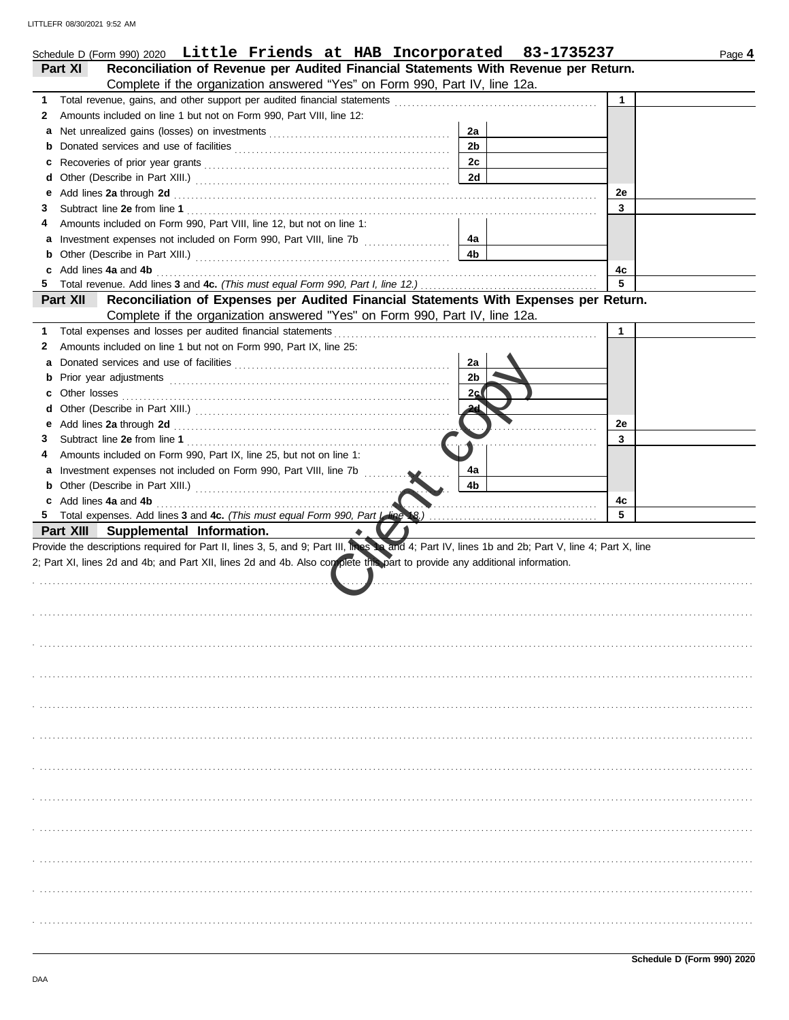| Schedule D (Form 990) 2020 Little Friends at HAB Incorporated 83-1735237                                                                                                                                                           |                | Page 4       |
|------------------------------------------------------------------------------------------------------------------------------------------------------------------------------------------------------------------------------------|----------------|--------------|
| Reconciliation of Revenue per Audited Financial Statements With Revenue per Return.<br>Part XI                                                                                                                                     |                |              |
| Complete if the organization answered "Yes" on Form 990, Part IV, line 12a.                                                                                                                                                        |                |              |
| 1                                                                                                                                                                                                                                  |                | $\mathbf{1}$ |
| Amounts included on line 1 but not on Form 990, Part VIII, line 12:<br>2                                                                                                                                                           |                |              |
|                                                                                                                                                                                                                                    | 2a             |              |
| b                                                                                                                                                                                                                                  | 2 <sub>b</sub> |              |
|                                                                                                                                                                                                                                    | 2 <sub>c</sub> |              |
|                                                                                                                                                                                                                                    | 2d             |              |
| Add lines 2a through 2d [11] Additional Property and Property and Property and Property and Property and Property and Property and Property and Property and Property and Property and Property and Property and Property and<br>е |                | 2e           |
| 3                                                                                                                                                                                                                                  |                | 3            |
| Amounts included on Form 990, Part VIII, line 12, but not on line 1:                                                                                                                                                               |                |              |
| Investment expenses not included on Form 990, Part VIII, line 7b [100] [100] [100] [100] [100] [100] [100] [100] [100] [100] [100] [100] [100] [100] [100] [100] [100] [100] [100] [100] [100] [100] [100] [100] [100] [100] [     | 4а             |              |
| b                                                                                                                                                                                                                                  | 4 <sub>b</sub> |              |
| Add lines 4a and 4b<br>c                                                                                                                                                                                                           |                | 4c           |
| 5.                                                                                                                                                                                                                                 |                | 5            |
| Part XII<br>Reconciliation of Expenses per Audited Financial Statements With Expenses per Return.                                                                                                                                  |                |              |
| Complete if the organization answered "Yes" on Form 990, Part IV, line 12a.                                                                                                                                                        |                |              |
| Total expenses and losses per audited financial statements<br>1                                                                                                                                                                    |                | $\mathbf{1}$ |
| Amounts included on line 1 but not on Form 990, Part IX, line 25:<br>2                                                                                                                                                             |                |              |
| а                                                                                                                                                                                                                                  | 2a             |              |
| b                                                                                                                                                                                                                                  | 2 <sub>b</sub> |              |
| c                                                                                                                                                                                                                                  | 2c(            |              |
| d                                                                                                                                                                                                                                  |                |              |
| е                                                                                                                                                                                                                                  |                | 2e           |
| З                                                                                                                                                                                                                                  |                | 3            |
| Amounts included on Form 990, Part IX, line 25, but not on line 1:                                                                                                                                                                 |                |              |
| Investment expenses not included on Form 990, Part VIII, line 7b<br>а                                                                                                                                                              | 4a             |              |
| b                                                                                                                                                                                                                                  | 4b             |              |
| c Add lines 4a and 4b                                                                                                                                                                                                              |                | 4c           |
|                                                                                                                                                                                                                                    |                | 5            |
| Part XIII Supplemental Information.                                                                                                                                                                                                |                |              |
| Provide the descriptions required for Part II, lines 3, 5, and 9; Part III, lines 12 and 4; Part IV, lines 1b and 2b; Part V, line 4; Part X, line                                                                                 |                |              |
| 2; Part XI, lines 2d and 4b; and Part XII, lines 2d and 4b. Also complete the part to provide any additional information.                                                                                                          |                |              |
|                                                                                                                                                                                                                                    |                |              |
|                                                                                                                                                                                                                                    |                |              |
|                                                                                                                                                                                                                                    |                |              |
|                                                                                                                                                                                                                                    |                |              |
|                                                                                                                                                                                                                                    |                |              |
|                                                                                                                                                                                                                                    |                |              |
|                                                                                                                                                                                                                                    |                |              |
|                                                                                                                                                                                                                                    |                |              |
|                                                                                                                                                                                                                                    |                |              |
|                                                                                                                                                                                                                                    |                |              |
|                                                                                                                                                                                                                                    |                |              |
|                                                                                                                                                                                                                                    |                |              |
|                                                                                                                                                                                                                                    |                |              |
|                                                                                                                                                                                                                                    |                |              |
|                                                                                                                                                                                                                                    |                |              |
|                                                                                                                                                                                                                                    |                |              |
|                                                                                                                                                                                                                                    |                |              |
|                                                                                                                                                                                                                                    |                |              |
|                                                                                                                                                                                                                                    |                |              |
|                                                                                                                                                                                                                                    |                |              |
|                                                                                                                                                                                                                                    |                |              |
|                                                                                                                                                                                                                                    |                |              |
|                                                                                                                                                                                                                                    |                |              |
|                                                                                                                                                                                                                                    |                |              |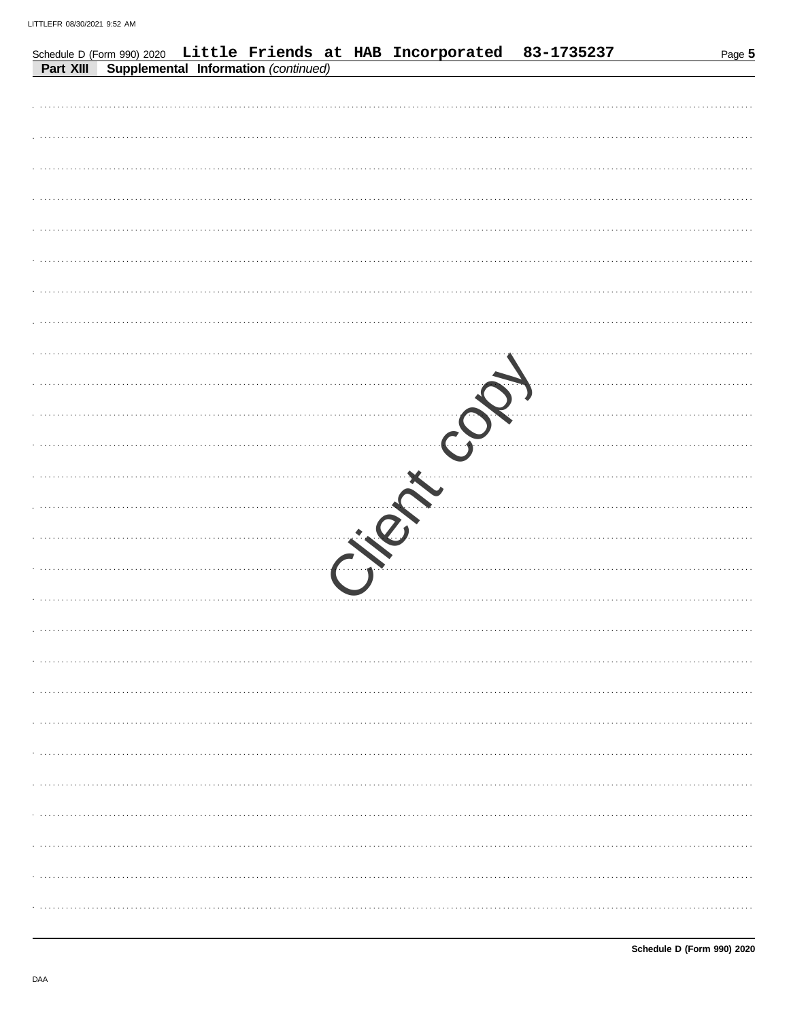|           |  |                                      |   |  | Schedule D (Form 990) 2020 Little Friends at HAB Incorporated 83-1735237 | Page 5 |
|-----------|--|--------------------------------------|---|--|--------------------------------------------------------------------------|--------|
| Part XIII |  | Supplemental Information (continued) |   |  |                                                                          |        |
|           |  |                                      |   |  |                                                                          |        |
|           |  |                                      |   |  |                                                                          |        |
|           |  |                                      |   |  |                                                                          |        |
|           |  |                                      |   |  |                                                                          |        |
|           |  |                                      |   |  |                                                                          |        |
|           |  |                                      |   |  |                                                                          |        |
|           |  |                                      |   |  |                                                                          |        |
|           |  |                                      |   |  |                                                                          |        |
|           |  |                                      |   |  |                                                                          |        |
|           |  |                                      |   |  |                                                                          |        |
|           |  |                                      |   |  |                                                                          |        |
|           |  |                                      |   |  |                                                                          |        |
|           |  |                                      |   |  |                                                                          |        |
|           |  |                                      |   |  |                                                                          |        |
|           |  |                                      |   |  |                                                                          |        |
|           |  |                                      | . |  |                                                                          |        |
|           |  |                                      |   |  |                                                                          |        |
|           |  |                                      |   |  |                                                                          |        |
|           |  |                                      |   |  |                                                                          |        |
|           |  |                                      |   |  |                                                                          |        |
|           |  |                                      |   |  |                                                                          |        |
|           |  |                                      |   |  |                                                                          |        |
|           |  |                                      |   |  |                                                                          |        |
|           |  |                                      |   |  |                                                                          |        |
|           |  |                                      |   |  |                                                                          |        |
|           |  |                                      |   |  |                                                                          |        |
|           |  |                                      |   |  |                                                                          |        |
|           |  |                                      |   |  |                                                                          |        |
|           |  |                                      |   |  |                                                                          |        |
|           |  |                                      |   |  |                                                                          |        |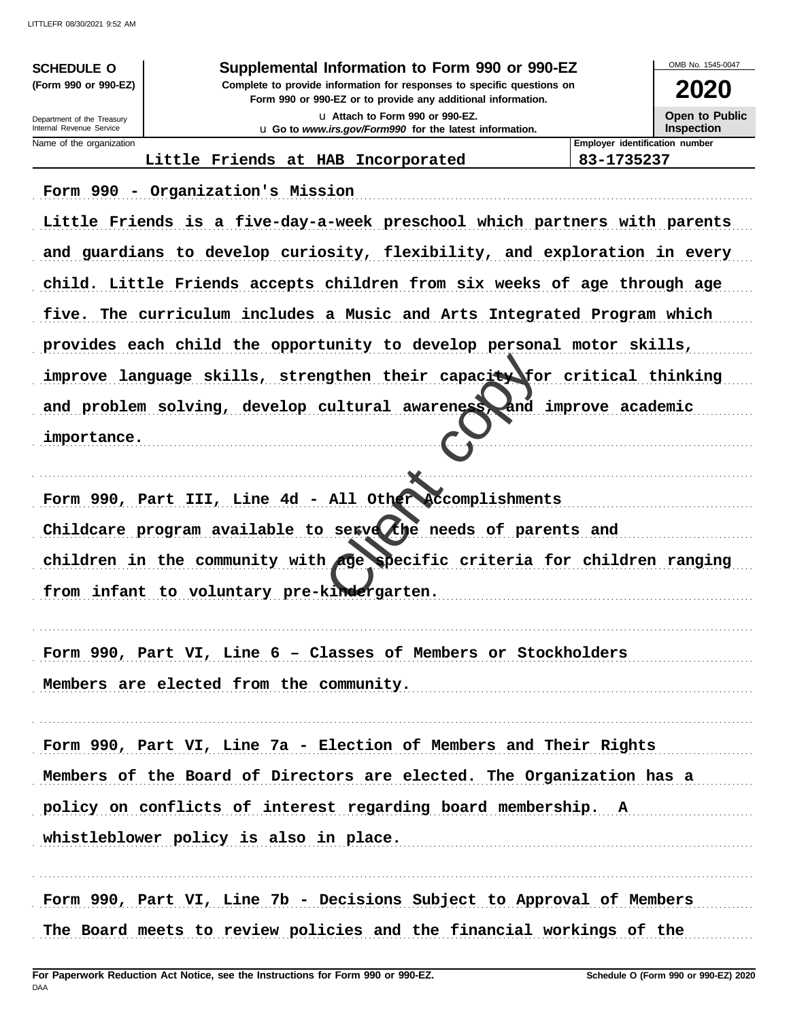| <b>SCHEDULE O</b><br>(Form 990 or 990-EZ)              | Supplemental Information to Form 990 or 990-EZ<br>Complete to provide information for responses to specific questions on |                      | OMB No. 1545-0047<br>2020             |
|--------------------------------------------------------|--------------------------------------------------------------------------------------------------------------------------|----------------------|---------------------------------------|
|                                                        | Form 990 or 990-EZ or to provide any additional information.                                                             |                      |                                       |
| Department of the Treasury<br>Internal Revenue Service | La Attach to Form 990 or 990-EZ.<br>u Go to www.irs.gov/Form990 for the latest information.                              |                      | Open to Public<br><b>Inspection</b>   |
| Name of the organization                               |                                                                                                                          |                      | <b>Employer identification number</b> |
|                                                        | Little Friends at HAB Incorporated                                                                                       | 83-1735237           |                                       |
|                                                        | Form 990 - Organization's Mission<br>Little Friends is a five-day-a-week preschool which partners with parents           |                      |                                       |
|                                                        | and guardians to develop curiosity, flexibility, and exploration in every                                                |                      |                                       |
|                                                        | child. Little Friends accepts children from six weeks of age through age                                                 |                      |                                       |
|                                                        | five. The curriculum includes a Music and Arts Integrated Program which                                                  |                      |                                       |
|                                                        | provides each child the opportunity to develop personal motor skills,                                                    |                      |                                       |
|                                                        | improve language skills, strengthen their capacity for critical thinking                                                 |                      |                                       |
|                                                        | and problem solving, develop cultural awareness,                                                                         | and improve academic |                                       |
| importance.                                            |                                                                                                                          |                      |                                       |
|                                                        |                                                                                                                          |                      |                                       |
|                                                        | Form 990, Part III, Line 4d - All Other Accomplishments<br>Childcare program available to serve the needs of parents and |                      |                                       |
|                                                        | children in the community with age specific criteria for children ranging                                                |                      |                                       |
|                                                        |                                                                                                                          |                      |                                       |
|                                                        | from infant to voluntary pre-kindergarten.                                                                               |                      |                                       |
|                                                        | Form 990, Part VI, Line 6 - Classes of Members or Stockholders                                                           |                      |                                       |
|                                                        | Members are elected from the community.                                                                                  |                      |                                       |
|                                                        | Form 990, Part VI, Line 7a - Election of Members and Their Rights                                                        |                      |                                       |
|                                                        | Members of the Board of Directors are elected. The Organization has a                                                    |                      |                                       |
|                                                        | policy on conflicts of interest regarding board membership. A                                                            |                      |                                       |
|                                                        | whistleblower policy is also in place.                                                                                   |                      |                                       |
|                                                        |                                                                                                                          |                      |                                       |

The Board meets to review policies and the financial workings of the

. . . . . . . . . . .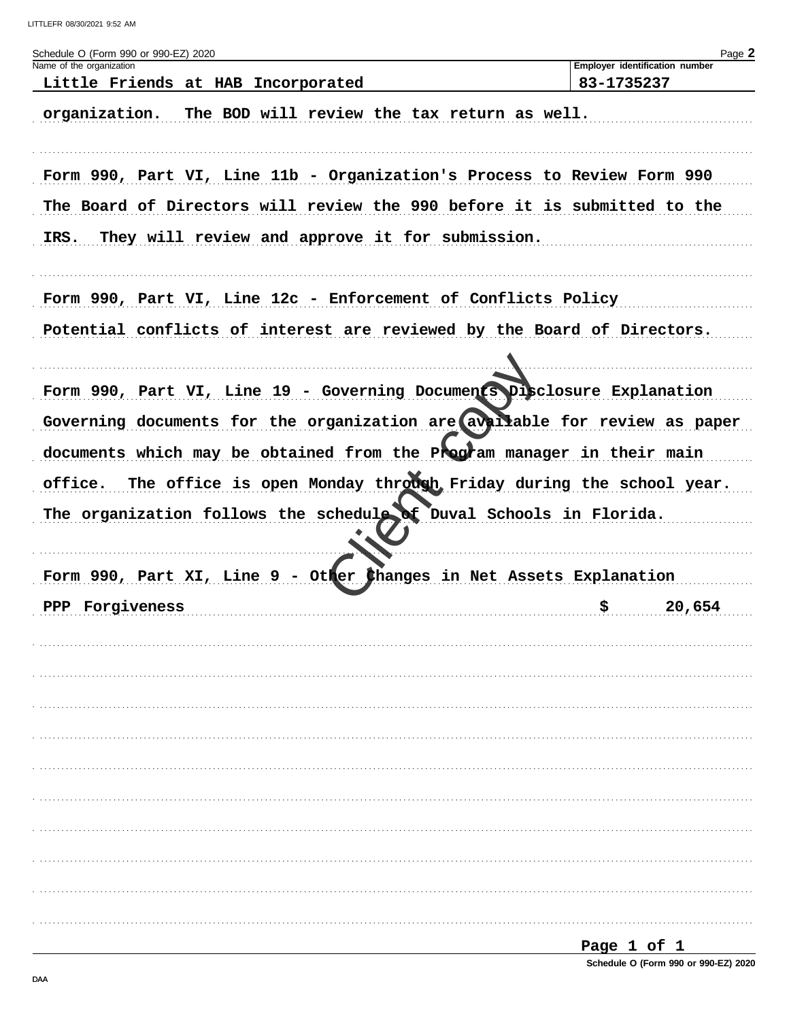| Schedule O (Form 990 or 990-EZ) 2020                                       |             | Page 2                         |
|----------------------------------------------------------------------------|-------------|--------------------------------|
| Name of the organization<br>Little Friends at HAB Incorporated             | 83-1735237  | Employer identification number |
|                                                                            |             |                                |
| The BOD will review the tax return as well.<br>organization.               |             |                                |
| Form 990, Part VI, Line 11b - Organization's Process to Review Form 990    |             |                                |
| The Board of Directors will review the 990 before it is submitted to the   |             |                                |
| They will review and approve it for submission.<br>IRS.                    |             |                                |
| Form 990, Part VI, Line 12c - Enforcement of Conflicts Policy              |             |                                |
| Potential conflicts of interest are reviewed by the Board of Directors.    |             |                                |
|                                                                            |             |                                |
| Form 990, Part VI, Line 19 - Governing Documents Disclosure Explanation    |             |                                |
| Governing documents for the organization are available for review as paper |             |                                |
| documents which may be obtained from the Program manager in their main     |             |                                |
| office. The office is open Monday through Friday during the school year.   |             |                                |
| The organization follows the schedule of Duval Schools in Florida.         |             |                                |
|                                                                            |             |                                |
| Form 990, Part XI, Line 9 - Other thanges in Net Assets Explanation        |             |                                |
| PPP Forgiveness                                                            | \$          | 20,654                         |
|                                                                            |             |                                |
|                                                                            |             |                                |
|                                                                            |             |                                |
|                                                                            |             |                                |
|                                                                            |             |                                |
|                                                                            |             |                                |
|                                                                            |             |                                |
|                                                                            |             |                                |
|                                                                            |             |                                |
|                                                                            |             |                                |
|                                                                            |             |                                |
|                                                                            | Page 1 of 1 |                                |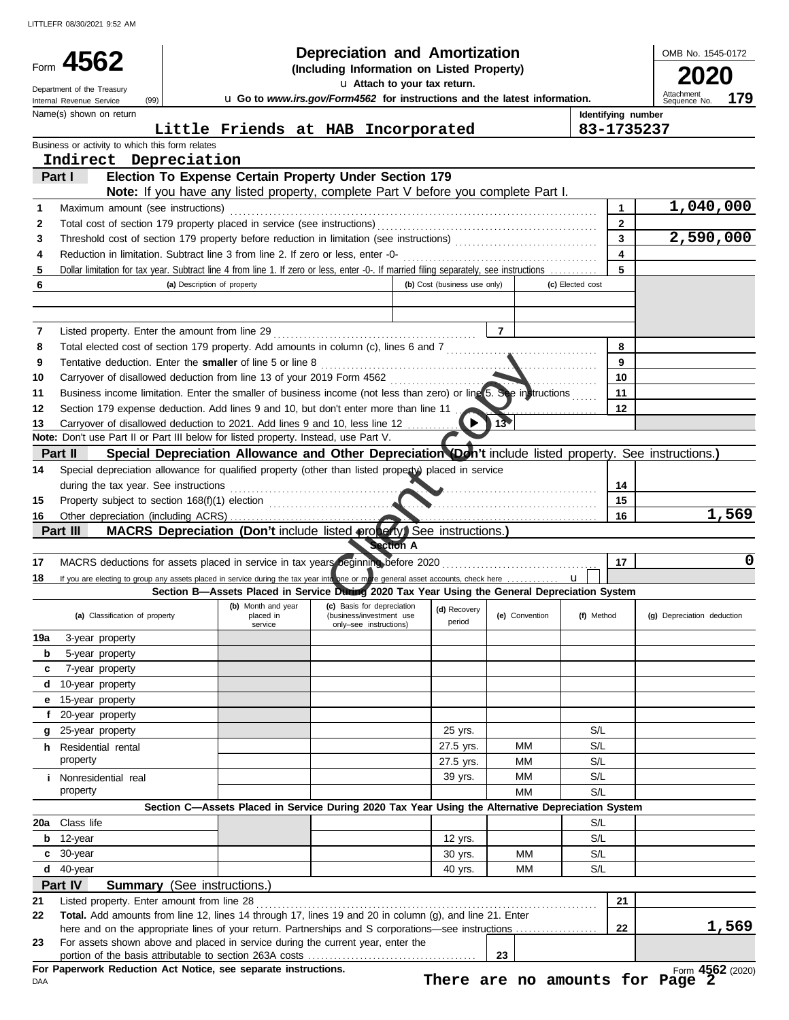LITTLEFR 08/30/2021 9:52 AM

|                | 4562                                                                                                                                                                                       | <b>Depreciation and Amortization</b><br>(Including Information on Listed Property) |                                 |                                                                                                                                                         |                              |                |                  |                                           | OMB No. 1545-0172                 |
|----------------|--------------------------------------------------------------------------------------------------------------------------------------------------------------------------------------------|------------------------------------------------------------------------------------|---------------------------------|---------------------------------------------------------------------------------------------------------------------------------------------------------|------------------------------|----------------|------------------|-------------------------------------------|-----------------------------------|
|                |                                                                                                                                                                                            |                                                                                    |                                 | u Attach to your tax return.                                                                                                                            |                              |                |                  |                                           |                                   |
|                | Department of the Treasury<br>(99)<br>Internal Revenue Service                                                                                                                             |                                                                                    |                                 | u Go to www.irs.gov/Form4562 for instructions and the latest information.                                                                               |                              |                |                  |                                           | Attachment<br>179<br>Sequence No. |
|                | Name(s) shown on return                                                                                                                                                                    |                                                                                    |                                 |                                                                                                                                                         |                              |                |                  | Identifying number                        |                                   |
|                |                                                                                                                                                                                            |                                                                                    |                                 | Little Friends at HAB Incorporated                                                                                                                      |                              |                |                  | 83-1735237                                |                                   |
|                | Business or activity to which this form relates                                                                                                                                            |                                                                                    |                                 |                                                                                                                                                         |                              |                |                  |                                           |                                   |
|                | Indirect Depreciation                                                                                                                                                                      |                                                                                    |                                 |                                                                                                                                                         |                              |                |                  |                                           |                                   |
|                | Part I                                                                                                                                                                                     |                                                                                    |                                 | Election To Expense Certain Property Under Section 179                                                                                                  |                              |                |                  |                                           |                                   |
|                |                                                                                                                                                                                            |                                                                                    |                                 | Note: If you have any listed property, complete Part V before you complete Part I.                                                                      |                              |                |                  |                                           |                                   |
| 1              | Maximum amount (see instructions)                                                                                                                                                          |                                                                                    |                                 |                                                                                                                                                         |                              |                |                  | 1                                         | 1,040,000                         |
| 2<br>3         |                                                                                                                                                                                            |                                                                                    |                                 |                                                                                                                                                         |                              |                |                  | $\overline{2}$<br>$\overline{\mathbf{3}}$ | 2,590,000                         |
| 4              | Reduction in limitation. Subtract line 3 from line 2. If zero or less, enter -0-                                                                                                           |                                                                                    |                                 |                                                                                                                                                         |                              |                |                  | 4                                         |                                   |
| 5              | Dollar limitation for tax year. Subtract line 4 from line 1. If zero or less, enter -0-. If married filing separately, see instructions                                                    |                                                                                    |                                 |                                                                                                                                                         |                              |                |                  | 5                                         |                                   |
| 6              |                                                                                                                                                                                            | (a) Description of property                                                        |                                 |                                                                                                                                                         | (b) Cost (business use only) |                | (c) Elected cost |                                           |                                   |
|                |                                                                                                                                                                                            |                                                                                    |                                 |                                                                                                                                                         |                              |                |                  |                                           |                                   |
|                |                                                                                                                                                                                            |                                                                                    |                                 |                                                                                                                                                         |                              |                |                  |                                           |                                   |
| 7              | Listed property. Enter the amount from line 29                                                                                                                                             |                                                                                    |                                 |                                                                                                                                                         |                              | $\overline{7}$ |                  |                                           |                                   |
| 8              | Total elected cost of section 179 property. Add amounts in column (c), lines 6 and 7 [[[[[[[[[[[[[[[[[[[[[[[[[                                                                             |                                                                                    |                                 |                                                                                                                                                         |                              |                |                  | 8                                         |                                   |
| 9              | Tentative deduction. Enter the smaller of line 5 or line 8                                                                                                                                 |                                                                                    |                                 |                                                                                                                                                         |                              |                |                  | 9                                         |                                   |
| 10<br>11       | Carryover of disallowed deduction from line 13 of your 2019 Form 4562<br>Business income limitation. Enter the smaller of business income (not less than zero) or ling 5. See instructions |                                                                                    |                                 |                                                                                                                                                         |                              |                |                  | 10<br>11                                  |                                   |
| 12             | Section 179 expense deduction. Add lines 9 and 10, but don't enter more than line 11                                                                                                       |                                                                                    |                                 |                                                                                                                                                         |                              |                |                  | 12                                        |                                   |
| 13             | Carryover of disallowed deduction to 2021. Add lines 9 and 10, less line 12                                                                                                                |                                                                                    |                                 |                                                                                                                                                         |                              | $\sqrt{13}$    |                  |                                           |                                   |
|                | Note: Don't use Part II or Part III below for listed property. Instead, use Part V.                                                                                                        |                                                                                    |                                 |                                                                                                                                                         |                              |                |                  |                                           |                                   |
|                | Part II                                                                                                                                                                                    |                                                                                    |                                 | Special Depreciation Allowance and Other Depreciation (Don't include listed property. See instructions.)                                                |                              |                |                  |                                           |                                   |
| 14             | Special depreciation allowance for qualified property (other than listed property) placed in service                                                                                       |                                                                                    |                                 |                                                                                                                                                         |                              |                |                  |                                           |                                   |
|                | during the tax year. See instructions                                                                                                                                                      |                                                                                    |                                 |                                                                                                                                                         |                              |                |                  | 14                                        |                                   |
| 15             | Property subject to section 168(f)(1) election                                                                                                                                             |                                                                                    |                                 |                                                                                                                                                         |                              |                |                  | 15                                        |                                   |
| 16             |                                                                                                                                                                                            |                                                                                    |                                 |                                                                                                                                                         |                              |                |                  | 16                                        | 1,569                             |
|                | Part III                                                                                                                                                                                   |                                                                                    |                                 | MACRS Depreciation (Don't include listed property) See instructions.)                                                                                   |                              |                |                  |                                           |                                   |
|                |                                                                                                                                                                                            |                                                                                    |                                 | <b>Section A</b>                                                                                                                                        |                              |                |                  |                                           | 0                                 |
| 17             | MACRS deductions for assets placed in service in tax years beginning before 2020                                                                                                           |                                                                                    |                                 |                                                                                                                                                         |                              |                | $\mathbf{u}$     | 17                                        |                                   |
| 18             | If you are electing to group any assets placed in service during the tax year interone or more general asset accounts, check here                                                          |                                                                                    |                                 |                                                                                                                                                         |                              |                |                  |                                           |                                   |
|                |                                                                                                                                                                                            |                                                                                    |                                 |                                                                                                                                                         |                              |                |                  |                                           |                                   |
|                | (a) Classification of property                                                                                                                                                             |                                                                                    | (b) Month and year<br>placed in | Section B-Assets Placed in Service During 2020 Tax Year Using the General Depreciation System<br>(c) Basis for depreciation<br>(business/investment use | (d) Recovery                 | (e) Convention | (f) Method       |                                           | (g) Depreciation deduction        |
|                |                                                                                                                                                                                            |                                                                                    | service                         | only-see instructions)                                                                                                                                  | period                       |                |                  |                                           |                                   |
|                | 3-year property                                                                                                                                                                            |                                                                                    |                                 |                                                                                                                                                         |                              |                |                  |                                           |                                   |
| b              | 5-year property                                                                                                                                                                            |                                                                                    |                                 |                                                                                                                                                         |                              |                |                  |                                           |                                   |
| c              | 7-year property                                                                                                                                                                            |                                                                                    |                                 |                                                                                                                                                         |                              |                |                  |                                           |                                   |
| 19a<br>d       | 10-year property                                                                                                                                                                           |                                                                                    |                                 |                                                                                                                                                         |                              |                |                  |                                           |                                   |
|                | e 15-year property                                                                                                                                                                         |                                                                                    |                                 |                                                                                                                                                         |                              |                |                  |                                           |                                   |
| f.             | 20-year property                                                                                                                                                                           |                                                                                    |                                 |                                                                                                                                                         |                              |                |                  |                                           |                                   |
|                | g 25-year property                                                                                                                                                                         |                                                                                    |                                 |                                                                                                                                                         | 25 yrs.                      |                | S/L              |                                           |                                   |
|                | h Residential rental                                                                                                                                                                       |                                                                                    |                                 |                                                                                                                                                         | 27.5 yrs.                    | ΜМ             | S/L              |                                           |                                   |
|                | property                                                                                                                                                                                   |                                                                                    |                                 |                                                                                                                                                         | 27.5 yrs.                    | MМ             | S/L              |                                           |                                   |
|                | <i>i</i> Nonresidential real                                                                                                                                                               |                                                                                    |                                 |                                                                                                                                                         | 39 yrs.                      | MМ             | S/L              |                                           |                                   |
|                | property                                                                                                                                                                                   |                                                                                    |                                 |                                                                                                                                                         |                              | MМ             | S/L              |                                           |                                   |
| 20a            |                                                                                                                                                                                            |                                                                                    |                                 | Section C-Assets Placed in Service During 2020 Tax Year Using the Alternative Depreciation System                                                       |                              |                |                  |                                           |                                   |
| b              | Class life                                                                                                                                                                                 |                                                                                    |                                 |                                                                                                                                                         |                              |                | S/L              |                                           |                                   |
| c              | 12-year                                                                                                                                                                                    |                                                                                    |                                 |                                                                                                                                                         | 12 yrs.                      | MМ             | S/L              |                                           |                                   |
|                | 30-year                                                                                                                                                                                    |                                                                                    |                                 |                                                                                                                                                         | 30 yrs.                      |                | S/L              |                                           |                                   |
|                | $d$ 40-year                                                                                                                                                                                |                                                                                    |                                 |                                                                                                                                                         | 40 yrs.                      | МM             | S/L              |                                           |                                   |
|                | Part IV<br><b>Summary</b> (See instructions.)                                                                                                                                              |                                                                                    |                                 |                                                                                                                                                         |                              |                |                  |                                           |                                   |
|                | Listed property. Enter amount from line 28                                                                                                                                                 |                                                                                    |                                 |                                                                                                                                                         |                              |                |                  | 21                                        |                                   |
|                | Total. Add amounts from line 12, lines 14 through 17, lines 19 and 20 in column (g), and line 21. Enter                                                                                    |                                                                                    |                                 |                                                                                                                                                         |                              |                |                  | 22                                        |                                   |
| 21<br>22<br>23 | For assets shown above and placed in service during the current year, enter the                                                                                                            |                                                                                    |                                 |                                                                                                                                                         |                              |                |                  |                                           | 1,569                             |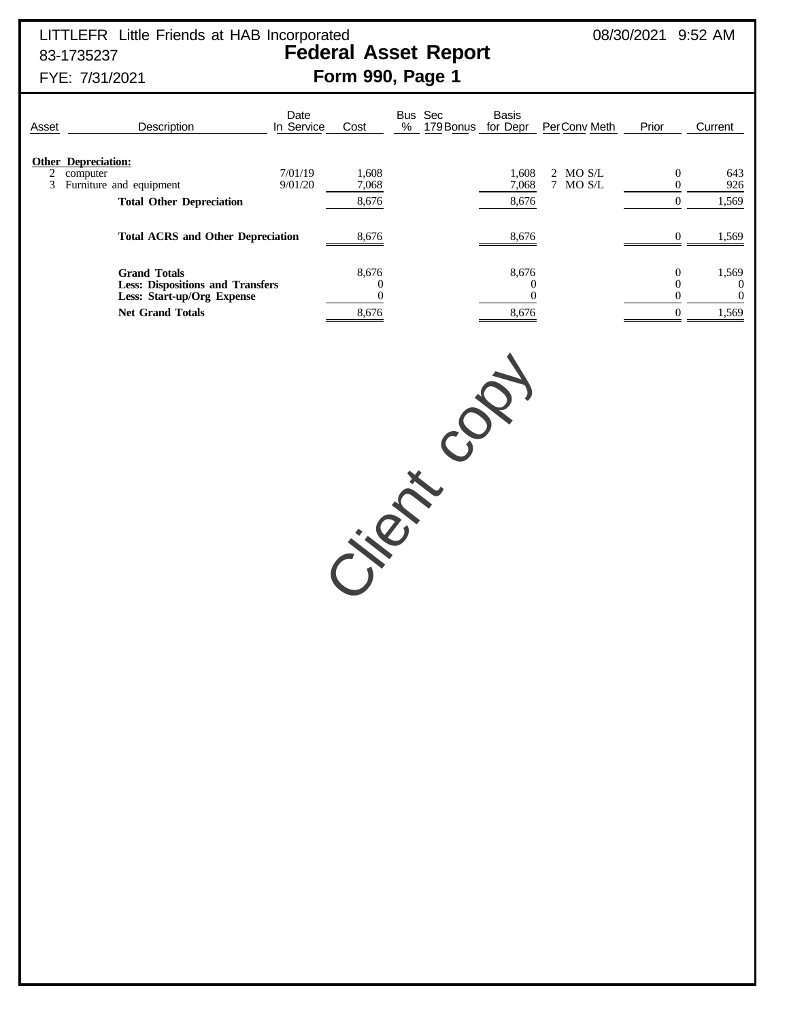## LITTLEFR Little Friends at HAB Incorporated 08/30/2021 9:52 AM 83-1735237 **Federal Asset Report**

# FYE: 7/31/2021 **Form 990, Page 1**

## Date Bus Sec Basis<br>In Service Cost % 179Bonus for Dep Asset **Description** In Service Cost % 179Bonus for Depr PerConv Meth Prior Current **Other Depreciation:**<br>2 computer 2 computer 1.608 1,608 1,608 2 MO S/L 0 643 3 Furniture and equipment 9/01/20 7,068 7 7,068 7 MO S/L 0 926 **Total Other Depreciation** 8,676 8,676 8,676 8,676 8,676 8,676 8,676 8,676 8,676 8,676 8,676 8,676 8,676 8,676 8,676 8,676 8,676 8,676 8,676 8,676 8,676 8,676 8,676 8,676 8,676 8,676 8,676 8,676 8,676 8,676 8,676 8,676 8,6 **Total ACRS and Other Depreciation** 8,676 8,676 8,676 0 1,569 **Grand Totals** 8,676 8,676 0 1,569 **Less: Dispositions and Transfers**  $\begin{array}{cccc} 0 & 0 & 0 \\ 0 & 0 & 0 \end{array}$  (ass: Start-up/Org Expense  $\begin{array}{cccc} 0 & 0 & 0 \\ 0 & 0 & 0 \end{array}$ **Less: Start-up/Org Expense Net Grand Totals** 8,676 8,676 8,676 0 1,569

Citer co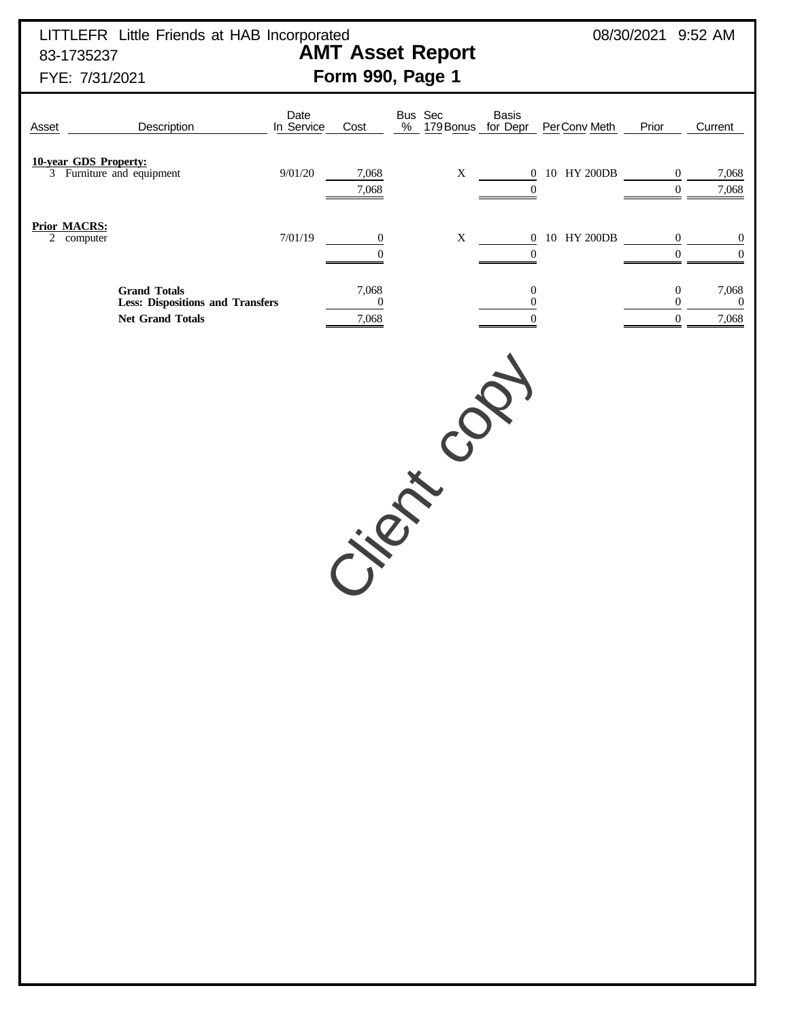LITTLEFR Little Friends at HAB Incorporated  $08/30/2021$  9:52 AM 83-1735237 **AMT Asset Report**

# FYE: 7/31/2021 **Form 990, Page 1**

| Asset                             | Description                                                                               | Date<br>In Service | Cost                               | Bus Sec<br>$\%$ | <b>Basis</b><br>179 Bonus for Depr    | PerConv Meth              | Prior                                 | Current                            |
|-----------------------------------|-------------------------------------------------------------------------------------------|--------------------|------------------------------------|-----------------|---------------------------------------|---------------------------|---------------------------------------|------------------------------------|
|                                   | 10-year GDS Property:<br>3 Furniture and equipment                                        | 9/01/20            | 7,068<br>7,068                     | $\mathbf X$     | $\overline{0}$                        | 0 10 HY 200DB             | $\mathbf{0}$<br>$\overline{0}$        | 7,068<br>7,068                     |
| <b>Prior MACRS:</b><br>2 computer |                                                                                           | 7/01/19            | $\boldsymbol{0}$<br>$\overline{0}$ | $\mathbf X$     | $\boldsymbol{0}$                      | $0$ $\,$ 10 $\,$ HY 200DB | 0<br>$\mathbf{0}$                     | $\overline{0}$<br>$\boldsymbol{0}$ |
|                                   | <b>Grand Totals</b><br><b>Less: Dispositions and Transfers</b><br><b>Net Grand Totals</b> |                    | 7,068<br>$\boldsymbol{0}$<br>7,068 |                 | $\mathbf{0}$<br>0<br>$\boldsymbol{0}$ |                           | 0<br>$\overline{0}$<br>$\overline{0}$ | 7,068<br>$\boldsymbol{0}$<br>7,068 |
|                                   |                                                                                           |                    |                                    |                 |                                       |                           |                                       |                                    |
|                                   |                                                                                           |                    |                                    |                 |                                       |                           |                                       |                                    |
|                                   |                                                                                           |                    |                                    |                 |                                       |                           |                                       |                                    |
|                                   |                                                                                           |                    |                                    |                 |                                       |                           |                                       |                                    |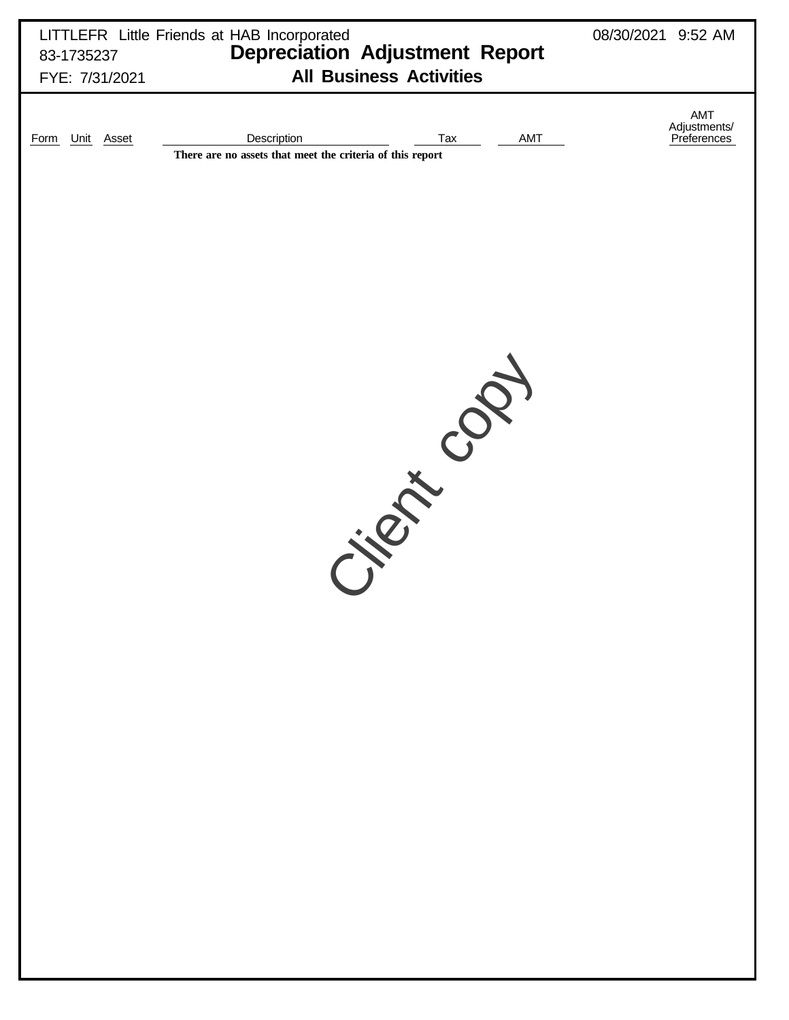| 83-1735237<br>FYE: 7/31/2021 | LITTLEFR Little Friends at HAB Incorporated<br><b>Depreciation Adjustment Report</b><br><b>All Business Activities</b> | 08/30/2021 9:52 AM                 |
|------------------------------|------------------------------------------------------------------------------------------------------------------------|------------------------------------|
| Unit Asset<br><b>Form</b>    | Description<br>Tax<br>AMT<br>There are no assets that meet the criteria of this report                                 | AMT<br>Adjustments/<br>Preferences |
|                              |                                                                                                                        |                                    |
|                              | $\mathbf{C}$<br>J.R. E.                                                                                                |                                    |
|                              |                                                                                                                        |                                    |
|                              |                                                                                                                        |                                    |
|                              |                                                                                                                        |                                    |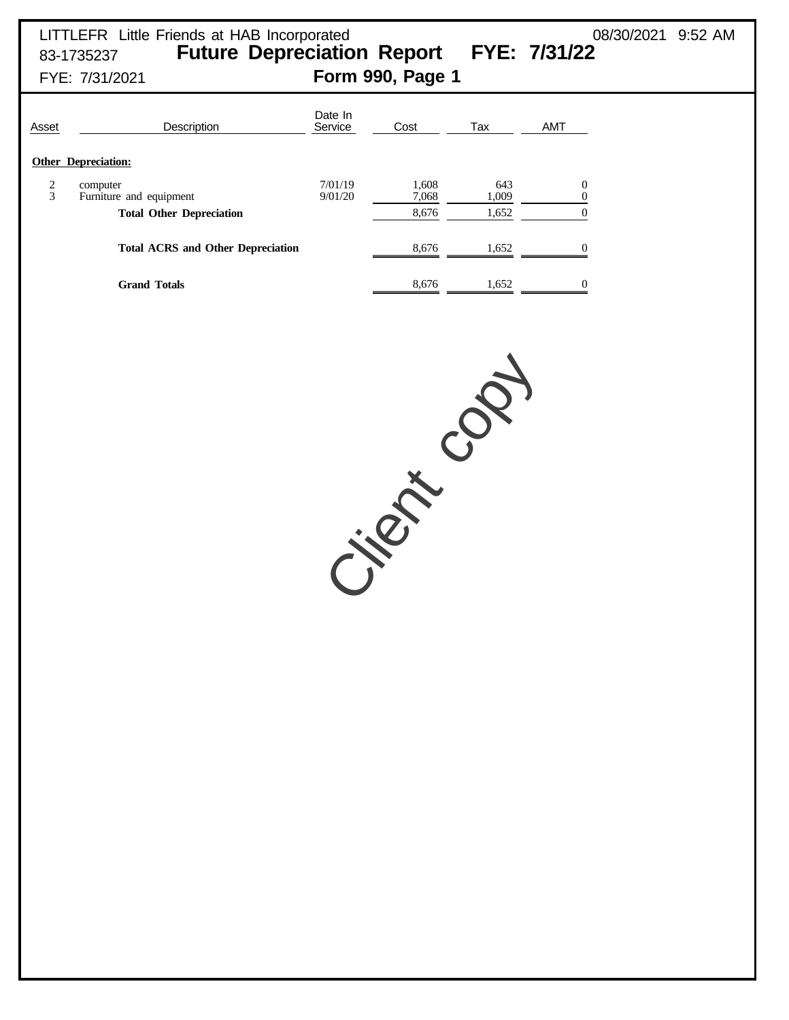| Asset  | Description                                                            | Date In<br>Service | Cost                    | Tax                   | <b>AMT</b>                   |
|--------|------------------------------------------------------------------------|--------------------|-------------------------|-----------------------|------------------------------|
|        | <b>Other Depreciation:</b>                                             |                    |                         |                       |                              |
| 2<br>3 | computer<br>Furniture and equipment<br><b>Total Other Depreciation</b> | 7/01/19<br>9/01/20 | 1,608<br>7,068<br>8,676 | 643<br>1,009<br>1,652 | $\boldsymbol{0}$<br>$\Omega$ |
|        | <b>Total ACRS and Other Depreciation</b>                               |                    | 8.676                   | 1,652                 |                              |
|        | <b>Grand Totals</b>                                                    |                    | 8.676                   | 1.652                 | $\Omega$                     |

Citer is it copy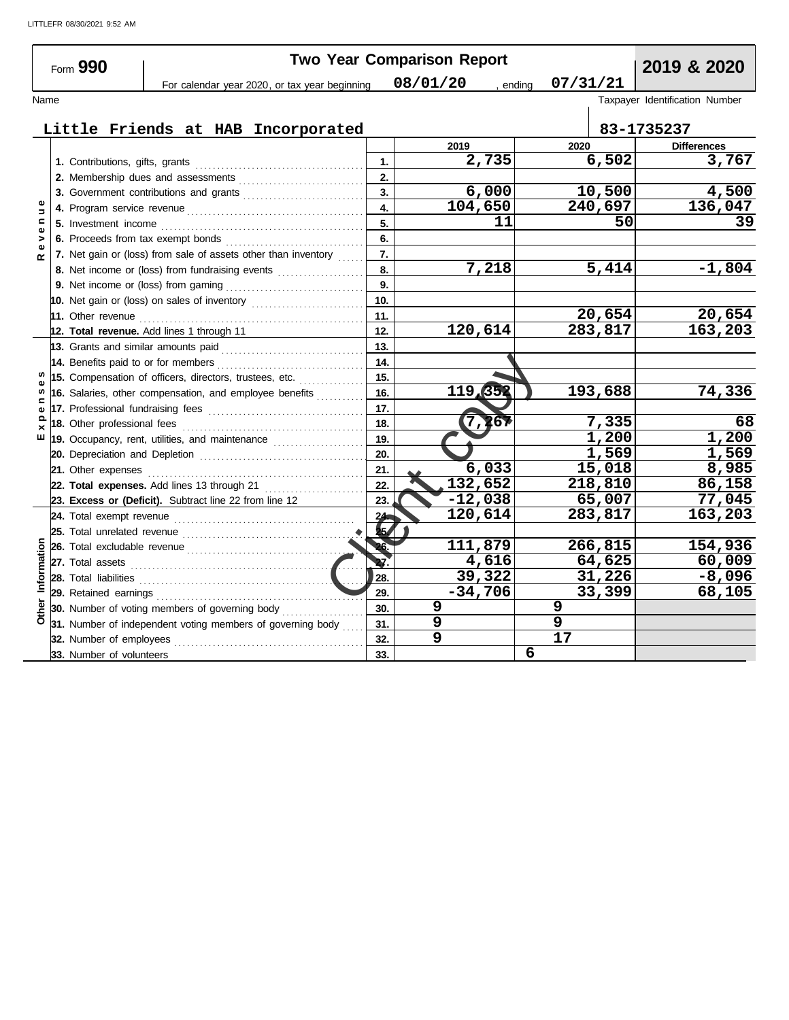LITTLEFR 08/30/2021 9:52 AM

|                   |                                     |                                                                   |                                                                                                                                                                                                                                     |                  | <b>Two Year Comparison Report</b> |          |                                |
|-------------------|-------------------------------------|-------------------------------------------------------------------|-------------------------------------------------------------------------------------------------------------------------------------------------------------------------------------------------------------------------------------|------------------|-----------------------------------|----------|--------------------------------|
|                   | Form 990                            |                                                                   | For calendar year 2020, or tax year beginning                                                                                                                                                                                       |                  | 08/01/20<br>, ending              | 07/31/21 | 2019 & 2020                    |
| Name              |                                     |                                                                   |                                                                                                                                                                                                                                     |                  |                                   |          | Taxpayer Identification Number |
|                   |                                     |                                                                   |                                                                                                                                                                                                                                     |                  |                                   |          |                                |
|                   |                                     |                                                                   | Little Friends at HAB Incorporated                                                                                                                                                                                                  |                  |                                   |          | 83-1735237                     |
|                   |                                     |                                                                   |                                                                                                                                                                                                                                     |                  | 2019                              | 2020     | <b>Differences</b>             |
|                   |                                     |                                                                   |                                                                                                                                                                                                                                     | 1.               | 2,735                             | 6,502    | 3,767                          |
|                   |                                     |                                                                   | 2. Membership dues and assessments [111] Membership dues and assessments [11] Membership dues and assessments [11] Membership dues are not approach and a set of the set of the set of the set of the set of the set of the se      | 2.               |                                   |          |                                |
|                   |                                     |                                                                   | 3. Government contributions and grants                                                                                                                                                                                              | 3.               | 6,000                             | 10,500   | 4,500                          |
| $\Rightarrow$     |                                     |                                                                   |                                                                                                                                                                                                                                     | $\overline{4}$ . | 104,650                           | 240,697  | 136,047                        |
| Ξ<br>Ф            | 5. Investment income                |                                                                   |                                                                                                                                                                                                                                     | 5.               | 11                                | 50       | 39                             |
| ><br>$\mathbf{Q}$ |                                     |                                                                   |                                                                                                                                                                                                                                     | 6.               |                                   |          |                                |
| œ                 |                                     | 7. Net gain or (loss) from sale of assets other than inventory    |                                                                                                                                                                                                                                     | 7.               |                                   |          |                                |
|                   |                                     | 8. Net income or (loss) from fundraising events                   |                                                                                                                                                                                                                                     | 8.               | 7,218                             | 5,414    | $-1,804$                       |
|                   |                                     |                                                                   |                                                                                                                                                                                                                                     | 9.               |                                   |          |                                |
|                   |                                     |                                                                   |                                                                                                                                                                                                                                     | 10.              |                                   |          |                                |
|                   |                                     |                                                                   |                                                                                                                                                                                                                                     | 11.              |                                   | 20,654   | 20,654                         |
|                   |                                     | 12. Total revenue. Add lines 1 through 11                         |                                                                                                                                                                                                                                     | 12.              | 120,614                           | 283,817  | 163,203                        |
|                   | 13. Grants and similar amounts paid |                                                                   |                                                                                                                                                                                                                                     | 13.              |                                   |          |                                |
|                   | 14. Benefits paid to or for members |                                                                   |                                                                                                                                                                                                                                     | 14.              |                                   |          |                                |
|                   |                                     | 15. Compensation of officers, directors, trustees, etc.           |                                                                                                                                                                                                                                     | 15.              |                                   |          |                                |
| w                 |                                     | 16. Salaries, other compensation, and employee benefits           |                                                                                                                                                                                                                                     | 16.              | 119,352                           | 193,688  | 74,336                         |
| ω                 |                                     |                                                                   | 17. Professional fundraising fees <b>constructs</b> and a resonance of the set of the set of the set of the set of the set of the set of the set of the set of the set of the set of the set of the set of the set of the set of th | 17.              |                                   |          |                                |
| ×                 | 18. Other professional fees         |                                                                   |                                                                                                                                                                                                                                     | 18.              | (7, 26)                           | 7,335    | 68                             |
| ш                 |                                     | 19. Occupancy, rent, utilities, and maintenance <i>maintering</i> |                                                                                                                                                                                                                                     | 19.              |                                   | 1,200    | 1,200                          |
|                   |                                     |                                                                   |                                                                                                                                                                                                                                     | 20.              |                                   | 1,569    | 1,569                          |
|                   | 21. Other expenses                  |                                                                   |                                                                                                                                                                                                                                     | 21.              | 6,033                             | 15,018   | 8,985                          |
|                   |                                     | 22. Total expenses. Add lines 13 through 21                       |                                                                                                                                                                                                                                     | 22.              | 132,652                           | 218,810  | 86,158                         |
|                   |                                     | 23. Excess or (Deficit). Subtract line 22 from line 12            |                                                                                                                                                                                                                                     | 23.              | $-12,038$                         | 65,007   | 77,045                         |
|                   |                                     |                                                                   |                                                                                                                                                                                                                                     | 24               | 120,614                           | 283,817  | 163,203                        |
|                   | 25. Total unrelated revenue         |                                                                   |                                                                                                                                                                                                                                     | ١.               |                                   |          |                                |
|                   |                                     | 26. Total excludable revenue                                      |                                                                                                                                                                                                                                     |                  | 111,879                           | 266,815  | 154,936                        |
|                   |                                     |                                                                   |                                                                                                                                                                                                                                     | 27.              | 4,616                             | 64,625   | 60,009                         |
| Informatior       | 28. Total liabilities               |                                                                   |                                                                                                                                                                                                                                     | 28.              | 39,322                            | 31,226   | $-8,096$                       |
|                   |                                     | 29. Retained earnings                                             |                                                                                                                                                                                                                                     | 29.              | $-34,706$                         | 33,399   | 68,105                         |
| Other             |                                     | 30. Number of voting members of governing body                    |                                                                                                                                                                                                                                     | 30.              | 9                                 | 9        |                                |
|                   |                                     | 31. Number of independent voting members of governing body        |                                                                                                                                                                                                                                     | 31.              | 9                                 | 9        |                                |
|                   | 32. Number of employees             |                                                                   |                                                                                                                                                                                                                                     | 32.              | 9                                 | 17       |                                |
|                   | 33. Number of volunteers            |                                                                   |                                                                                                                                                                                                                                     | 33.              |                                   | 6        |                                |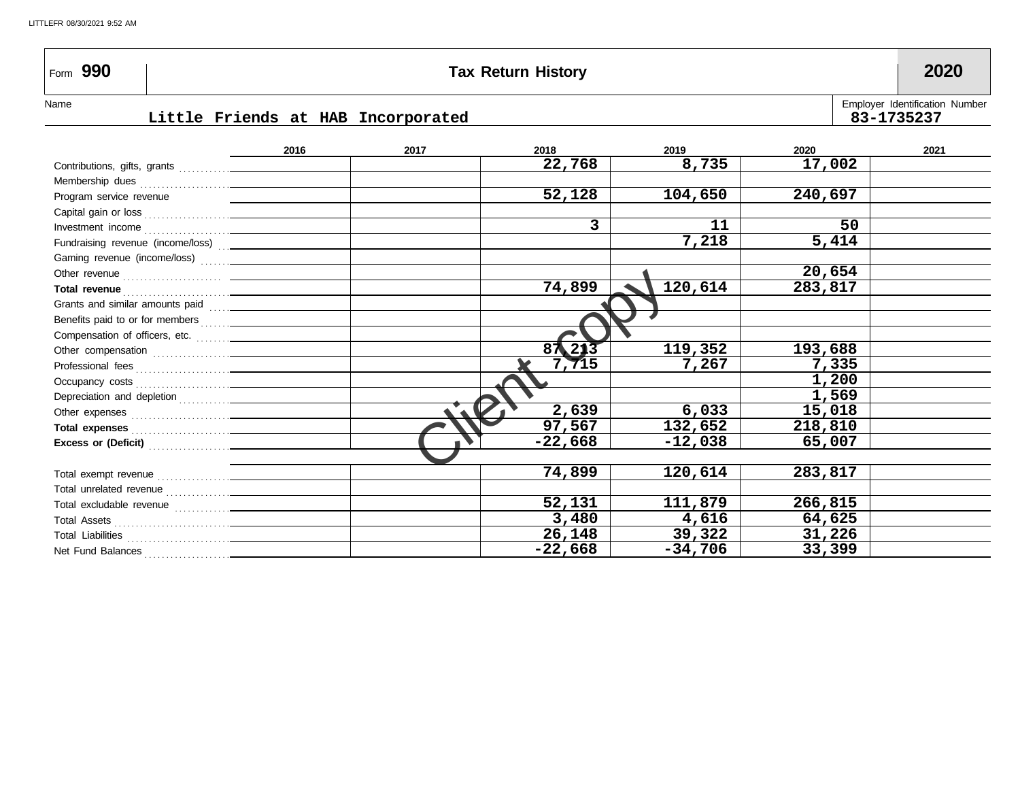### Form **990 Tax Return History 2020**

#### **Little Friends at HAB Incorporated 83-1735237**

| Name |                                    | <b>Employer Identification Number</b> |
|------|------------------------------------|---------------------------------------|
|      | Little Friends at HAB Incorporated | 83-1735237                            |

#### Client copy Total excludable revenue . . . . . . . . . . . . . Total unrelated revenue . . . . . . . . . . . . . . . Total exempt revenue . . . . . . . . . . . . . . . . . Net Fund Balances . . . . . . . . . . . . . . . . . . . . Total Assets . . . . . . . . . . . . . . . . . . . . . . . . . . . Total Liabilities . . . . . . . . . . . . . . . . . . . . . . . . **2017 2018 2019 2020 2021** Fundraising revenue (income/loss) . . . Gaming revenue (income/loss) ....... **Total revenue** . . . . . . . . . . . . . . . . . . . . . . . . . **Total expenses** . . . . . . . . . . . . . . . . . . . . . . . Capital gain or loss . . . . . . . . . . . . . . . . . . . . Membership dues . . . . . . . . . . . . . . . . . . . . . Investment income . . . . . . . . . . . . . . . . . . . . Other revenue . . . . . . . . . . . . . . . . . . . . . . . Grants and similar amounts paid . . . . . Benefits paid to or for members . . . . . . . Other compensation . . . . . . . . . . . . . . . . . . Professional fees . . . . . . . . . . . . . . . . . . . . . . Occupancy costs . . . . . . . . . . . . . . . . . . . . . . Depreciation and depletion . . . . . . . . . . . . Other expenses . . . . . . . . . . . . . . . . . . . . . . . **Excess or (Deficit)** . . . . . . . . . . . . . . . . . . . Contributions, gifts, grants . . . . . . . . . . . . Compensation of officers, etc. **2016** Program service revenue **22,768 52,128 3 74,899 87,213 7,715 2,639 97,567 -22,668 74,899 52,131 3,480 26,148 -22,668 8,735 104,650 11 7,218 120,614 119,352 7,267 6,033 132,652 -12,038 120,614 111,879 4,616 39,322 -34,706 17,002 240,697 50 5,414 20,654 283,817 193,688 7,335 1,200 1,569 15,018 218,810 65,007 283,817 266,815 64,625 31,226 33,399**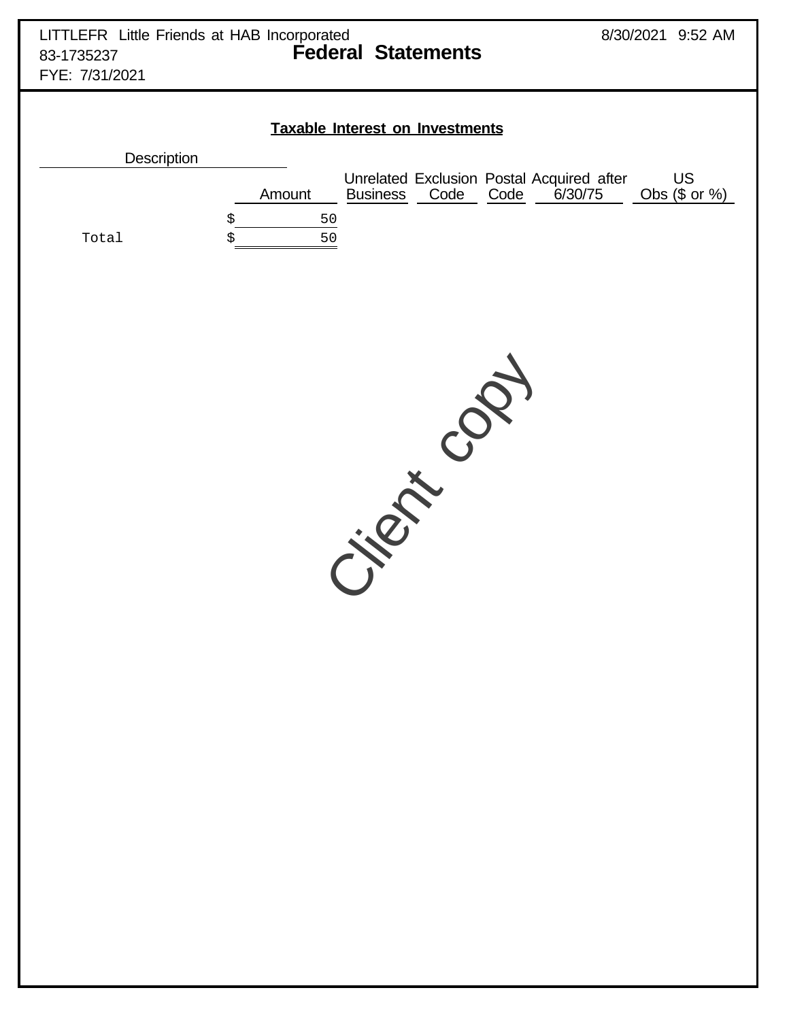| <b>Taxable Interest on Investments</b> |  |        |                 |      |      |                                                      |                        |  |  |  |  |  |
|----------------------------------------|--|--------|-----------------|------|------|------------------------------------------------------|------------------------|--|--|--|--|--|
| <b>Description</b>                     |  |        |                 |      |      |                                                      |                        |  |  |  |  |  |
|                                        |  | Amount | <b>Business</b> | Code | Code | Unrelated Exclusion Postal Acquired after<br>6/30/75 | US<br>Obs $(\$$ or $%$ |  |  |  |  |  |
|                                        |  | 50     |                 |      |      |                                                      |                        |  |  |  |  |  |
| Total                                  |  | 50     |                 |      |      |                                                      |                        |  |  |  |  |  |

Client copy